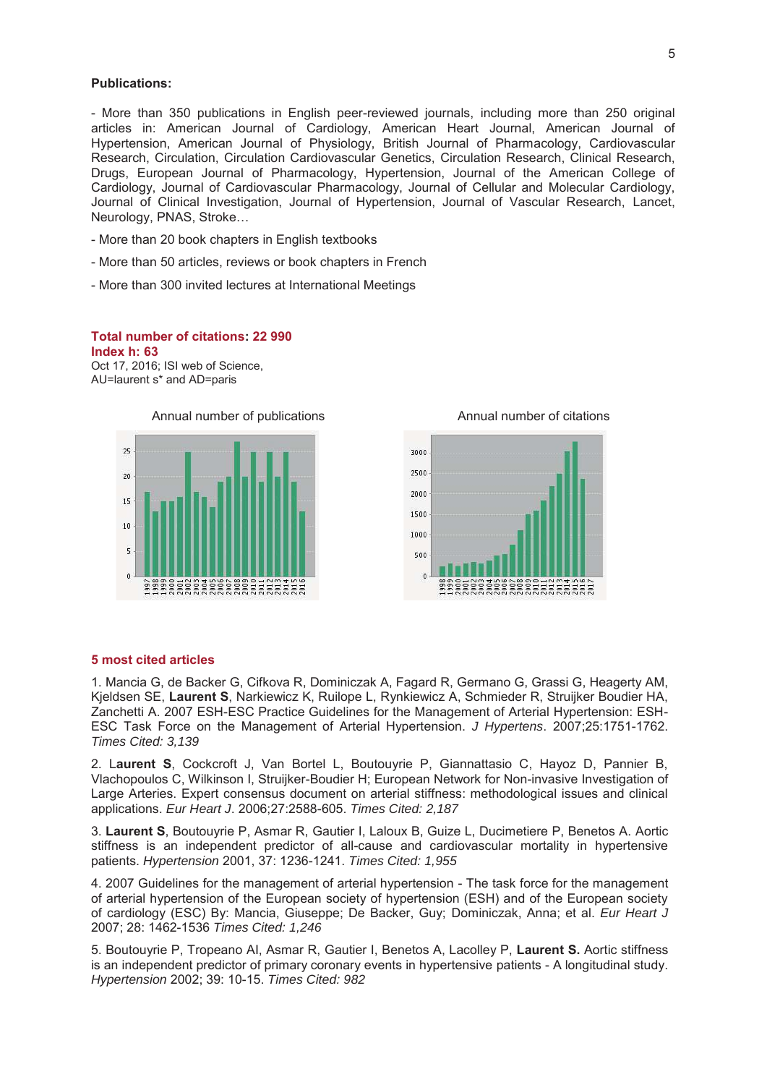#### **Publications:**

- More than 350 publications in English peer-reviewed journals, including more than 250 original articles in: American Journal of Cardiology, American Heart Journal, American Journal of Hypertension, American Journal of Physiology, British Journal of Pharmacology, Cardiovascular Research, Circulation, Circulation Cardiovascular Genetics, Circulation Research, Clinical Research, Drugs, European Journal of Pharmacology, Hypertension, Journal of the American College of Cardiology, Journal of Cardiovascular Pharmacology, Journal of Cellular and Molecular Cardiology, Journal of Clinical Investigation, Journal of Hypertension, Journal of Vascular Research, Lancet, Neurology, PNAS, Stroke…

- More than 20 book chapters in English textbooks
- More than 50 articles, reviews or book chapters in French
- More than 300 invited lectures at International Meetings

#### **Total number of citations: 22 990 Index h: 63**

Oct 17, 2016; ISI web of Science. AU=laurent s\* and AD=paris





# **5 most cited articles**

1. Mancia G, de Backer G, Cifkova R, Dominiczak A, Fagard R, Germano G, Grassi G, Heagerty AM, Kjeldsen SE, **Laurent S**, Narkiewicz K, Ruilope L, Rynkiewicz A, Schmieder R, Struijker Boudier HA, Zanchetti A. 2007 ESH-ESC Practice Guidelines for the Management of Arterial Hypertension: ESH-ESC Task Force on the Management of Arterial Hypertension. *J Hypertens*. 2007;25:1751-1762. *Times Cited: 3,139*

2. L**aurent S**, Cockcroft J, Van Bortel L, Boutouyrie P, Giannattasio C, Hayoz D, Pannier B, Vlachopoulos C, Wilkinson I, Struijker-Boudier H; European Network for Non-invasive Investigation of Large Arteries. Expert consensus document on arterial stiffness: methodological issues and clinical applications. *Eur Heart J*. 2006;27:2588-605. *Times Cited: 2,187* 

3. **Laurent S**, Boutouyrie P, Asmar R, Gautier I, Laloux B, Guize L, Ducimetiere P, Benetos A. Aortic stiffness is an independent predictor of all-cause and cardiovascular mortality in hypertensive patients. *Hypertension* 2001, 37: 1236-1241. *Times Cited: 1,955*

4. 2007 Guidelines for the management of arterial hypertension - The task force for the management of arterial hypertension of the European society of hypertension (ESH) and of the European society of cardiology (ESC) By: Mancia, Giuseppe; De Backer, Guy; Dominiczak, Anna; et al. *Eur Heart J* 2007; 28: 1462-1536 *Times Cited: 1,246*

5. Boutouyrie P, Tropeano AI, Asmar R, Gautier I, Benetos A, Lacolley P, **Laurent S.** Aortic stiffness is an independent predictor of primary coronary events in hypertensive patients - A longitudinal study. *Hypertension* 2002; 39: 10-15. *Times Cited: 982*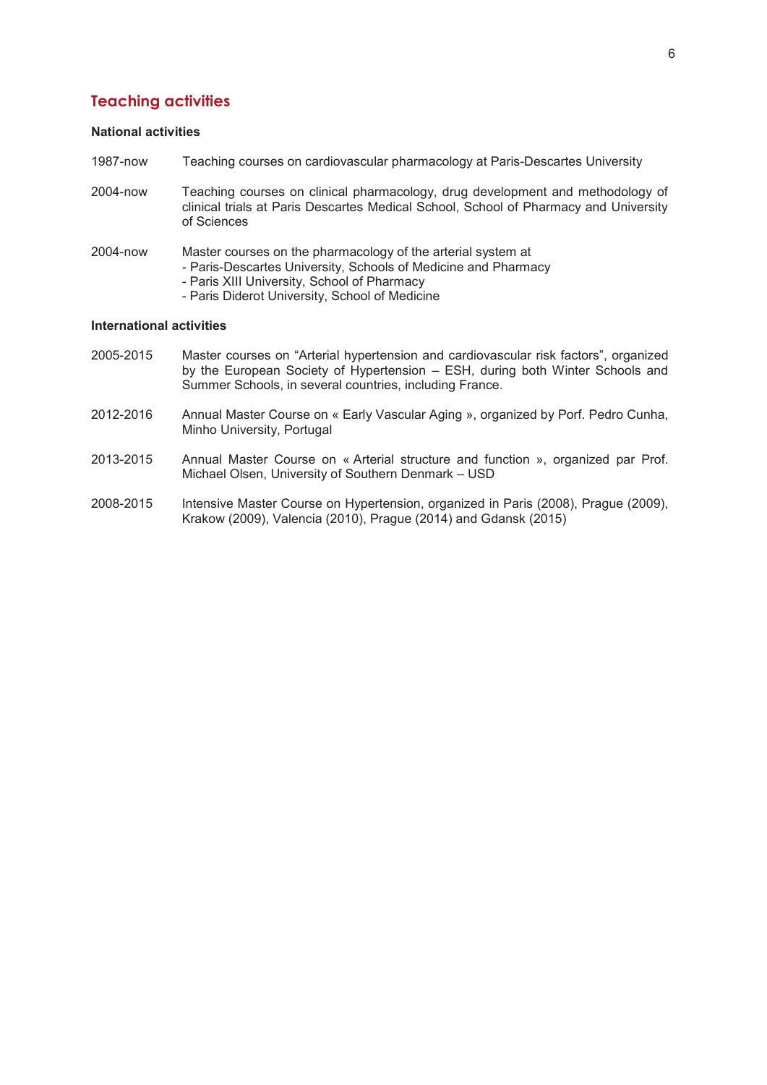# **Teaching activities**

# **National activities**

- 1987-now Teaching courses on cardiovascular pharmacology at Paris-Descartes University
- 2004-now Teaching courses on clinical pharmacology, drug development and methodology of clinical trials at Paris Descartes Medical School, School of Pharmacy and University of Sciences
- 2004-now Master courses on the pharmacology of the arterial system at
	- Paris-Descartes University, Schools of Medicine and Pharmacy
		- Paris XIII University, School of Pharmacy
		- Paris Diderot University, School of Medicine

#### **International activities**

- 2005-2015 Master courses on "Arterial hypertension and cardiovascular risk factors", organized by the European Society of Hypertension – ESH, during both Winter Schools and Summer Schools, in several countries, including France.
- 2012-2016 Annual Master Course on « Early Vascular Aging », organized by Porf. Pedro Cunha, Minho University, Portugal
- 2013-2015 Annual Master Course on « Arterial structure and function », organized par Prof. Michael Olsen, University of Southern Denmark – USD
- 2008-2015 Intensive Master Course on Hypertension, organized in Paris (2008), Prague (2009), Krakow (2009), Valencia (2010), Prague (2014) and Gdansk (2015)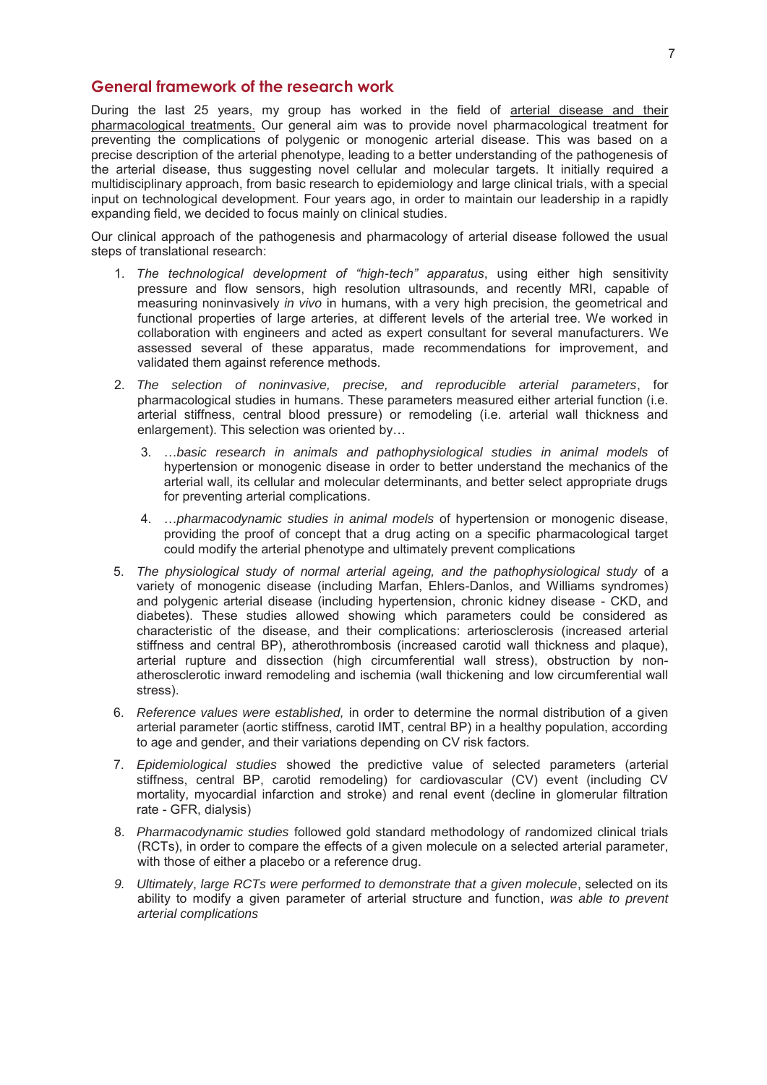# **General framework of the research work**

During the last 25 years, my group has worked in the field of arterial disease and their pharmacological treatments. Our general aim was to provide novel pharmacological treatment for preventing the complications of polygenic or monogenic arterial disease. This was based on a precise description of the arterial phenotype, leading to a better understanding of the pathogenesis of the arterial disease, thus suggesting novel cellular and molecular targets. It initially required a multidisciplinary approach, from basic research to epidemiology and large clinical trials, with a special input on technological development. Four years ago, in order to maintain our leadership in a rapidly expanding field, we decided to focus mainly on clinical studies.

Our clinical approach of the pathogenesis and pharmacology of arterial disease followed the usual steps of translational research:

- 1. *The technological development of "high-tech" apparatus*, using either high sensitivity pressure and flow sensors, high resolution ultrasounds, and recently MRI, capable of measuring noninvasively *in vivo* in humans, with a very high precision, the geometrical and functional properties of large arteries, at different levels of the arterial tree. We worked in collaboration with engineers and acted as expert consultant for several manufacturers. We assessed several of these apparatus, made recommendations for improvement, and validated them against reference methods.
- 2. *The selection of noninvasive, precise, and reproducible arterial parameters*, for pharmacological studies in humans. These parameters measured either arterial function (i.e. arterial stiffness, central blood pressure) or remodeling (i.e. arterial wall thickness and enlargement). This selection was oriented by…
	- 3. …*basic research in animals and pathophysiological studies in animal models* of hypertension or monogenic disease in order to better understand the mechanics of the arterial wall, its cellular and molecular determinants, and better select appropriate drugs for preventing arterial complications.
	- 4. …*pharmacodynamic studies in animal models* of hypertension or monogenic disease, providing the proof of concept that a drug acting on a specific pharmacological target could modify the arterial phenotype and ultimately prevent complications
- 5. *The physiological study of normal arterial ageing, and the pathophysiological study* of a variety of monogenic disease (including Marfan, Ehlers-Danlos, and Williams syndromes) and polygenic arterial disease (including hypertension, chronic kidney disease - CKD, and diabetes). These studies allowed showing which parameters could be considered as characteristic of the disease, and their complications: arteriosclerosis (increased arterial stiffness and central BP), atherothrombosis (increased carotid wall thickness and plaque), arterial rupture and dissection (high circumferential wall stress), obstruction by nonatherosclerotic inward remodeling and ischemia (wall thickening and low circumferential wall stress).
- 6. *Reference values were established,* in order to determine the normal distribution of a given arterial parameter (aortic stiffness, carotid IMT, central BP) in a healthy population, according to age and gender, and their variations depending on CV risk factors.
- 7. *Epidemiological studies* showed the predictive value of selected parameters (arterial stiffness, central BP, carotid remodeling) for cardiovascular (CV) event (including CV mortality, myocardial infarction and stroke) and renal event (decline in glomerular filtration rate - GFR, dialysis)
- 8. *Pharmacodynamic studies* followed gold standard methodology of *r*andomized clinical trials (RCTs), in order to compare the effects of a given molecule on a selected arterial parameter, with those of either a placebo or a reference drug.
- *9. Ultimately*, *large RCTs were performed to demonstrate that a given molecule*, selected on its ability to modify a given parameter of arterial structure and function, *was able to prevent arterial complications*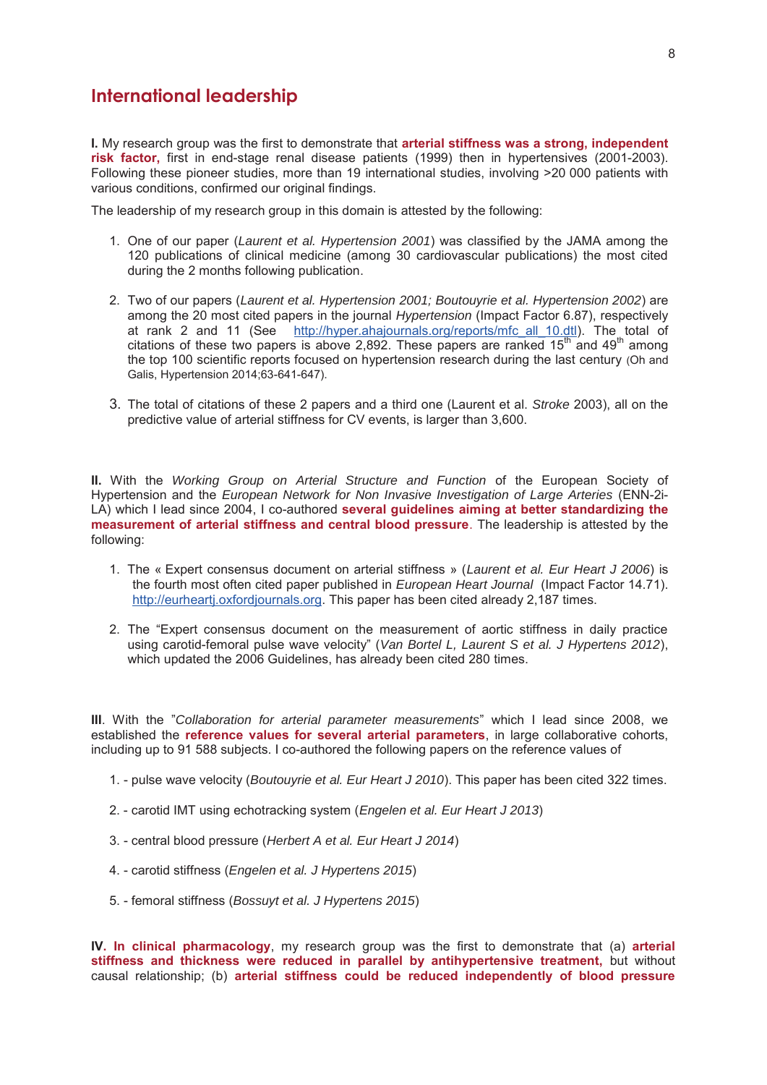# **International leadership**

**I.** My research group was the first to demonstrate that **arterial stiffness was a strong, independent risk factor,** first in end-stage renal disease patients (1999) then in hypertensives (2001-2003). Following these pioneer studies, more than 19 international studies, involving >20 000 patients with various conditions, confirmed our original findings.

The leadership of my research group in this domain is attested by the following:

- 1. One of our paper (*Laurent et al. Hypertension 2001*) was classified by the JAMA among the 120 publications of clinical medicine (among 30 cardiovascular publications) the most cited during the 2 months following publication.
- 2. Two of our papers (*Laurent et al. Hypertension 2001; Boutouyrie et al. Hypertension 2002*) are among the 20 most cited papers in the journal *Hypertension* (Impact Factor 6.87), respectively at rank 2 and 11 (See http://hyper.ahajournals.org/reports/mfc all 10.dtl). The total of citations of these two papers is above 2,892. These papers are ranked  $15<sup>th</sup>$  and  $49<sup>th</sup>$  among the top 100 scientific reports focused on hypertension research during the last century (Oh and Galis, Hypertension 2014;63-641-647).
- 3. The total of citations of these 2 papers and a third one (Laurent et al. *Stroke* 2003), all on the predictive value of arterial stiffness for CV events, is larger than 3,600.

**II.** With the *Working Group on Arterial Structure and Function* of the European Society of Hypertension and the *European Network for Non Invasive Investigation of Large Arteries* (ENN-2i-LA) which I lead since 2004, I co-authored **several guidelines aiming at better standardizing the measurement of arterial stiffness and central blood pressure**. The leadership is attested by the following:

- 1. The « Expert consensus document on arterial stiffness » (*Laurent et al. Eur Heart J 2006*) is the fourth most often cited paper published in *European Heart Journal* (Impact Factor 14.71). http://eurheartj.oxfordjournals.org. This paper has been cited already 2,187 times.
- 2. The "Expert consensus document on the measurement of aortic stiffness in daily practice using carotid-femoral pulse wave velocity" (*Van Bortel L, Laurent S et al. J Hypertens 2012*), which updated the 2006 Guidelines, has already been cited 280 times.

**III**. With the "*Collaboration for arterial parameter measurements*" which I lead since 2008, we established the **reference values for several arterial parameters**, in large collaborative cohorts, including up to 91 588 subjects. I co-authored the following papers on the reference values of

- 1. pulse wave velocity (*Boutouyrie et al. Eur Heart J 2010*). This paper has been cited 322 times.
- 2. carotid IMT using echotracking system (*Engelen et al. Eur Heart J 2013*)
- 3. central blood pressure (*Herbert A et al. Eur Heart J 2014*)
- 4. carotid stiffness (*Engelen et al. J Hypertens 2015*)
- 5. femoral stiffness (*Bossuyt et al. J Hypertens 2015*)

**IV. In clinical pharmacology**, my research group was the first to demonstrate that (a) **arterial stiffness and thickness were reduced in parallel by antihypertensive treatment,** but without causal relationship; (b) **arterial stiffness could be reduced independently of blood pressure**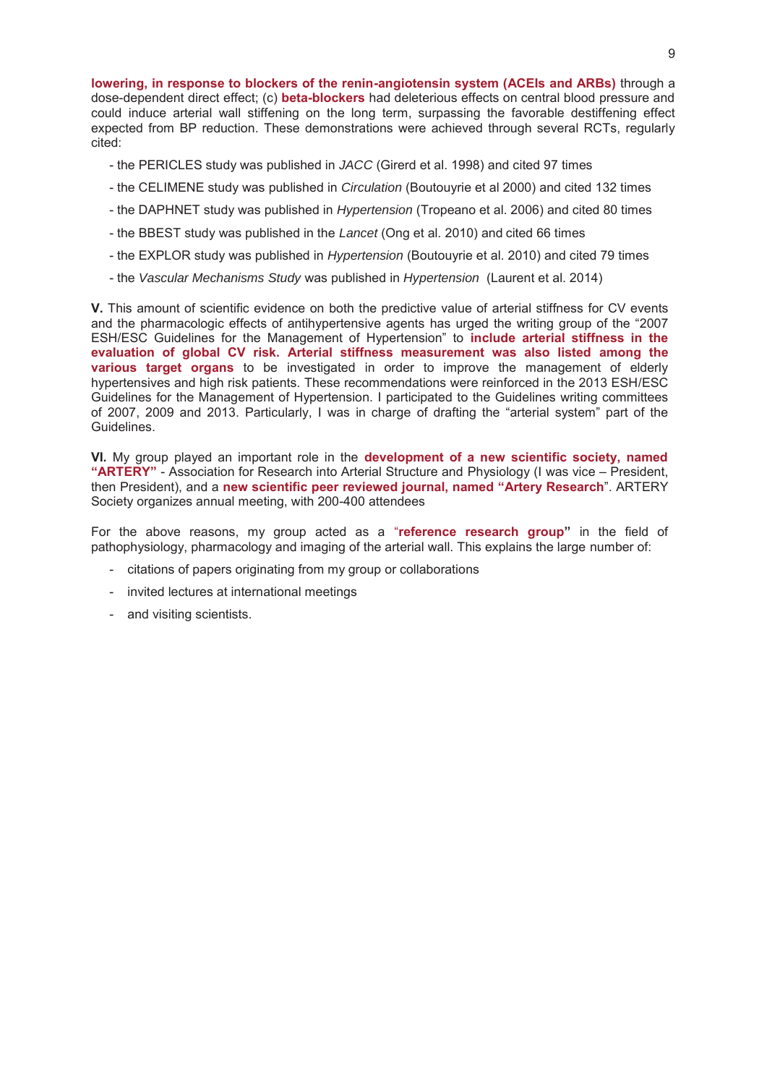**lowering, in response to blockers of the renin-angiotensin system (ACEIs and ARBs)** through a dose-dependent direct effect; (c) **beta-blockers** had deleterious effects on central blood pressure and could induce arterial wall stiffening on the long term, surpassing the favorable destiffening effect expected from BP reduction. These demonstrations were achieved through several RCTs, regularly cited:

- the PERICLES study was published in *JACC* (Girerd et al. 1998) and cited 97 times
- the CELIMENE study was published in *Circulation* (Boutouyrie et al 2000) and cited 132 times
- the DAPHNET study was published in *Hypertension* (Tropeano et al. 2006) and cited 80 times
- the BBEST study was published in the *Lancet* (Ong et al. 2010) and cited 66 times
- the EXPLOR study was published in *Hypertension* (Boutouyrie et al. 2010) and cited 79 times
- the *Vascular Mechanisms Study* was published in *Hypertension* (Laurent et al. 2014)

**V.** This amount of scientific evidence on both the predictive value of arterial stiffness for CV events and the pharmacologic effects of antihypertensive agents has urged the writing group of the "2007 ESH/ESC Guidelines for the Management of Hypertension" to **include arterial stiffness in the evaluation of global CV risk. Arterial stiffness measurement was also listed among the various target organs** to be investigated in order to improve the management of elderly hypertensives and high risk patients. These recommendations were reinforced in the 2013 ESH/ESC Guidelines for the Management of Hypertension. I participated to the Guidelines writing committees of 2007, 2009 and 2013. Particularly, I was in charge of drafting the "arterial system" part of the Guidelines.

**VI.** My group played an important role in the **development of a new scientific society, named "ARTERY"** - Association for Research into Arterial Structure and Physiology (I was vice – President, then President), and a **new scientific peer reviewed journal, named "Artery Research**". ARTERY Society organizes annual meeting, with 200-400 attendees

For the above reasons, my group acted as a "**reference research group"** in the field of pathophysiology, pharmacology and imaging of the arterial wall. This explains the large number of:

- citations of papers originating from my group or collaborations
- invited lectures at international meetings
- and visiting scientists.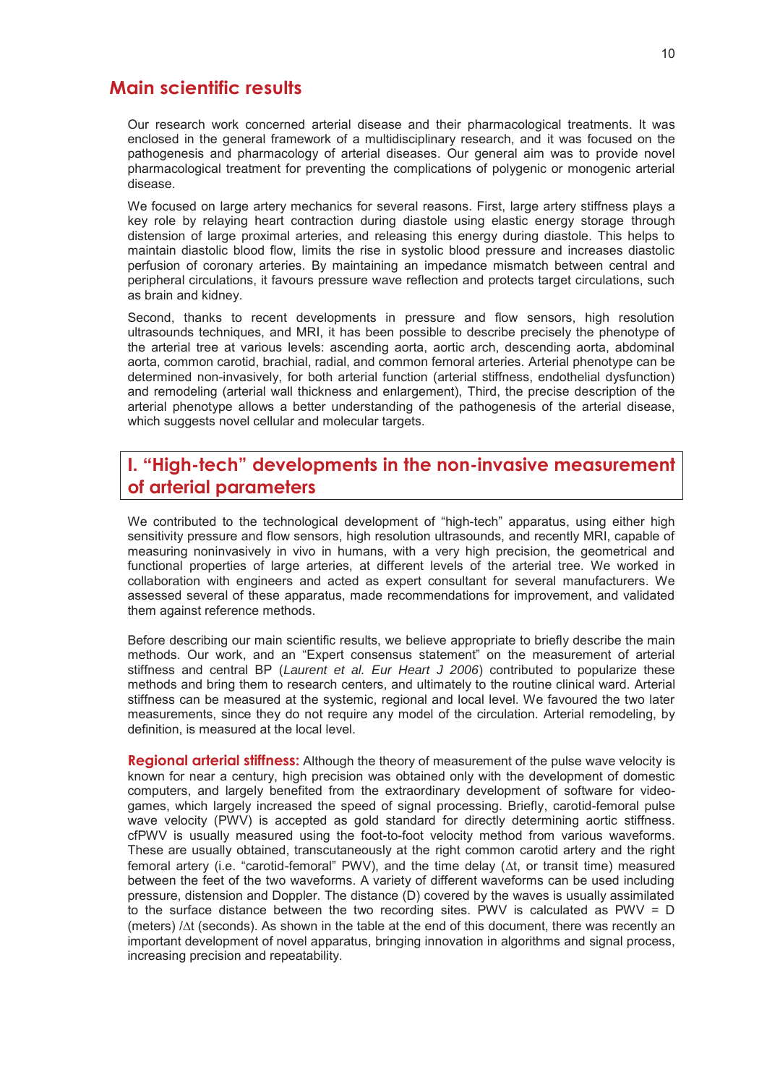# **Main scientific results**

Our research work concerned arterial disease and their pharmacological treatments. It was enclosed in the general framework of a multidisciplinary research, and it was focused on the pathogenesis and pharmacology of arterial diseases. Our general aim was to provide novel pharmacological treatment for preventing the complications of polygenic or monogenic arterial disease.

We focused on large artery mechanics for several reasons. First, large artery stiffness plays a key role by relaying heart contraction during diastole using elastic energy storage through distension of large proximal arteries, and releasing this energy during diastole. This helps to maintain diastolic blood flow, limits the rise in systolic blood pressure and increases diastolic perfusion of coronary arteries. By maintaining an impedance mismatch between central and peripheral circulations, it favours pressure wave reflection and protects target circulations, such as brain and kidney.

Second, thanks to recent developments in pressure and flow sensors, high resolution ultrasounds techniques, and MRI, it has been possible to describe precisely the phenotype of the arterial tree at various levels: ascending aorta, aortic arch, descending aorta, abdominal aorta, common carotid, brachial, radial, and common femoral arteries. Arterial phenotype can be determined non-invasively, for both arterial function (arterial stiffness, endothelial dysfunction) and remodeling (arterial wall thickness and enlargement), Third, the precise description of the arterial phenotype allows a better understanding of the pathogenesis of the arterial disease, which suggests novel cellular and molecular targets.

# **I. "High-tech" developments in the non-invasive measurement of arterial parameters**

We contributed to the technological development of "high-tech" apparatus, using either high sensitivity pressure and flow sensors, high resolution ultrasounds, and recently MRI, capable of measuring noninvasively in vivo in humans, with a very high precision, the geometrical and functional properties of large arteries, at different levels of the arterial tree. We worked in collaboration with engineers and acted as expert consultant for several manufacturers. We assessed several of these apparatus, made recommendations for improvement, and validated them against reference methods.

Before describing our main scientific results, we believe appropriate to briefly describe the main methods. Our work, and an "Expert consensus statement" on the measurement of arterial stiffness and central BP (*Laurent et al. Eur Heart J 2006*) contributed to popularize these methods and bring them to research centers, and ultimately to the routine clinical ward. Arterial stiffness can be measured at the systemic, regional and local level. We favoured the two later measurements, since they do not require any model of the circulation. Arterial remodeling, by definition, is measured at the local level.

**Regional arterial stiffness:** Although the theory of measurement of the pulse wave velocity is known for near a century, high precision was obtained only with the development of domestic computers, and largely benefited from the extraordinary development of software for videogames, which largely increased the speed of signal processing. Briefly, carotid-femoral pulse wave velocity (PWV) is accepted as gold standard for directly determining aortic stiffness. cfPWV is usually measured using the foot-to-foot velocity method from various waveforms. These are usually obtained, transcutaneously at the right common carotid artery and the right femoral artery (i.e. "carotid-femoral" PWV), and the time delay ( $\Delta t$ , or transit time) measured between the feet of the two waveforms. A variety of different waveforms can be used including pressure, distension and Doppler. The distance (D) covered by the waves is usually assimilated to the surface distance between the two recording sites. PWV is calculated as PWV = D (meters) / $\Delta t$  (seconds). As shown in the table at the end of this document, there was recently an important development of novel apparatus, bringing innovation in algorithms and signal process, increasing precision and repeatability.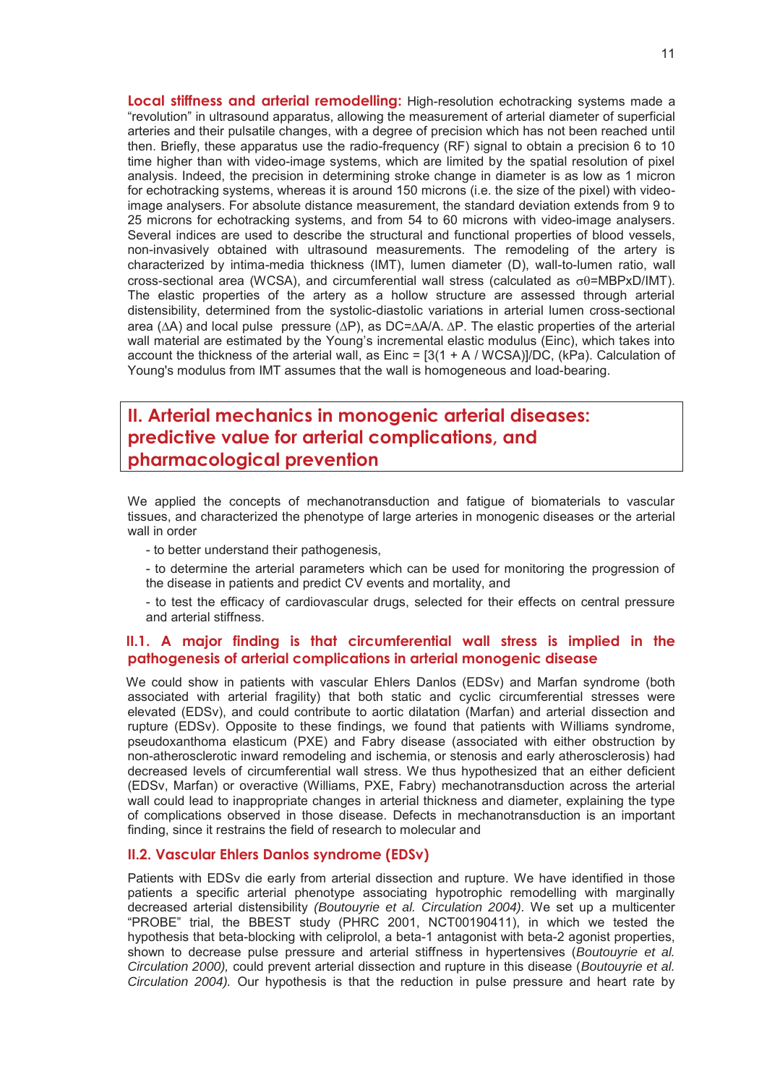**Local stiffness and arterial remodelling:** High-resolution echotracking systems made a "revolution" in ultrasound apparatus, allowing the measurement of arterial diameter of superficial arteries and their pulsatile changes, with a degree of precision which has not been reached until then. Briefly, these apparatus use the radio-frequency (RF) signal to obtain a precision 6 to 10 time higher than with video-image systems, which are limited by the spatial resolution of pixel analysis. Indeed, the precision in determining stroke change in diameter is as low as 1 micron for echotracking systems, whereas it is around 150 microns (i.e. the size of the pixel) with videoimage analysers. For absolute distance measurement, the standard deviation extends from 9 to 25 microns for echotracking systems, and from 54 to 60 microns with video-image analysers. Several indices are used to describe the structural and functional properties of blood vessels, non-invasively obtained with ultrasound measurements. The remodeling of the artery is characterized by intima-media thickness (IMT), lumen diameter (D), wall-to-lumen ratio, wall cross-sectional area (WCSA), and circumferential wall stress (calculated as  $\sigma\theta$ =MBPxD/IMT). The elastic properties of the artery as a hollow structure are assessed through arterial distensibility, determined from the systolic-diastolic variations in arterial lumen cross-sectional area ( $\Delta A$ ) and local pulse pressure ( $\Delta P$ ), as DC= $\Delta A/A$ .  $\Delta P$ . The elastic properties of the arterial wall material are estimated by the Young's incremental elastic modulus (Einc), which takes into account the thickness of the arterial wall, as  $Einc = [3(1 + A / WCSA)]/DC$ , (kPa). Calculation of Young's modulus from IMT assumes that the wall is homogeneous and load-bearing.

# **II. Arterial mechanics in monogenic arterial diseases: predictive value for arterial complications, and pharmacological prevention**

We applied the concepts of mechanotransduction and fatigue of biomaterials to vascular tissues, and characterized the phenotype of large arteries in monogenic diseases or the arterial wall in order

- to better understand their pathogenesis,

- to determine the arterial parameters which can be used for monitoring the progression of the disease in patients and predict CV events and mortality, and

- to test the efficacy of cardiovascular drugs, selected for their effects on central pressure and arterial stiffness.

# **II.1. A major finding is that circumferential wall stress is implied in the pathogenesis of arterial complications in arterial monogenic disease**

We could show in patients with vascular Ehlers Danlos (EDSv) and Marfan syndrome (both associated with arterial fragility) that both static and cyclic circumferential stresses were elevated (EDSv), and could contribute to aortic dilatation (Marfan) and arterial dissection and rupture (EDSv). Opposite to these findings, we found that patients with Williams syndrome, pseudoxanthoma elasticum (PXE) and Fabry disease (associated with either obstruction by non-atherosclerotic inward remodeling and ischemia, or stenosis and early atherosclerosis) had decreased levels of circumferential wall stress. We thus hypothesized that an either deficient (EDSv, Marfan) or overactive (Williams, PXE, Fabry) mechanotransduction across the arterial wall could lead to inappropriate changes in arterial thickness and diameter, explaining the type of complications observed in those disease. Defects in mechanotransduction is an important finding, since it restrains the field of research to molecular and

# **II.2. Vascular Ehlers Danlos syndrome (EDSv)**

Patients with EDSv die early from arterial dissection and rupture. We have identified in those patients a specific arterial phenotype associating hypotrophic remodelling with marginally decreased arterial distensibility *(Boutouyrie et al. Circulation 2004).* We set up a multicenter "PROBE" trial, the BBEST study (PHRC 2001, NCT00190411), in which we tested the hypothesis that beta-blocking with celiprolol, a beta-1 antagonist with beta-2 agonist properties, shown to decrease pulse pressure and arterial stiffness in hypertensives (*Boutouyrie et al. Circulation 2000),* could prevent arterial dissection and rupture in this disease (*Boutouyrie et al. Circulation 2004).* Our hypothesis is that the reduction in pulse pressure and heart rate by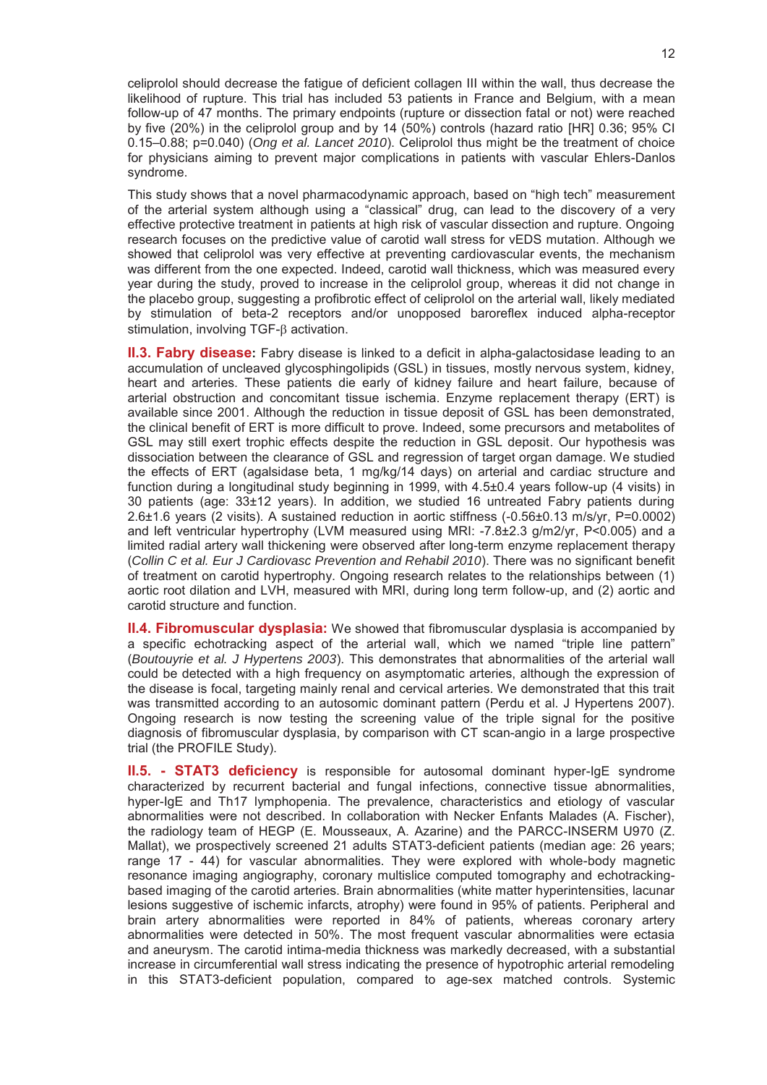celiprolol should decrease the fatigue of deficient collagen III within the wall, thus decrease the likelihood of rupture. This trial has included 53 patients in France and Belgium, with a mean follow-up of 47 months. The primary endpoints (rupture or dissection fatal or not) were reached by five (20%) in the celiprolol group and by 14 (50%) controls (hazard ratio [HR] 0.36; 95% CI 0.15–0.88; p=0.040) (*Ong et al. Lancet 2010*). Celiprolol thus might be the treatment of choice for physicians aiming to prevent major complications in patients with vascular Ehlers-Danlos syndrome.

This study shows that a novel pharmacodynamic approach, based on "high tech" measurement of the arterial system although using a "classical" drug, can lead to the discovery of a very effective protective treatment in patients at high risk of vascular dissection and rupture. Ongoing research focuses on the predictive value of carotid wall stress for vEDS mutation. Although we showed that celiprolol was very effective at preventing cardiovascular events, the mechanism was different from the one expected. Indeed, carotid wall thickness, which was measured every year during the study, proved to increase in the celiprolol group, whereas it did not change in the placebo group, suggesting a profibrotic effect of celiprolol on the arterial wall, likely mediated by stimulation of beta-2 receptors and/or unopposed baroreflex induced alpha-receptor stimulation, involving  $TGF- $\beta$  activation.$ 

**II.3. Fabry disease:** Fabry disease is linked to a deficit in alpha-galactosidase leading to an accumulation of uncleaved glycosphingolipids (GSL) in tissues, mostly nervous system, kidney, heart and arteries. These patients die early of kidney failure and heart failure, because of arterial obstruction and concomitant tissue ischemia. Enzyme replacement therapy (ERT) is available since 2001. Although the reduction in tissue deposit of GSL has been demonstrated. the clinical benefit of ERT is more difficult to prove. Indeed, some precursors and metabolites of GSL may still exert trophic effects despite the reduction in GSL deposit. Our hypothesis was dissociation between the clearance of GSL and regression of target organ damage. We studied the effects of ERT (agalsidase beta, 1 mg/kg/14 days) on arterial and cardiac structure and function during a longitudinal study beginning in 1999, with 4.5±0.4 years follow-up (4 visits) in 30 patients (age: 33±12 years). In addition, we studied 16 untreated Fabry patients during 2.6±1.6 years (2 visits). A sustained reduction in aortic stiffness (-0.56±0.13 m/s/yr, P=0.0002) and left ventricular hypertrophy (LVM measured using MRI: -7.8±2.3 g/m2/yr, P<0.005) and a limited radial artery wall thickening were observed after long-term enzyme replacement therapy (*Collin C et al. Eur J Cardiovasc Prevention and Rehabil 2010*). There was no significant benefit of treatment on carotid hypertrophy. Ongoing research relates to the relationships between (1) aortic root dilation and LVH, measured with MRI, during long term follow-up, and (2) aortic and carotid structure and function.

**II.4. Fibromuscular dysplasia:** We showed that fibromuscular dysplasia is accompanied by a specific echotracking aspect of the arterial wall, which we named "triple line pattern" (*Boutouyrie et al. J Hypertens 2003*). This demonstrates that abnormalities of the arterial wall could be detected with a high frequency on asymptomatic arteries, although the expression of the disease is focal, targeting mainly renal and cervical arteries. We demonstrated that this trait was transmitted according to an autosomic dominant pattern (Perdu et al. J Hypertens 2007). Ongoing research is now testing the screening value of the triple signal for the positive diagnosis of fibromuscular dysplasia, by comparison with CT scan-angio in a large prospective trial (the PROFILE Study).

**II.5. - STAT3 deficiency** is responsible for autosomal dominant hyper-IgE syndrome characterized by recurrent bacterial and fungal infections, connective tissue abnormalities, hyper-IgE and Th17 lymphopenia. The prevalence, characteristics and etiology of vascular abnormalities were not described. In collaboration with Necker Enfants Malades (A. Fischer), the radiology team of HEGP (E. Mousseaux, A. Azarine) and the PARCC-INSERM U970 (Z. Mallat), we prospectively screened 21 adults STAT3-deficient patients (median age: 26 years; range 17 - 44) for vascular abnormalities. They were explored with whole-body magnetic resonance imaging angiography, coronary multislice computed tomography and echotrackingbased imaging of the carotid arteries. Brain abnormalities (white matter hyperintensities, lacunar lesions suggestive of ischemic infarcts, atrophy) were found in 95% of patients. Peripheral and brain artery abnormalities were reported in 84% of patients, whereas coronary artery abnormalities were detected in 50%. The most frequent vascular abnormalities were ectasia and aneurysm. The carotid intima-media thickness was markedly decreased, with a substantial increase in circumferential wall stress indicating the presence of hypotrophic arterial remodeling in this STAT3-deficient population, compared to age-sex matched controls. Systemic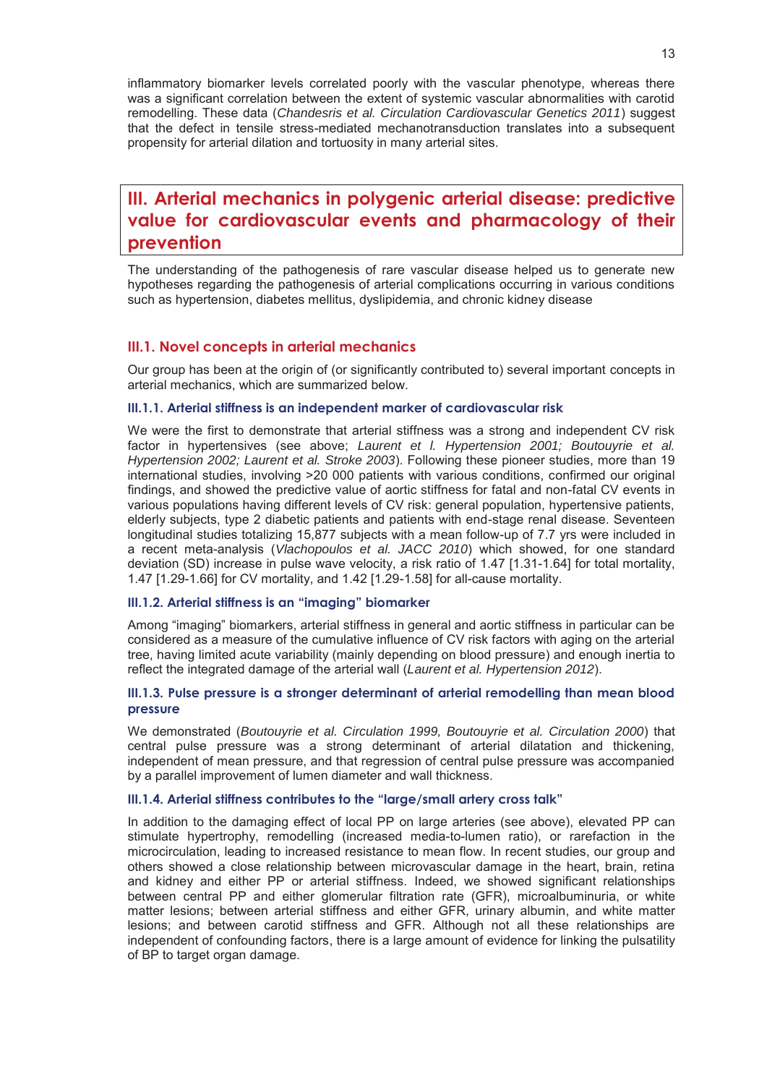inflammatory biomarker levels correlated poorly with the vascular phenotype, whereas there was a significant correlation between the extent of systemic vascular abnormalities with carotid remodelling. These data (*Chandesris et al. Circulation Cardiovascular Genetics 2011*) suggest that the defect in tensile stress-mediated mechanotransduction translates into a subsequent propensity for arterial dilation and tortuosity in many arterial sites.

# **III. Arterial mechanics in polygenic arterial disease: predictive value for cardiovascular events and pharmacology of their prevention**

The understanding of the pathogenesis of rare vascular disease helped us to generate new hypotheses regarding the pathogenesis of arterial complications occurring in various conditions such as hypertension, diabetes mellitus, dyslipidemia, and chronic kidney disease

# **III.1. Novel concepts in arterial mechanics**

Our group has been at the origin of (or significantly contributed to) several important concepts in arterial mechanics, which are summarized below.

#### **III.1.1. Arterial stiffness is an independent marker of cardiovascular risk**

We were the first to demonstrate that arterial stiffness was a strong and independent CV risk factor in hypertensives (see above; *Laurent et l. Hypertension 2001; Boutouyrie et al. Hypertension 2002; Laurent et al. Stroke 2003*). Following these pioneer studies, more than 19 international studies, involving >20 000 patients with various conditions, confirmed our original findings, and showed the predictive value of aortic stiffness for fatal and non-fatal CV events in various populations having different levels of CV risk: general population, hypertensive patients, elderly subjects, type 2 diabetic patients and patients with end-stage renal disease. Seventeen longitudinal studies totalizing 15,877 subjects with a mean follow-up of 7.7 yrs were included in a recent meta-analysis (*Vlachopoulos et al. JACC 2010*) which showed, for one standard deviation (SD) increase in pulse wave velocity, a risk ratio of 1.47 [1.31-1.64] for total mortality, 1.47 [1.29-1.66] for CV mortality, and 1.42 [1.29-1.58] for all-cause mortality.

# **III.1.2. Arterial stiffness is an "imaging" biomarker**

Among "imaging" biomarkers, arterial stiffness in general and aortic stiffness in particular can be considered as a measure of the cumulative influence of CV risk factors with aging on the arterial tree, having limited acute variability (mainly depending on blood pressure) and enough inertia to reflect the integrated damage of the arterial wall (*Laurent et al. Hypertension 2012*).

## **III.1.3. Pulse pressure is a stronger determinant of arterial remodelling than mean blood pressure**

We demonstrated (*Boutouyrie et al. Circulation 1999, Boutouyrie et al. Circulation 2000*) that central pulse pressure was a strong determinant of arterial dilatation and thickening, independent of mean pressure, and that regression of central pulse pressure was accompanied by a parallel improvement of lumen diameter and wall thickness.

## **III.1.4. Arterial stiffness contributes to the "large/small artery cross talk"**

In addition to the damaging effect of local PP on large arteries (see above), elevated PP can stimulate hypertrophy, remodelling (increased media-to-lumen ratio), or rarefaction in the microcirculation, leading to increased resistance to mean flow. In recent studies, our group and others showed a close relationship between microvascular damage in the heart, brain, retina and kidney and either PP or arterial stiffness. Indeed, we showed significant relationships between central PP and either glomerular filtration rate (GFR), microalbuminuria, or white matter lesions; between arterial stiffness and either GFR, urinary albumin, and white matter lesions; and between carotid stiffness and GFR. Although not all these relationships are independent of confounding factors, there is a large amount of evidence for linking the pulsatility of BP to target organ damage.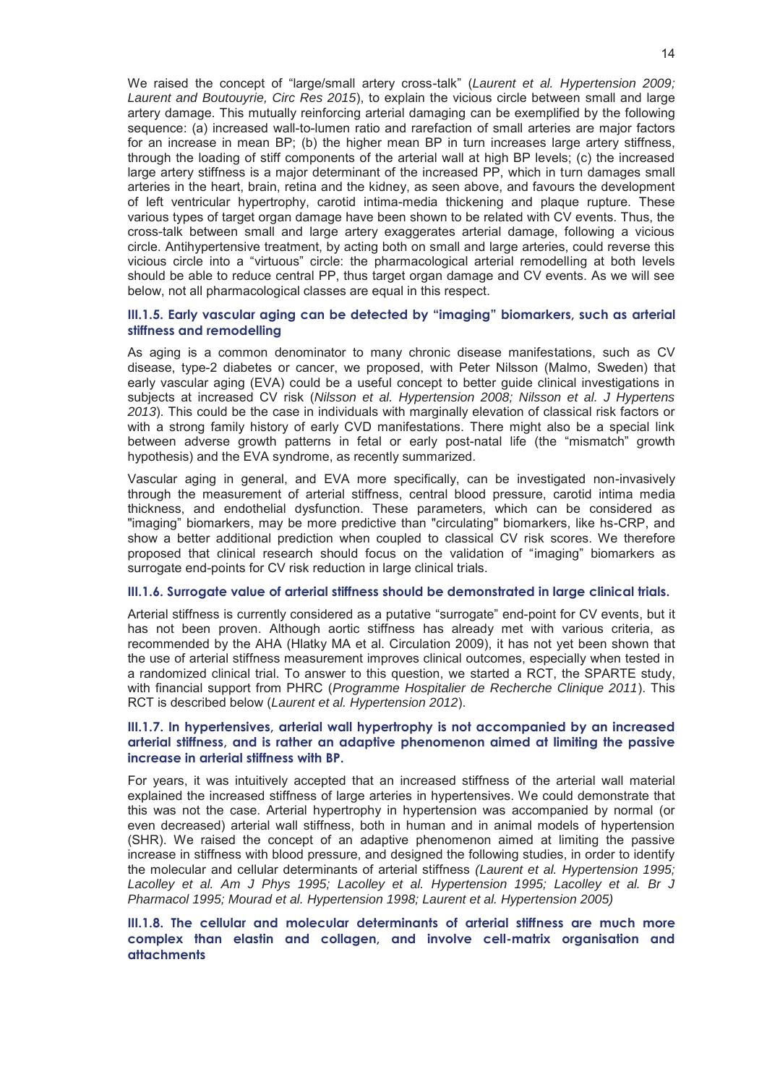We raised the concept of "large/small artery cross-talk" (*Laurent et al. Hypertension 2009; Laurent and Boutouyrie, Circ Res 2015*), to explain the vicious circle between small and large artery damage. This mutually reinforcing arterial damaging can be exemplified by the following sequence: (a) increased wall-to-lumen ratio and rarefaction of small arteries are major factors for an increase in mean BP; (b) the higher mean BP in turn increases large artery stiffness, through the loading of stiff components of the arterial wall at high BP levels; (c) the increased large artery stiffness is a major determinant of the increased PP, which in turn damages small arteries in the heart, brain, retina and the kidney, as seen above, and favours the development of left ventricular hypertrophy, carotid intima-media thickening and plaque rupture. These various types of target organ damage have been shown to be related with CV events. Thus, the cross-talk between small and large artery exaggerates arterial damage, following a vicious circle. Antihypertensive treatment, by acting both on small and large arteries, could reverse this vicious circle into a "virtuous" circle: the pharmacological arterial remodelling at both levels should be able to reduce central PP, thus target organ damage and CV events. As we will see below, not all pharmacological classes are equal in this respect.

# **III.1.5. Early vascular aging can be detected by "imaging" biomarkers, such as arterial stiffness and remodelling**

As aging is a common denominator to many chronic disease manifestations, such as CV disease, type-2 diabetes or cancer, we proposed, with Peter Nilsson (Malmo, Sweden) that early vascular aging (EVA) could be a useful concept to better guide clinical investigations in subjects at increased CV risk (*Nilsson et al. Hypertension 2008; Nilsson et al. J Hypertens 2013*). This could be the case in individuals with marginally elevation of classical risk factors or with a strong family history of early CVD manifestations. There might also be a special link between adverse growth patterns in fetal or early post-natal life (the "mismatch" growth hypothesis) and the EVA syndrome, as recently summarized.

Vascular aging in general, and EVA more specifically, can be investigated non-invasively through the measurement of arterial stiffness, central blood pressure, carotid intima media thickness, and endothelial dysfunction. These parameters, which can be considered as "imaging" biomarkers, may be more predictive than "circulating" biomarkers, like hs-CRP, and show a better additional prediction when coupled to classical CV risk scores. We therefore proposed that clinical research should focus on the validation of "imaging" biomarkers as surrogate end-points for CV risk reduction in large clinical trials.

## **III.1.6. Surrogate value of arterial stiffness should be demonstrated in large clinical trials.**

Arterial stiffness is currently considered as a putative "surrogate" end-point for CV events, but it has not been proven. Although aortic stiffness has already met with various criteria, as recommended by the AHA (Hlatky MA et al. Circulation 2009), it has not yet been shown that the use of arterial stiffness measurement improves clinical outcomes, especially when tested in a randomized clinical trial. To answer to this question, we started a RCT, the SPARTE study, with financial support from PHRC (*Programme Hospitalier de Recherche Clinique 2011*). This RCT is described below (*Laurent et al. Hypertension 2012*).

# **III.1.7. In hypertensives, arterial wall hypertrophy is not accompanied by an increased arterial stiffness, and is rather an adaptive phenomenon aimed at limiting the passive increase in arterial stiffness with BP.**

For years, it was intuitively accepted that an increased stiffness of the arterial wall material explained the increased stiffness of large arteries in hypertensives. We could demonstrate that this was not the case. Arterial hypertrophy in hypertension was accompanied by normal (or even decreased) arterial wall stiffness, both in human and in animal models of hypertension (SHR). We raised the concept of an adaptive phenomenon aimed at limiting the passive increase in stiffness with blood pressure, and designed the following studies, in order to identify the molecular and cellular determinants of arterial stiffness *(Laurent et al. Hypertension 1995; Lacolley et al. Am J Phys 1995; Lacolley et al. Hypertension 1995; Lacolley et al. Br J Pharmacol 1995; Mourad et al. Hypertension 1998; Laurent et al. Hypertension 2005)*

**III.1.8. The cellular and molecular determinants of arterial stiffness are much more complex than elastin and collagen, and involve cell-matrix organisation and attachments**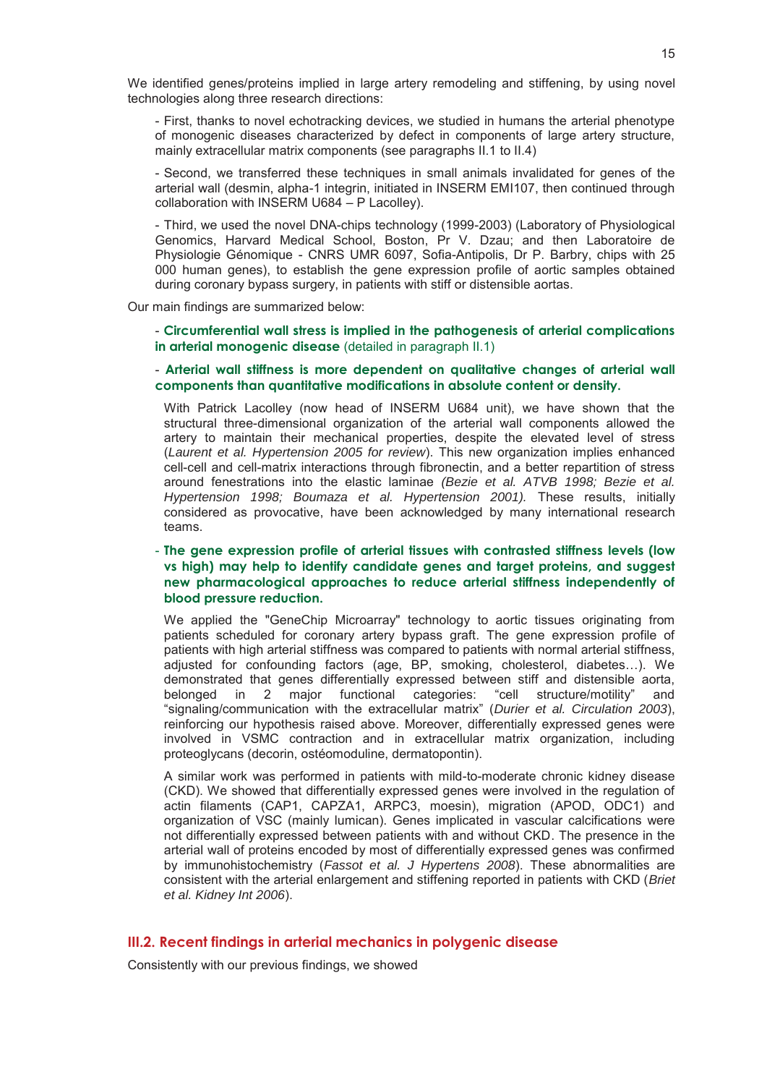We identified genes/proteins implied in large artery remodeling and stiffening, by using novel technologies along three research directions:

- First, thanks to novel echotracking devices, we studied in humans the arterial phenotype of monogenic diseases characterized by defect in components of large artery structure, mainly extracellular matrix components (see paragraphs II.1 to II.4)

- Second, we transferred these techniques in small animals invalidated for genes of the arterial wall (desmin, alpha-1 integrin, initiated in INSERM EMI107, then continued through collaboration with INSERM U684 – P Lacolley).

- Third, we used the novel DNA-chips technology (1999-2003) (Laboratory of Physiological Genomics, Harvard Medical School, Boston, Pr V. Dzau; and then Laboratoire de Physiologie Génomique - CNRS UMR 6097, Sofia-Antipolis, Dr P. Barbry, chips with 25 000 human genes), to establish the gene expression profile of aortic samples obtained during coronary bypass surgery, in patients with stiff or distensible aortas.

Our main findings are summarized below:

- **Circumferential wall stress is implied in the pathogenesis of arterial complications in arterial monogenic disease** (detailed in paragraph II.1)

#### - **Arterial wall stiffness is more dependent on qualitative changes of arterial wall components than quantitative modifications in absolute content or density.**

With Patrick Lacolley (now head of INSERM U684 unit), we have shown that the structural three-dimensional organization of the arterial wall components allowed the artery to maintain their mechanical properties, despite the elevated level of stress (*Laurent et al. Hypertension 2005 for review*). This new organization implies enhanced cell-cell and cell-matrix interactions through fibronectin, and a better repartition of stress around fenestrations into the elastic laminae *(Bezie et al. ATVB 1998; Bezie et al. Hypertension 1998; Boumaza et al. Hypertension 2001).* These results, initially considered as provocative, have been acknowledged by many international research teams.

# - **The gene expression profile of arterial tissues with contrasted stiffness levels (low vs high) may help to identify candidate genes and target proteins, and suggest new pharmacological approaches to reduce arterial stiffness independently of blood pressure reduction.**

We applied the "GeneChip Microarray" technology to aortic tissues originating from patients scheduled for coronary artery bypass graft. The gene expression profile of patients with high arterial stiffness was compared to patients with normal arterial stiffness, adjusted for confounding factors (age, BP, smoking, cholesterol, diabetes…). We demonstrated that genes differentially expressed between stiff and distensible aorta, belonged in 2 major functional categories: "cell structure/motility" and "signaling/communication with the extracellular matrix" (*Durier et al. Circulation 2003*), reinforcing our hypothesis raised above. Moreover, differentially expressed genes were involved in VSMC contraction and in extracellular matrix organization, including proteoglycans (decorin, ostéomoduline, dermatopontin).

A similar work was performed in patients with mild-to-moderate chronic kidney disease (CKD). We showed that differentially expressed genes were involved in the regulation of actin filaments (CAP1, CAPZA1, ARPC3, moesin), migration (APOD, ODC1) and organization of VSC (mainly lumican). Genes implicated in vascular calcifications were not differentially expressed between patients with and without CKD. The presence in the arterial wall of proteins encoded by most of differentially expressed genes was confirmed by immunohistochemistry (*Fassot et al. J Hypertens 2008*). These abnormalities are consistent with the arterial enlargement and stiffening reported in patients with CKD (*Briet et al. Kidney Int 2006*).

# **III.2. Recent findings in arterial mechanics in polygenic disease**

Consistently with our previous findings, we showed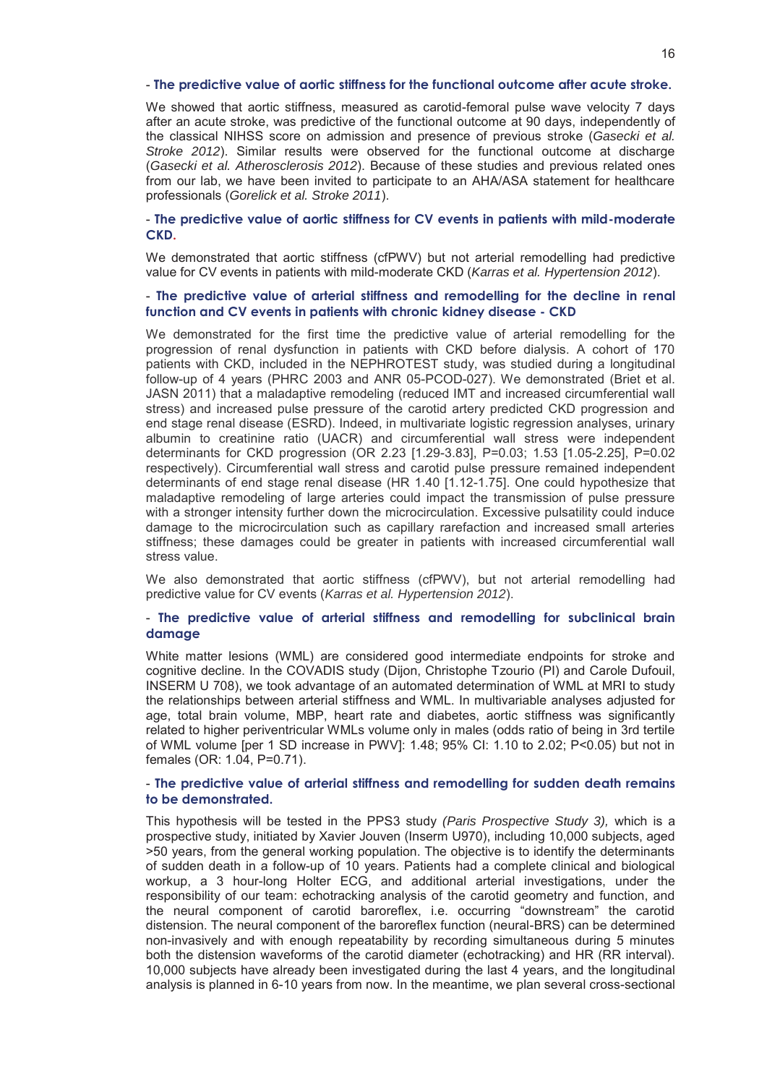#### - **The predictive value of aortic stiffness for the functional outcome after acute stroke.**

We showed that aortic stiffness, measured as carotid-femoral pulse wave velocity 7 days after an acute stroke, was predictive of the functional outcome at 90 days, independently of the classical NIHSS score on admission and presence of previous stroke (*Gasecki et al. Stroke 2012*). Similar results were observed for the functional outcome at discharge (*Gasecki et al. Atherosclerosis 2012*). Because of these studies and previous related ones from our lab, we have been invited to participate to an AHA/ASA statement for healthcare professionals (*Gorelick et al. Stroke 2011*).

# - **The predictive value of aortic stiffness for CV events in patients with mild-moderate CKD.**

We demonstrated that aortic stiffness (cfPWV) but not arterial remodelling had predictive value for CV events in patients with mild-moderate CKD (*Karras et al. Hypertension 2012*).

# - **The predictive value of arterial stiffness and remodelling for the decline in renal function and CV events in patients with chronic kidney disease - CKD**

We demonstrated for the first time the predictive value of arterial remodelling for the progression of renal dysfunction in patients with CKD before dialysis. A cohort of 170 patients with CKD, included in the NEPHROTEST study, was studied during a longitudinal follow-up of 4 years (PHRC 2003 and ANR 05-PCOD-027). We demonstrated (Briet et al. JASN 2011) that a maladaptive remodeling (reduced IMT and increased circumferential wall stress) and increased pulse pressure of the carotid artery predicted CKD progression and end stage renal disease (ESRD). Indeed, in multivariate logistic regression analyses, urinary albumin to creatinine ratio (UACR) and circumferential wall stress were independent determinants for CKD progression (OR 2.23 [1.29-3.83], P=0.03; 1.53 [1.05-2.25], P=0.02 respectively). Circumferential wall stress and carotid pulse pressure remained independent determinants of end stage renal disease (HR 1.40 [1.12-1.75]. One could hypothesize that maladaptive remodeling of large arteries could impact the transmission of pulse pressure with a stronger intensity further down the microcirculation. Excessive pulsatility could induce damage to the microcirculation such as capillary rarefaction and increased small arteries stiffness; these damages could be greater in patients with increased circumferential wall stress value.

We also demonstrated that aortic stiffness (cfPWV), but not arterial remodelling had predictive value for CV events (*Karras et al. Hypertension 2012*).

# - **The predictive value of arterial stiffness and remodelling for subclinical brain damage**

White matter lesions (WML) are considered good intermediate endpoints for stroke and cognitive decline. In the COVADIS study (Dijon, Christophe Tzourio (PI) and Carole Dufouil, INSERM U 708), we took advantage of an automated determination of WML at MRI to study the relationships between arterial stiffness and WML. In multivariable analyses adjusted for age, total brain volume, MBP, heart rate and diabetes, aortic stiffness was significantly related to higher periventricular WMLs volume only in males (odds ratio of being in 3rd tertile of WML volume [per 1 SD increase in PWV]: 1.48; 95% CI: 1.10 to 2.02; P<0.05) but not in females (OR: 1.04, P=0.71).

# - **The predictive value of arterial stiffness and remodelling for sudden death remains to be demonstrated.**

This hypothesis will be tested in the PPS3 study *(Paris Prospective Study 3),* which is a prospective study, initiated by Xavier Jouven (Inserm U970), including 10,000 subjects, aged >50 years, from the general working population. The objective is to identify the determinants of sudden death in a follow-up of 10 years. Patients had a complete clinical and biological workup, a 3 hour-long Holter ECG, and additional arterial investigations, under the responsibility of our team: echotracking analysis of the carotid geometry and function, and the neural component of carotid baroreflex, i.e. occurring "downstream" the carotid distension. The neural component of the baroreflex function (neural-BRS) can be determined non-invasively and with enough repeatability by recording simultaneous during 5 minutes both the distension waveforms of the carotid diameter (echotracking) and HR (RR interval). 10,000 subjects have already been investigated during the last 4 years, and the longitudinal analysis is planned in 6-10 years from now. In the meantime, we plan several cross-sectional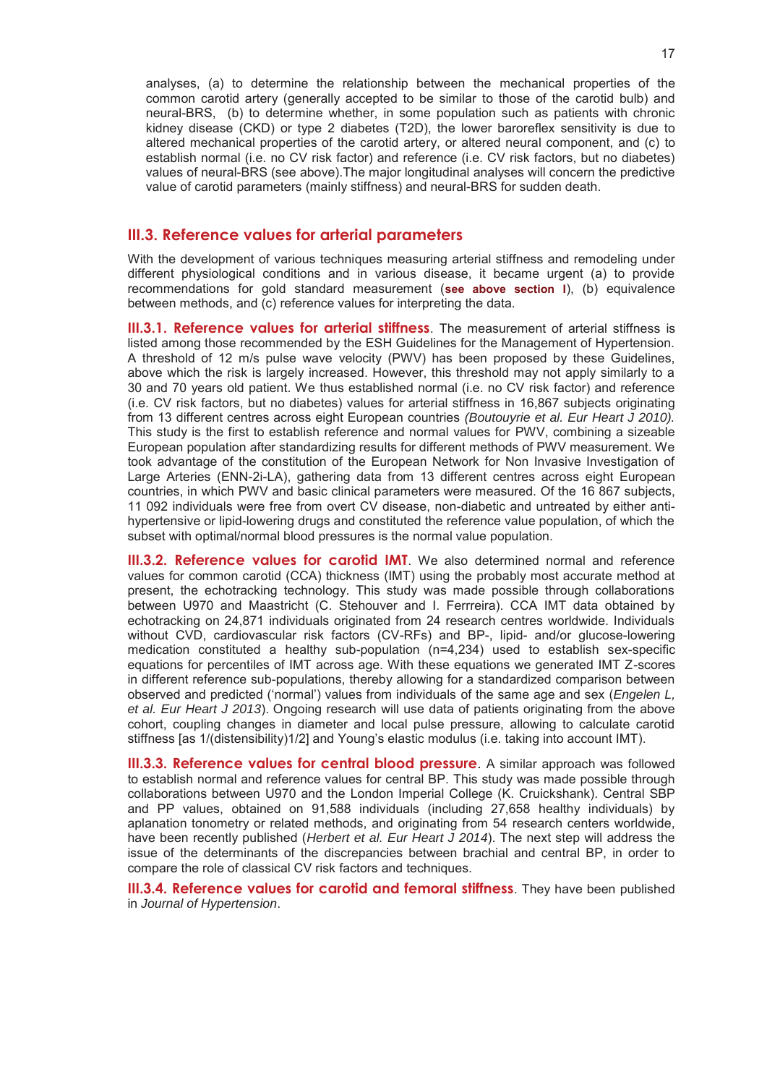analyses, (a) to determine the relationship between the mechanical properties of the common carotid artery (generally accepted to be similar to those of the carotid bulb) and neural-BRS, (b) to determine whether, in some population such as patients with chronic kidney disease (CKD) or type 2 diabetes (T2D), the lower baroreflex sensitivity is due to altered mechanical properties of the carotid artery, or altered neural component, and (c) to establish normal (i.e. no CV risk factor) and reference (i.e. CV risk factors, but no diabetes) values of neural-BRS (see above).The major longitudinal analyses will concern the predictive value of carotid parameters (mainly stiffness) and neural-BRS for sudden death.

# **III.3. Reference values for arterial parameters**

With the development of various techniques measuring arterial stiffness and remodeling under different physiological conditions and in various disease, it became urgent (a) to provide recommendations for gold standard measurement (**see above section I**), (b) equivalence between methods, and (c) reference values for interpreting the data.

**III.3.1. Reference values for arterial stiffness**. The measurement of arterial stiffness is listed among those recommended by the ESH Guidelines for the Management of Hypertension. A threshold of 12 m/s pulse wave velocity (PWV) has been proposed by these Guidelines, above which the risk is largely increased. However, this threshold may not apply similarly to a 30 and 70 years old patient. We thus established normal (i.e. no CV risk factor) and reference (i.e. CV risk factors, but no diabetes) values for arterial stiffness in 16,867 subjects originating from 13 different centres across eight European countries *(Boutouyrie et al. Eur Heart J 2010).* This study is the first to establish reference and normal values for PWV, combining a sizeable European population after standardizing results for different methods of PWV measurement. We took advantage of the constitution of the European Network for Non Invasive Investigation of Large Arteries (ENN-2i-LA), gathering data from 13 different centres across eight European countries, in which PWV and basic clinical parameters were measured. Of the 16 867 subjects, 11 092 individuals were free from overt CV disease, non-diabetic and untreated by either antihypertensive or lipid-lowering drugs and constituted the reference value population, of which the subset with optimal/normal blood pressures is the normal value population.

**III.3.2. Reference values for carotid IMT**. We also determined normal and reference values for common carotid (CCA) thickness (IMT) using the probably most accurate method at present, the echotracking technology. This study was made possible through collaborations between U970 and Maastricht (C. Stehouver and I. Ferrreira). CCA IMT data obtained by echotracking on 24,871 individuals originated from 24 research centres worldwide. Individuals without CVD, cardiovascular risk factors (CV-RFs) and BP-, lipid- and/or glucose-lowering medication constituted a healthy sub-population (n=4,234) used to establish sex-specific equations for percentiles of IMT across age. With these equations we generated IMT Z-scores in different reference sub-populations, thereby allowing for a standardized comparison between observed and predicted ('normal') values from individuals of the same age and sex (*Engelen L, et al. Eur Heart J 2013*). Ongoing research will use data of patients originating from the above cohort, coupling changes in diameter and local pulse pressure, allowing to calculate carotid stiffness [as 1/(distensibility)1/2] and Young's elastic modulus (i.e. taking into account IMT).

**III.3.3. Reference values for central blood pressure**. A similar approach was followed to establish normal and reference values for central BP. This study was made possible through collaborations between U970 and the London Imperial College (K. Cruickshank). Central SBP and PP values, obtained on 91,588 individuals (including 27,658 healthy individuals) by aplanation tonometry or related methods, and originating from 54 research centers worldwide, have been recently published (*Herbert et al. Eur Heart J 2014*). The next step will address the issue of the determinants of the discrepancies between brachial and central BP, in order to compare the role of classical CV risk factors and techniques.

**III.3.4. Reference values for carotid and femoral stiffness**. They have been published in *Journal of Hypertension*.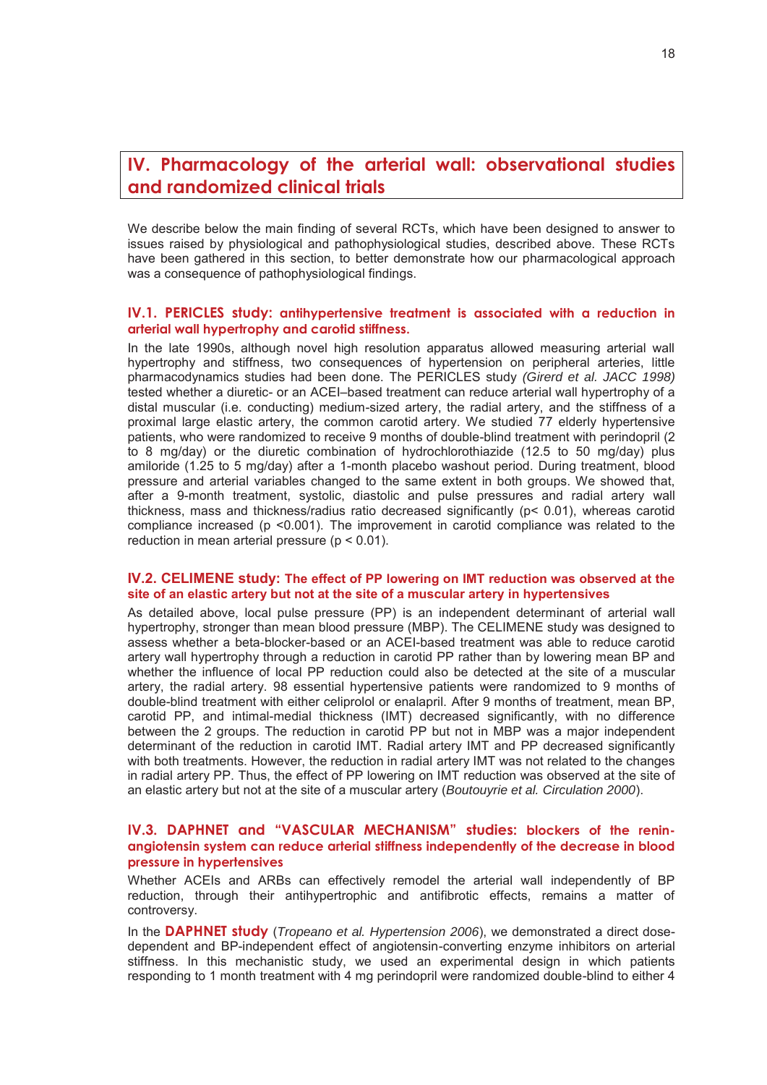# **IV. Pharmacology of the arterial wall: observational studies and randomized clinical trials**

We describe below the main finding of several RCTs, which have been designed to answer to issues raised by physiological and pathophysiological studies, described above. These RCTs have been gathered in this section, to better demonstrate how our pharmacological approach was a consequence of pathophysiological findings.

# **IV.1. PERICLES study: antihypertensive treatment is associated with a reduction in arterial wall hypertrophy and carotid stiffness.**

In the late 1990s, although novel high resolution apparatus allowed measuring arterial wall hypertrophy and stiffness, two consequences of hypertension on peripheral arteries, little pharmacodynamics studies had been done. The PERICLES study *(Girerd et al. JACC 1998)* tested whether a diuretic- or an ACEI–based treatment can reduce arterial wall hypertrophy of a distal muscular (i.e. conducting) medium-sized artery, the radial artery, and the stiffness of a proximal large elastic artery, the common carotid artery. We studied 77 elderly hypertensive patients, who were randomized to receive 9 months of double-blind treatment with perindopril (2 to 8 mg/day) or the diuretic combination of hydrochlorothiazide (12.5 to 50 mg/day) plus amiloride (1.25 to 5 mg/day) after a 1-month placebo washout period. During treatment, blood pressure and arterial variables changed to the same extent in both groups. We showed that, after a 9-month treatment, systolic, diastolic and pulse pressures and radial artery wall thickness, mass and thickness/radius ratio decreased significantly (p< 0.01), whereas carotid compliance increased (p <0.001). The improvement in carotid compliance was related to the reduction in mean arterial pressure (p < 0.01).

### **IV.2. CELIMENE study: The effect of PP lowering on IMT reduction was observed at the site of an elastic artery but not at the site of a muscular artery in hypertensives**

As detailed above, local pulse pressure (PP) is an independent determinant of arterial wall hypertrophy, stronger than mean blood pressure (MBP). The CELIMENE study was designed to assess whether a beta-blocker-based or an ACEI-based treatment was able to reduce carotid artery wall hypertrophy through a reduction in carotid PP rather than by lowering mean BP and whether the influence of local PP reduction could also be detected at the site of a muscular artery, the radial artery. 98 essential hypertensive patients were randomized to 9 months of double-blind treatment with either celiprolol or enalapril. After 9 months of treatment, mean BP, carotid PP, and intimal-medial thickness (IMT) decreased significantly, with no difference between the 2 groups. The reduction in carotid PP but not in MBP was a major independent determinant of the reduction in carotid IMT. Radial artery IMT and PP decreased significantly with both treatments. However, the reduction in radial artery IMT was not related to the changes in radial artery PP. Thus, the effect of PP lowering on IMT reduction was observed at the site of an elastic artery but not at the site of a muscular artery (*Boutouyrie et al. Circulation 2000*).

# **IV.3. DAPHNET and "VASCULAR MECHANISM" studies: blockers of the reninangiotensin system can reduce arterial stiffness independently of the decrease in blood pressure in hypertensives**

Whether ACEIs and ARBs can effectively remodel the arterial wall independently of BP reduction, through their antihypertrophic and antifibrotic effects, remains a matter of controversy.

In the **DAPHNET study** (*Tropeano et al. Hypertension 2006*), we demonstrated a direct dosedependent and BP-independent effect of angiotensin-converting enzyme inhibitors on arterial stiffness. In this mechanistic study, we used an experimental design in which patients responding to 1 month treatment with 4 mg perindopril were randomized double-blind to either 4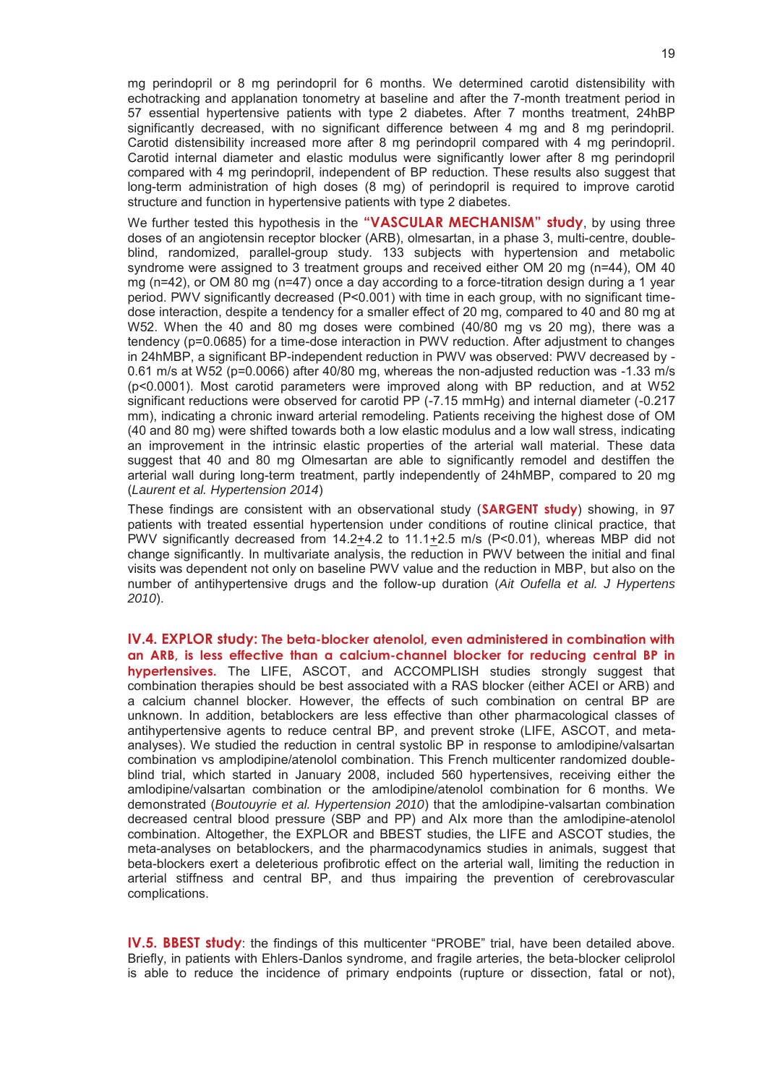mg perindopril or 8 mg perindopril for 6 months. We determined carotid distensibility with echotracking and applanation tonometry at baseline and after the 7-month treatment period in 57 essential hypertensive patients with type 2 diabetes. After 7 months treatment, 24hBP significantly decreased, with no significant difference between 4 mg and 8 mg perindopril. Carotid distensibility increased more after 8 mg perindopril compared with 4 mg perindopril. Carotid internal diameter and elastic modulus were significantly lower after 8 mg perindopril compared with 4 mg perindopril, independent of BP reduction. These results also suggest that long-term administration of high doses (8 mg) of perindopril is required to improve carotid structure and function in hypertensive patients with type 2 diabetes.

We further tested this hypothesis in the **"VASCULAR MECHANISM" study**, by using three doses of an angiotensin receptor blocker (ARB), olmesartan, in a phase 3, multi-centre, doubleblind, randomized, parallel-group study. 133 subjects with hypertension and metabolic syndrome were assigned to 3 treatment groups and received either OM 20 mg (n=44), OM 40 mg (n=42), or OM 80 mg (n=47) once a day according to a force-titration design during a 1 year period. PWV significantly decreased (P<0.001) with time in each group, with no significant timedose interaction, despite a tendency for a smaller effect of 20 mg, compared to 40 and 80 mg at W52. When the 40 and 80 mg doses were combined (40/80 mg vs 20 mg), there was a tendency (p=0.0685) for a time-dose interaction in PWV reduction. After adjustment to changes in 24hMBP, a significant BP-independent reduction in PWV was observed: PWV decreased by - 0.61 m/s at W52 (p=0.0066) after 40/80 mg, whereas the non-adjusted reduction was -1.33 m/s (p<0.0001). Most carotid parameters were improved along with BP reduction, and at W52 significant reductions were observed for carotid PP (-7.15 mmHg) and internal diameter (-0.217 mm), indicating a chronic inward arterial remodeling. Patients receiving the highest dose of OM (40 and 80 mg) were shifted towards both a low elastic modulus and a low wall stress, indicating an improvement in the intrinsic elastic properties of the arterial wall material. These data suggest that 40 and 80 mg Olmesartan are able to significantly remodel and destiffen the arterial wall during long-term treatment, partly independently of 24hMBP, compared to 20 mg (*Laurent et al. Hypertension 2014*)

These findings are consistent with an observational study (**SARGENT study**) showing, in 97 patients with treated essential hypertension under conditions of routine clinical practice, that PWV significantly decreased from 14.2+4.2 to 11.1+2.5 m/s (P<0.01), whereas MBP did not change significantly. In multivariate analysis, the reduction in PWV between the initial and final visits was dependent not only on baseline PWV value and the reduction in MBP, but also on the number of antihypertensive drugs and the follow-up duration (*Ait Oufella et al. J Hypertens 2010*).

**IV.4. EXPLOR study: The beta-blocker atenolol, even administered in combination with an ARB, is less effective than a calcium-channel blocker for reducing central BP in hypertensives.** The LIFE, ASCOT, and ACCOMPLISH studies strongly suggest that combination therapies should be best associated with a RAS blocker (either ACEI or ARB) and a calcium channel blocker. However, the effects of such combination on central BP are unknown. In addition, betablockers are less effective than other pharmacological classes of antihypertensive agents to reduce central BP, and prevent stroke (LIFE, ASCOT, and metaanalyses). We studied the reduction in central systolic BP in response to amlodipine/valsartan combination vs amplodipine/atenolol combination. This French multicenter randomized doubleblind trial, which started in January 2008, included 560 hypertensives, receiving either the amlodipine/valsartan combination or the amlodipine/atenolol combination for 6 months. We demonstrated (*Boutouyrie et al. Hypertension 2010*) that the amlodipine-valsartan combination decreased central blood pressure (SBP and PP) and AIx more than the amlodipine-atenolol combination. Altogether, the EXPLOR and BBEST studies, the LIFE and ASCOT studies, the meta-analyses on betablockers, and the pharmacodynamics studies in animals, suggest that beta-blockers exert a deleterious profibrotic effect on the arterial wall, limiting the reduction in arterial stiffness and central BP, and thus impairing the prevention of cerebrovascular complications.

**IV.5. BBEST study**: the findings of this multicenter "PROBE" trial, have been detailed above. Briefly, in patients with Ehlers-Danlos syndrome, and fragile arteries, the beta-blocker celiprolol is able to reduce the incidence of primary endpoints (rupture or dissection, fatal or not),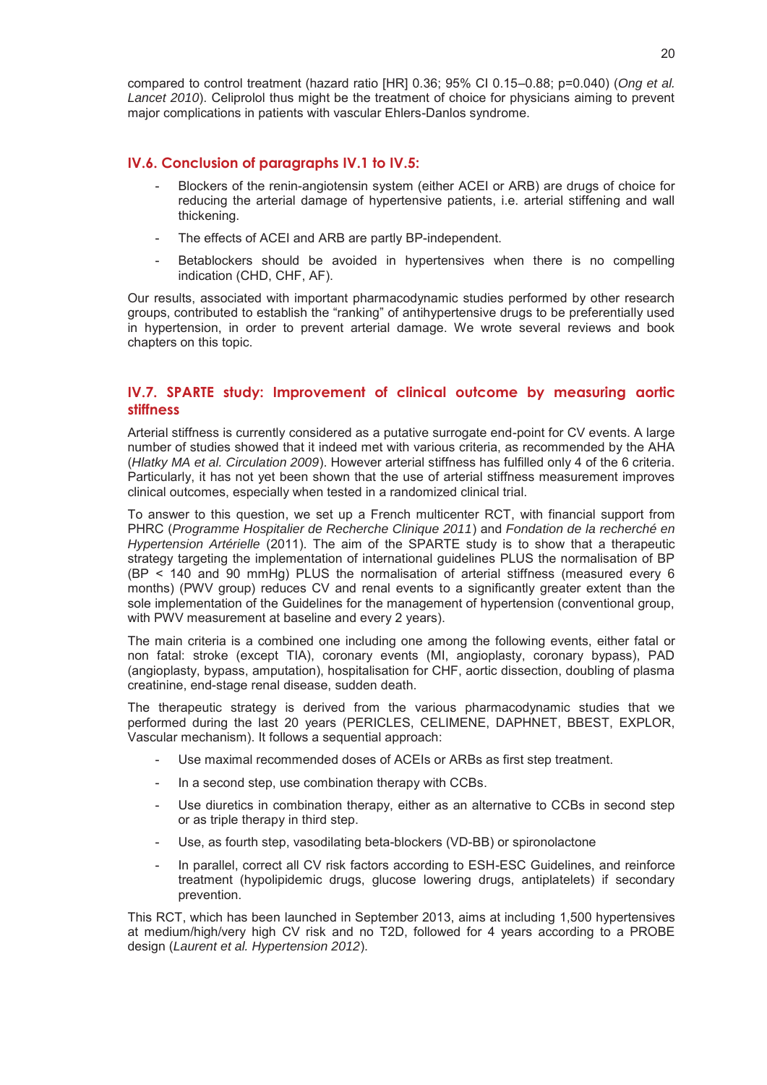compared to control treatment (hazard ratio [HR] 0.36; 95% CI 0.15–0.88; p=0.040) (*Ong et al. Lancet 2010*). Celiprolol thus might be the treatment of choice for physicians aiming to prevent major complications in patients with vascular Ehlers-Danlos syndrome.

# **IV.6. Conclusion of paragraphs IV.1 to IV.5:**

- Blockers of the renin-angiotensin system (either ACEI or ARB) are drugs of choice for reducing the arterial damage of hypertensive patients, i.e. arterial stiffening and wall thickening.
- The effects of ACEI and ARB are partly BP-independent.
- Betablockers should be avoided in hypertensives when there is no compelling indication (CHD, CHF, AF).

Our results, associated with important pharmacodynamic studies performed by other research groups, contributed to establish the "ranking" of antihypertensive drugs to be preferentially used in hypertension, in order to prevent arterial damage. We wrote several reviews and book chapters on this topic.

# **IV.7. SPARTE study: Improvement of clinical outcome by measuring aortic stiffness**

Arterial stiffness is currently considered as a putative surrogate end-point for CV events. A large number of studies showed that it indeed met with various criteria, as recommended by the AHA (*Hlatky MA et al. Circulation 2009*). However arterial stiffness has fulfilled only 4 of the 6 criteria. Particularly, it has not yet been shown that the use of arterial stiffness measurement improves clinical outcomes, especially when tested in a randomized clinical trial.

To answer to this question, we set up a French multicenter RCT, with financial support from PHRC (*Programme Hospitalier de Recherche Clinique 2011*) and *Fondation de la recherché en Hypertension Artérielle* (2011). The aim of the SPARTE study is to show that a therapeutic strategy targeting the implementation of international guidelines PLUS the normalisation of BP (BP < 140 and 90 mmHg) PLUS the normalisation of arterial stiffness (measured every 6 months) (PWV group) reduces CV and renal events to a significantly greater extent than the sole implementation of the Guidelines for the management of hypertension (conventional group, with PWV measurement at baseline and every 2 years).

The main criteria is a combined one including one among the following events, either fatal or non fatal: stroke (except TIA), coronary events (MI, angioplasty, coronary bypass), PAD (angioplasty, bypass, amputation), hospitalisation for CHF, aortic dissection, doubling of plasma creatinine, end-stage renal disease, sudden death.

The therapeutic strategy is derived from the various pharmacodynamic studies that we performed during the last 20 years (PERICLES, CELIMENE, DAPHNET, BBEST, EXPLOR, Vascular mechanism). It follows a sequential approach:

- Use maximal recommended doses of ACEIs or ARBs as first step treatment.
- In a second step, use combination therapy with CCBs.
- Use diuretics in combination therapy, either as an alternative to CCBs in second step or as triple therapy in third step.
- Use, as fourth step, vasodilating beta-blockers (VD-BB) or spironolactone
- In parallel, correct all CV risk factors according to ESH-ESC Guidelines, and reinforce treatment (hypolipidemic drugs, glucose lowering drugs, antiplatelets) if secondary prevention.

This RCT, which has been launched in September 2013, aims at including 1,500 hypertensives at medium/high/very high CV risk and no T2D, followed for 4 years according to a PROBE design (*Laurent et al. Hypertension 2012*).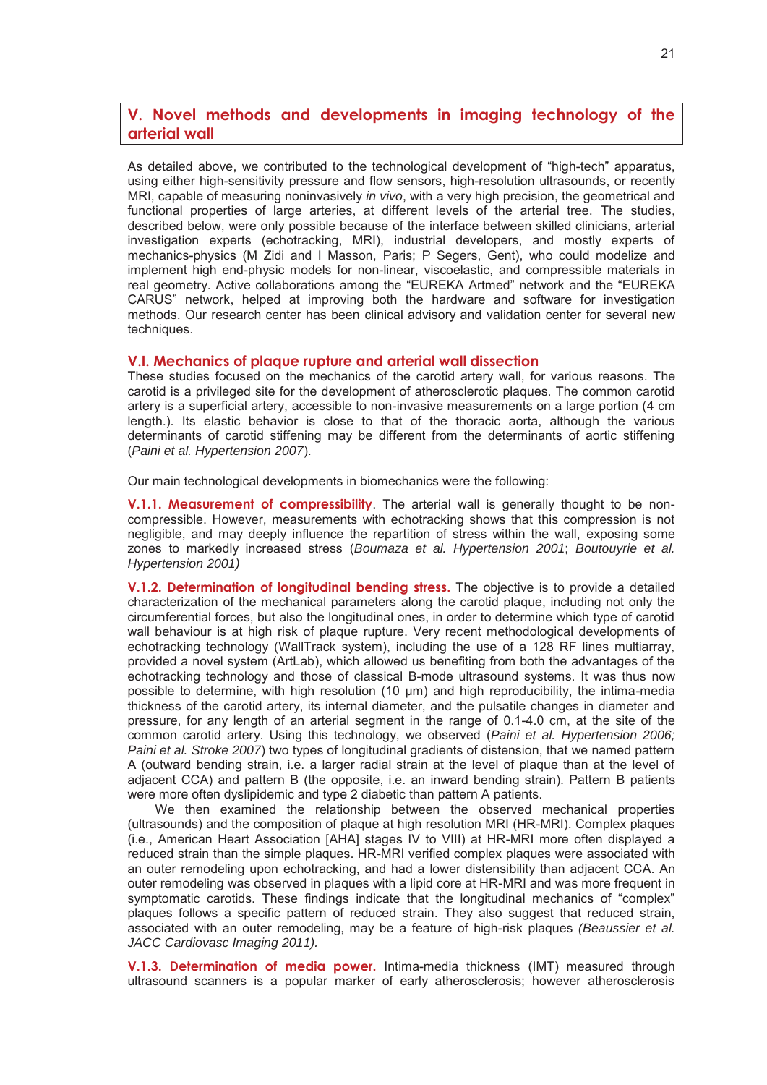# **V. Novel methods and developments in imaging technology of the arterial wall**

As detailed above, we contributed to the technological development of "high-tech" apparatus, using either high-sensitivity pressure and flow sensors, high-resolution ultrasounds, or recently MRI, capable of measuring noninvasively *in vivo*, with a very high precision, the geometrical and functional properties of large arteries, at different levels of the arterial tree. The studies, described below, were only possible because of the interface between skilled clinicians, arterial investigation experts (echotracking, MRI), industrial developers, and mostly experts of mechanics-physics (M Zidi and I Masson, Paris; P Segers, Gent), who could modelize and implement high end-physic models for non-linear, viscoelastic, and compressible materials in real geometry. Active collaborations among the "EUREKA Artmed" network and the "EUREKA CARUS" network, helped at improving both the hardware and software for investigation methods. Our research center has been clinical advisory and validation center for several new techniques.

# **V.I. Mechanics of plaque rupture and arterial wall dissection**

These studies focused on the mechanics of the carotid artery wall, for various reasons. The carotid is a privileged site for the development of atherosclerotic plaques. The common carotid artery is a superficial artery, accessible to non-invasive measurements on a large portion (4 cm length.). Its elastic behavior is close to that of the thoracic aorta, although the various determinants of carotid stiffening may be different from the determinants of aortic stiffening (*Paini et al. Hypertension 2007*).

Our main technological developments in biomechanics were the following:

**V.1.1. Measurement of compressibility**. The arterial wall is generally thought to be noncompressible. However, measurements with echotracking shows that this compression is not negligible, and may deeply influence the repartition of stress within the wall, exposing some zones to markedly increased stress (*Boumaza et al. Hypertension 2001*; *Boutouyrie et al. Hypertension 2001)*

**V.1.2. Determination of longitudinal bending stress.** The objective is to provide a detailed characterization of the mechanical parameters along the carotid plaque, including not only the circumferential forces, but also the longitudinal ones, in order to determine which type of carotid wall behaviour is at high risk of plaque rupture. Very recent methodological developments of echotracking technology (WallTrack system), including the use of a 128 RF lines multiarray, provided a novel system (ArtLab), which allowed us benefiting from both the advantages of the echotracking technology and those of classical B-mode ultrasound systems. It was thus now possible to determine, with high resolution (10 μm) and high reproducibility, the intima-media thickness of the carotid artery, its internal diameter, and the pulsatile changes in diameter and pressure, for any length of an arterial segment in the range of 0.1-4.0 cm, at the site of the common carotid artery. Using this technology, we observed (*Paini et al. Hypertension 2006; Paini et al. Stroke 2007*) two types of longitudinal gradients of distension, that we named pattern A (outward bending strain, i.e. a larger radial strain at the level of plaque than at the level of adjacent CCA) and pattern B (the opposite, i.e. an inward bending strain). Pattern B patients were more often dyslipidemic and type 2 diabetic than pattern A patients.

We then examined the relationship between the observed mechanical properties (ultrasounds) and the composition of plaque at high resolution MRI (HR-MRI). Complex plaques (i.e., American Heart Association [AHA] stages IV to VIII) at HR-MRI more often displayed a reduced strain than the simple plaques. HR-MRI verified complex plaques were associated with an outer remodeling upon echotracking, and had a lower distensibility than adjacent CCA. An outer remodeling was observed in plaques with a lipid core at HR-MRI and was more frequent in symptomatic carotids. These findings indicate that the longitudinal mechanics of "complex" plaques follows a specific pattern of reduced strain. They also suggest that reduced strain, associated with an outer remodeling, may be a feature of high-risk plaques *(Beaussier et al. JACC Cardiovasc Imaging 2011).* 

**V.1.3. Determination of media power.** Intima-media thickness (IMT) measured through ultrasound scanners is a popular marker of early atherosclerosis; however atherosclerosis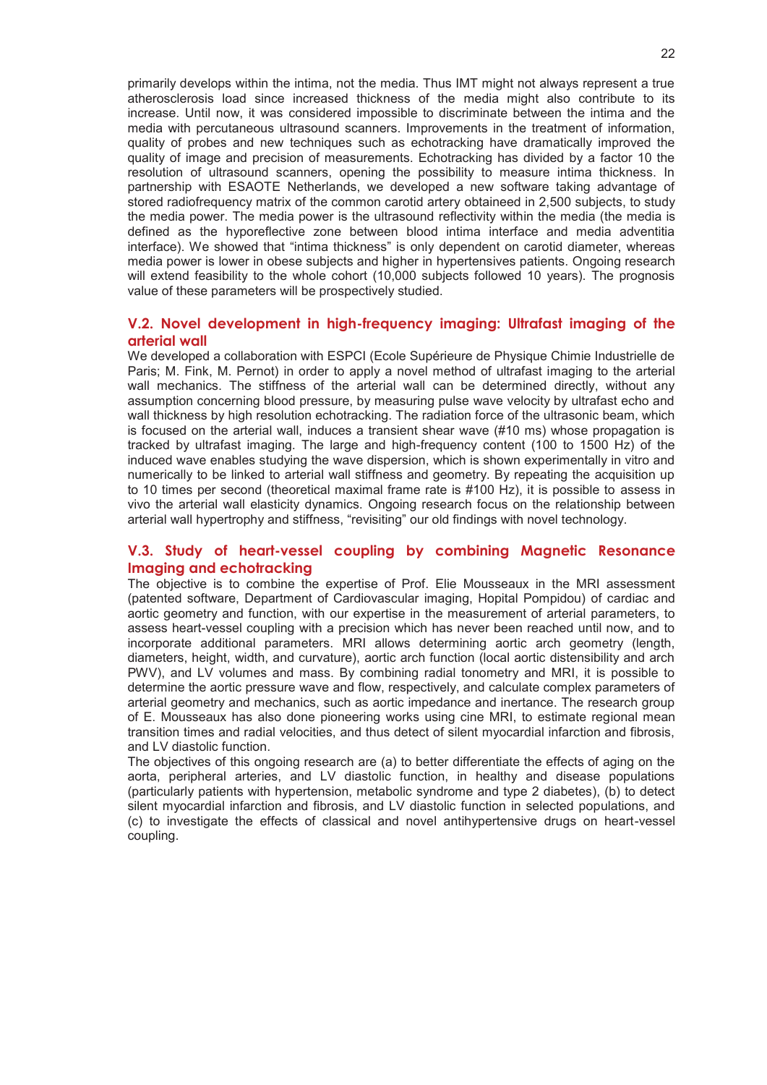primarily develops within the intima, not the media. Thus IMT might not always represent a true atherosclerosis load since increased thickness of the media might also contribute to its increase. Until now, it was considered impossible to discriminate between the intima and the media with percutaneous ultrasound scanners. Improvements in the treatment of information, quality of probes and new techniques such as echotracking have dramatically improved the quality of image and precision of measurements. Echotracking has divided by a factor 10 the resolution of ultrasound scanners, opening the possibility to measure intima thickness. In partnership with ESAOTE Netherlands, we developed a new software taking advantage of stored radiofrequency matrix of the common carotid artery obtaineed in 2,500 subjects, to study the media power. The media power is the ultrasound reflectivity within the media (the media is defined as the hyporeflective zone between blood intima interface and media adventitia interface). We showed that "intima thickness" is only dependent on carotid diameter, whereas media power is lower in obese subjects and higher in hypertensives patients. Ongoing research will extend feasibility to the whole cohort (10,000 subjects followed 10 years). The prognosis value of these parameters will be prospectively studied.

# **V.2. Novel development in high-frequency imaging: Ultrafast imaging of the arterial wall**

We developed a collaboration with ESPCI (Ecole Supérieure de Physique Chimie Industrielle de Paris; M. Fink, M. Pernot) in order to apply a novel method of ultrafast imaging to the arterial wall mechanics. The stiffness of the arterial wall can be determined directly, without any assumption concerning blood pressure, by measuring pulse wave velocity by ultrafast echo and wall thickness by high resolution echotracking. The radiation force of the ultrasonic beam, which is focused on the arterial wall, induces a transient shear wave (#10 ms) whose propagation is tracked by ultrafast imaging. The large and high-frequency content (100 to 1500 Hz) of the induced wave enables studying the wave dispersion, which is shown experimentally in vitro and numerically to be linked to arterial wall stiffness and geometry. By repeating the acquisition up to 10 times per second (theoretical maximal frame rate is #100 Hz), it is possible to assess in vivo the arterial wall elasticity dynamics. Ongoing research focus on the relationship between arterial wall hypertrophy and stiffness, "revisiting" our old findings with novel technology.

# **V.3. Study of heart-vessel coupling by combining Magnetic Resonance Imaging and echotracking**

The objective is to combine the expertise of Prof. Elie Mousseaux in the MRI assessment (patented software, Department of Cardiovascular imaging, Hopital Pompidou) of cardiac and aortic geometry and function, with our expertise in the measurement of arterial parameters, to assess heart-vessel coupling with a precision which has never been reached until now, and to incorporate additional parameters. MRI allows determining aortic arch geometry (length, diameters, height, width, and curvature), aortic arch function (local aortic distensibility and arch PWV), and LV volumes and mass. By combining radial tonometry and MRI, it is possible to determine the aortic pressure wave and flow, respectively, and calculate complex parameters of arterial geometry and mechanics, such as aortic impedance and inertance. The research group of E. Mousseaux has also done pioneering works using cine MRI, to estimate regional mean transition times and radial velocities, and thus detect of silent myocardial infarction and fibrosis, and LV diastolic function.

The objectives of this ongoing research are (a) to better differentiate the effects of aging on the aorta, peripheral arteries, and LV diastolic function, in healthy and disease populations (particularly patients with hypertension, metabolic syndrome and type 2 diabetes), (b) to detect silent myocardial infarction and fibrosis, and LV diastolic function in selected populations, and (c) to investigate the effects of classical and novel antihypertensive drugs on heart-vessel coupling.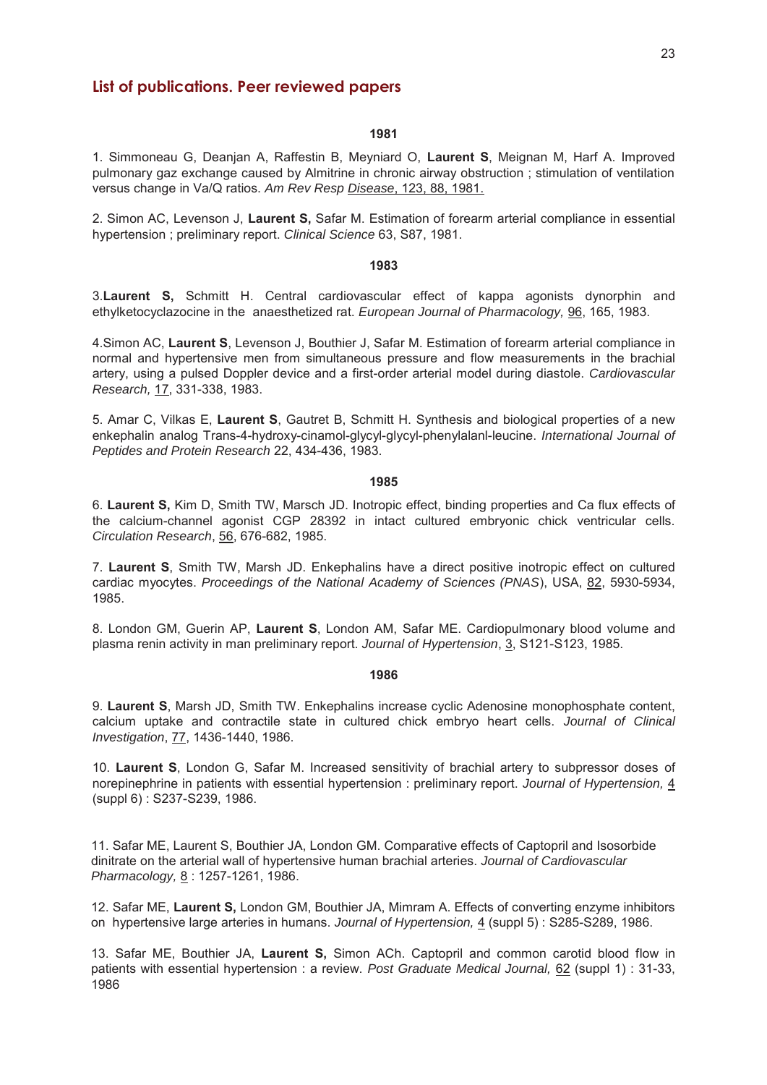## **List of publications. Peer reviewed papers**

## **1981**

1. Simmoneau G, Deanjan A, Raffestin B, Meyniard O, **Laurent S**, Meignan M, Harf A. Improved pulmonary gaz exchange caused by Almitrine in chronic airway obstruction ; stimulation of ventilation versus change in Va/Q ratios. *Am Rev Resp Disease*, 123, 88, 1981.

2. Simon AC, Levenson J, **Laurent S,** Safar M. Estimation of forearm arterial compliance in essential hypertension ; preliminary report. *Clinical Science* 63, S87, 1981.

#### **1983**

3.**Laurent S,** Schmitt H. Central cardiovascular effect of kappa agonists dynorphin and ethylketocyclazocine in the anaesthetized rat. *European Journal of Pharmacology,* 96, 165, 1983.

4.Simon AC, **Laurent S**, Levenson J, Bouthier J, Safar M. Estimation of forearm arterial compliance in normal and hypertensive men from simultaneous pressure and flow measurements in the brachial artery, using a pulsed Doppler device and a first-order arterial model during diastole. *Cardiovascular Research,* 17, 331-338, 1983.

5. Amar C, Vilkas E, **Laurent S**, Gautret B, Schmitt H. Synthesis and biological properties of a new enkephalin analog Trans-4-hydroxy-cinamol-glycyl-glycyl-phenylalanl-leucine. *International Journal of Peptides and Protein Research* 22, 434-436, 1983.

#### **1985**

6. **Laurent S,** Kim D, Smith TW, Marsch JD. Inotropic effect, binding properties and Ca flux effects of the calcium-channel agonist CGP 28392 in intact cultured embryonic chick ventricular cells. *Circulation Research*, 56, 676-682, 1985.

7. **Laurent S**, Smith TW, Marsh JD. Enkephalins have a direct positive inotropic effect on cultured cardiac myocytes. *Proceedings of the National Academy of Sciences (PNAS*), USA, 82, 5930-5934, 1985.

8. London GM, Guerin AP, **Laurent S**, London AM, Safar ME. Cardiopulmonary blood volume and plasma renin activity in man preliminary report. *Journal of Hypertension*, 3, S121-S123, 1985.

#### **1986**

9. **Laurent S**, Marsh JD, Smith TW. Enkephalins increase cyclic Adenosine monophosphate content, calcium uptake and contractile state in cultured chick embryo heart cells. *Journal of Clinical Investigation*, 77, 1436-1440, 1986.

10. **Laurent S**, London G, Safar M. Increased sensitivity of brachial artery to subpressor doses of norepinephrine in patients with essential hypertension : preliminary report. *Journal of Hypertension,* 4 (suppl 6) : S237-S239, 1986.

11. Safar ME, Laurent S, Bouthier JA, London GM. Comparative effects of Captopril and Isosorbide dinitrate on the arterial wall of hypertensive human brachial arteries. *Journal of Cardiovascular Pharmacology,* 8 : 1257-1261, 1986.

12. Safar ME, **Laurent S,** London GM, Bouthier JA, Mimram A. Effects of converting enzyme inhibitors on hypertensive large arteries in humans. *Journal of Hypertension,* 4 (suppl 5) : S285-S289, 1986.

13. Safar ME, Bouthier JA, **Laurent S,** Simon ACh. Captopril and common carotid blood flow in patients with essential hypertension : a review. *Post Graduate Medical Journal,* 62 (suppl 1) : 31-33, 1986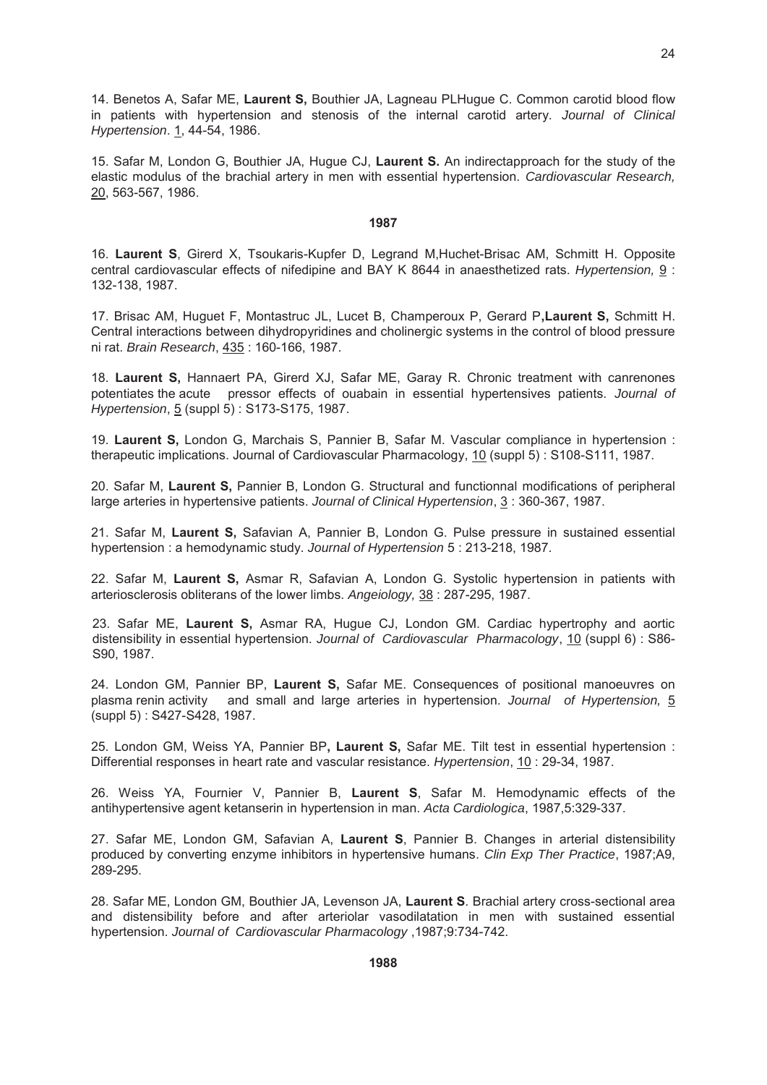14. Benetos A, Safar ME, **Laurent S,** Bouthier JA, Lagneau PLHugue C. Common carotid blood flow in patients with hypertension and stenosis of the internal carotid artery. *Journal of Clinical Hypertension*. 1, 44-54, 1986.

15. Safar M, London G, Bouthier JA, Hugue CJ, **Laurent S.** An indirectapproach for the study of the elastic modulus of the brachial artery in men with essential hypertension. *Cardiovascular Research,* 20, 563-567, 1986.

### **1987**

16. **Laurent S**, Girerd X, Tsoukaris-Kupfer D, Legrand M,Huchet-Brisac AM, Schmitt H. Opposite central cardiovascular effects of nifedipine and BAY K 8644 in anaesthetized rats. *Hypertension,* 9 : 132-138, 1987.

17. Brisac AM, Huguet F, Montastruc JL, Lucet B, Champeroux P, Gerard P**,Laurent S,** Schmitt H. Central interactions between dihydropyridines and cholinergic systems in the control of blood pressure ni rat. *Brain Research*, 435 : 160-166, 1987.

18. **Laurent S,** Hannaert PA, Girerd XJ, Safar ME, Garay R. Chronic treatment with canrenones potentiates the acute pressor effects of ouabain in essential hypertensives patients. *Journal of Hypertension*, 5 (suppl 5) : S173-S175, 1987.

19. **Laurent S,** London G, Marchais S, Pannier B, Safar M. Vascular compliance in hypertension : therapeutic implications. Journal of Cardiovascular Pharmacology, 10 (suppl 5) : S108-S111, 1987.

20. Safar M, **Laurent S,** Pannier B, London G. Structural and functionnal modifications of peripheral large arteries in hypertensive patients. *Journal of Clinical Hypertension*, 3 : 360-367, 1987.

21. Safar M, **Laurent S,** Safavian A, Pannier B, London G. Pulse pressure in sustained essential hypertension : a hemodynamic study. *Journal of Hypertension* 5 : 213-218, 1987.

22. Safar M, **Laurent S,** Asmar R, Safavian A, London G. Systolic hypertension in patients with arteriosclerosis obliterans of the lower limbs. *Angeiology,* 38 : 287-295, 1987.

23. Safar ME, **Laurent S,** Asmar RA, Hugue CJ, London GM. Cardiac hypertrophy and aortic distensibility in essential hypertension. *Journal of Cardiovascular Pharmacology*, 10 (suppl 6) : S86- S90, 1987.

24. London GM, Pannier BP, **Laurent S,** Safar ME. Consequences of positional manoeuvres on plasma renin activity and small and large arteries in hypertension. *Journal of Hypertension,* 5 (suppl 5) : S427-S428, 1987.

25. London GM, Weiss YA, Pannier BP**, Laurent S,** Safar ME. Tilt test in essential hypertension : Differential responses in heart rate and vascular resistance. *Hypertension*, 10 : 29-34, 1987.

26. Weiss YA, Fournier V, Pannier B, **Laurent S**, Safar M. Hemodynamic effects of the antihypertensive agent ketanserin in hypertension in man. *Acta Cardiologica*, 1987,5:329-337.

27. Safar ME, London GM, Safavian A, **Laurent S**, Pannier B. Changes in arterial distensibility produced by converting enzyme inhibitors in hypertensive humans. *Clin Exp Ther Practice*, 1987;A9, 289-295.

28. Safar ME, London GM, Bouthier JA, Levenson JA, **Laurent S**. Brachial artery cross-sectional area and distensibility before and after arteriolar vasodilatation in men with sustained essential hypertension. *Journal of Cardiovascular Pharmacology* ,1987;9:734-742.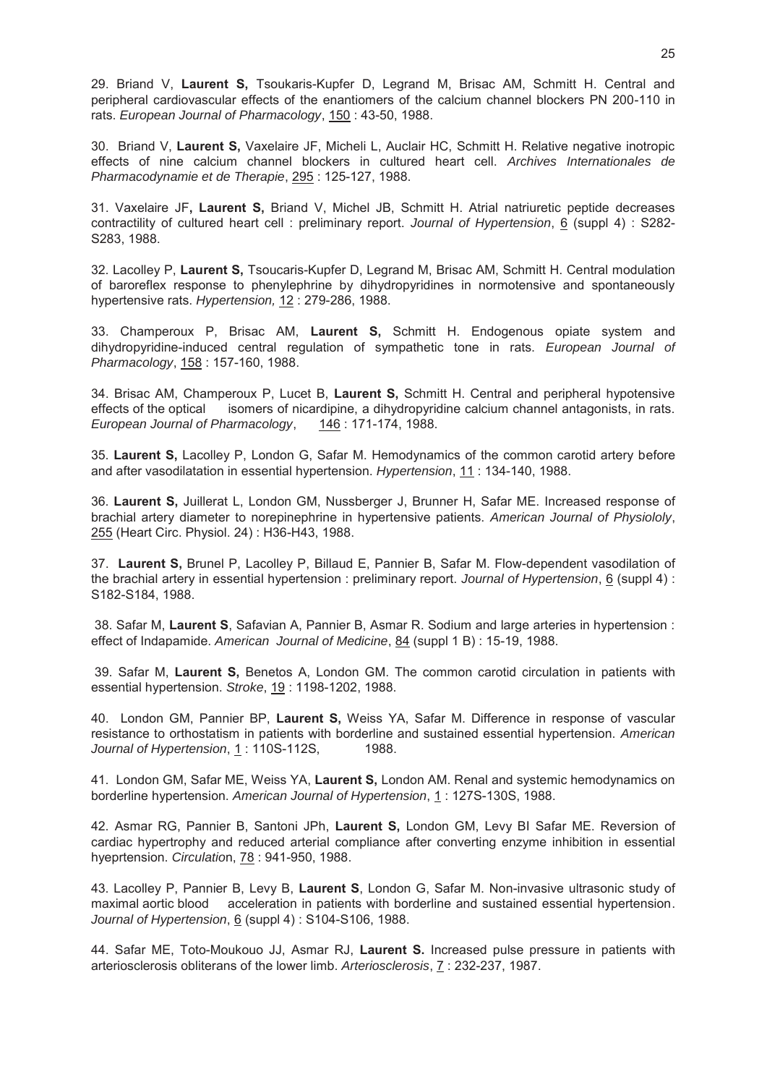29. Briand V, **Laurent S,** Tsoukaris-Kupfer D, Legrand M, Brisac AM, Schmitt H. Central and peripheral cardiovascular effects of the enantiomers of the calcium channel blockers PN 200-110 in rats. *European Journal of Pharmacology*, 150 : 43-50, 1988.

30. Briand V, **Laurent S,** Vaxelaire JF, Micheli L, Auclair HC, Schmitt H. Relative negative inotropic effects of nine calcium channel blockers in cultured heart cell. *Archives Internationales de Pharmacodynamie et de Therapie*, 295 : 125-127, 1988.

31. Vaxelaire JF**, Laurent S,** Briand V, Michel JB, Schmitt H. Atrial natriuretic peptide decreases contractility of cultured heart cell : preliminary report. *Journal of Hypertension*, 6 (suppl 4) : S282- S283, 1988.

32. Lacolley P, **Laurent S,** Tsoucaris-Kupfer D, Legrand M, Brisac AM, Schmitt H. Central modulation of baroreflex response to phenylephrine by dihydropyridines in normotensive and spontaneously hypertensive rats. *Hypertension,* 12 : 279-286, 1988.

33. Champeroux P, Brisac AM, **Laurent S,** Schmitt H. Endogenous opiate system and dihydropyridine-induced central regulation of sympathetic tone in rats. *European Journal of Pharmacology*, 158 : 157-160, 1988.

34. Brisac AM, Champeroux P, Lucet B, **Laurent S,** Schmitt H. Central and peripheral hypotensive effects of the optical isomers of nicardipine, a dihydropyridine calcium channel antagonists, in rats. *European Journal of Pharmacology*, 146 : 171-174, 1988.

35. **Laurent S,** Lacolley P, London G, Safar M. Hemodynamics of the common carotid artery before and after vasodilatation in essential hypertension. *Hypertension*, 11 : 134-140, 1988.

36. **Laurent S,** Juillerat L, London GM, Nussberger J, Brunner H, Safar ME. Increased response of brachial artery diameter to norepinephrine in hypertensive patients. *American Journal of Physiololy*, 255 (Heart Circ. Physiol. 24) : H36-H43, 1988.

37. **Laurent S,** Brunel P, Lacolley P, Billaud E, Pannier B, Safar M. Flow-dependent vasodilation of the brachial artery in essential hypertension : preliminary report. *Journal of Hypertension*, 6 (suppl 4) : S182-S184, 1988.

 38. Safar M, **Laurent S**, Safavian A, Pannier B, Asmar R. Sodium and large arteries in hypertension : effect of Indapamide. *American Journal of Medicine*, 84 (suppl 1 B) : 15-19, 1988.

 39. Safar M, **Laurent S,** Benetos A, London GM. The common carotid circulation in patients with essential hypertension. *Stroke*, 19 : 1198-1202, 1988.

40. London GM, Pannier BP, **Laurent S,** Weiss YA, Safar M. Difference in response of vascular resistance to orthostatism in patients with borderline and sustained essential hypertension. *American Journal of Hypertension, 1: 110S-112S,* 1988.

41. London GM, Safar ME, Weiss YA, **Laurent S,** London AM. Renal and systemic hemodynamics on borderline hypertension. American Journal of Hypertension, 1: 127S-130S, 1988.

42. Asmar RG, Pannier B, Santoni JPh, **Laurent S,** London GM, Levy BI Safar ME. Reversion of cardiac hypertrophy and reduced arterial compliance after converting enzyme inhibition in essential hyeprtension. *Circulatio*n, 78 : 941-950, 1988.

43. Lacolley P, Pannier B, Levy B, **Laurent S**, London G, Safar M. Non-invasive ultrasonic study of maximal aortic blood acceleration in patients with borderline and sustained essential hypertension. *Journal of Hypertension*, 6 (suppl 4) : S104-S106, 1988.

44. Safar ME, Toto-Moukouo JJ, Asmar RJ, **Laurent S.** Increased pulse pressure in patients with arteriosclerosis obliterans of the lower limb. *Arteriosclerosis*, 7 : 232-237, 1987.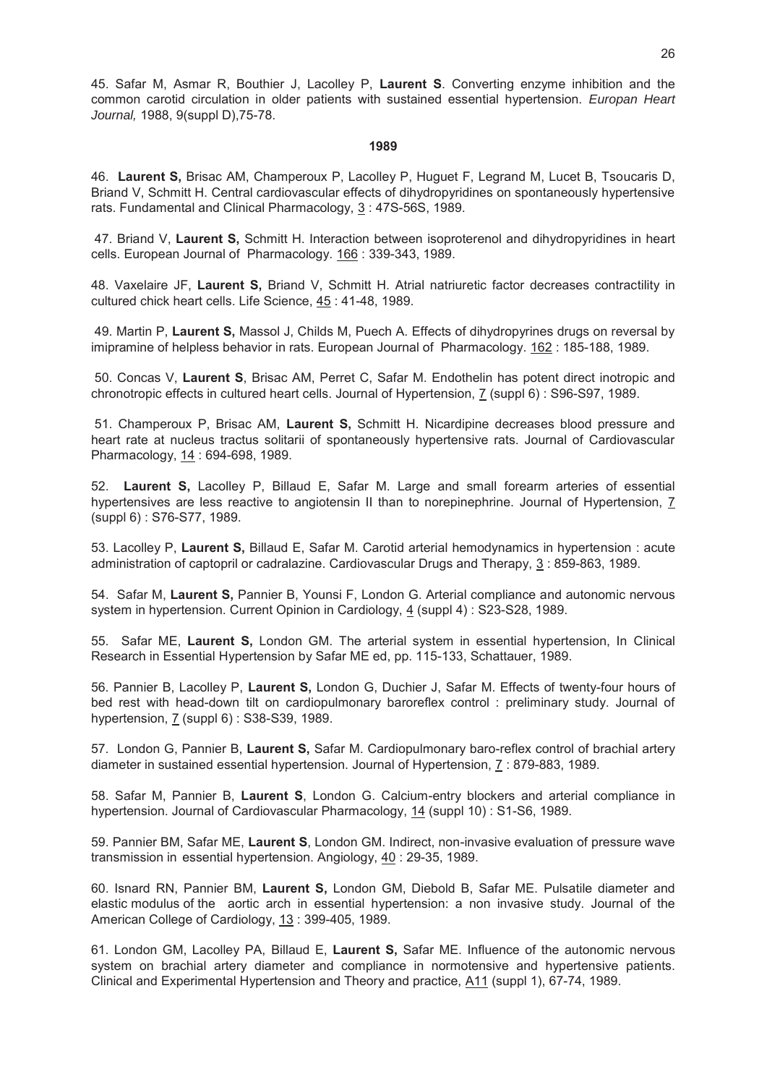45. Safar M, Asmar R, Bouthier J, Lacolley P, **Laurent S**. Converting enzyme inhibition and the common carotid circulation in older patients with sustained essential hypertension. *Europan Heart Journal,* 1988, 9(suppl D),75-78.

#### **1989**

46. **Laurent S,** Brisac AM, Champeroux P, Lacolley P, Huguet F, Legrand M, Lucet B, Tsoucaris D, Briand V, Schmitt H. Central cardiovascular effects of dihydropyridines on spontaneously hypertensive rats. Fundamental and Clinical Pharmacology, 3 : 47S-56S, 1989.

 47. Briand V, **Laurent S,** Schmitt H. Interaction between isoproterenol and dihydropyridines in heart cells. European Journal of Pharmacology. 166 : 339-343, 1989.

48. Vaxelaire JF, **Laurent S,** Briand V, Schmitt H. Atrial natriuretic factor decreases contractility in cultured chick heart cells. Life Science, 45 : 41-48, 1989.

 49. Martin P, **Laurent S,** Massol J, Childs M, Puech A. Effects of dihydropyrines drugs on reversal by imipramine of helpless behavior in rats. European Journal of Pharmacology. 162 : 185-188, 1989.

 50. Concas V, **Laurent S**, Brisac AM, Perret C, Safar M. Endothelin has potent direct inotropic and chronotropic effects in cultured heart cells. Journal of Hypertension, 7 (suppl 6) : S96-S97, 1989.

 51. Champeroux P, Brisac AM, **Laurent S,** Schmitt H. Nicardipine decreases blood pressure and heart rate at nucleus tractus solitarii of spontaneously hypertensive rats. Journal of Cardiovascular Pharmacology, 14 : 694-698, 1989.

52. **Laurent S,** Lacolley P, Billaud E, Safar M. Large and small forearm arteries of essential hypertensives are less reactive to angiotensin II than to norepinephrine. Journal of Hypertension, 7 (suppl 6) : S76-S77, 1989.

53. Lacolley P, **Laurent S,** Billaud E, Safar M. Carotid arterial hemodynamics in hypertension : acute administration of captopril or cadralazine. Cardiovascular Drugs and Therapy, 3 : 859-863, 1989.

54. Safar M, **Laurent S,** Pannier B, Younsi F, London G. Arterial compliance and autonomic nervous system in hypertension. Current Opinion in Cardiology, 4 (suppl 4) : S23-S28, 1989.

55. Safar ME, **Laurent S,** London GM. The arterial system in essential hypertension, In Clinical Research in Essential Hypertension by Safar ME ed, pp. 115-133, Schattauer, 1989.

56. Pannier B, Lacolley P, **Laurent S,** London G, Duchier J, Safar M. Effects of twenty-four hours of bed rest with head-down tilt on cardiopulmonary baroreflex control : preliminary study. Journal of hypertension, 7 (suppl 6) : S38-S39, 1989.

57. London G, Pannier B, **Laurent S,** Safar M. Cardiopulmonary baro-reflex control of brachial artery diameter in sustained essential hypertension. Journal of Hypertension, 7 : 879-883, 1989.

58. Safar M, Pannier B, **Laurent S**, London G. Calcium-entry blockers and arterial compliance in hypertension. Journal of Cardiovascular Pharmacology, 14 (suppl 10) : S1-S6, 1989.

59. Pannier BM, Safar ME, **Laurent S**, London GM. Indirect, non-invasive evaluation of pressure wave transmission in essential hypertension. Angiology, 40 : 29-35, 1989.

60. Isnard RN, Pannier BM, **Laurent S,** London GM, Diebold B, Safar ME. Pulsatile diameter and elastic modulus of the aortic arch in essential hypertension: a non invasive study. Journal of the American College of Cardiology, 13 : 399-405, 1989.

61. London GM, Lacolley PA, Billaud E, **Laurent S,** Safar ME. Influence of the autonomic nervous system on brachial artery diameter and compliance in normotensive and hypertensive patients. Clinical and Experimental Hypertension and Theory and practice, A11 (suppl 1), 67-74, 1989.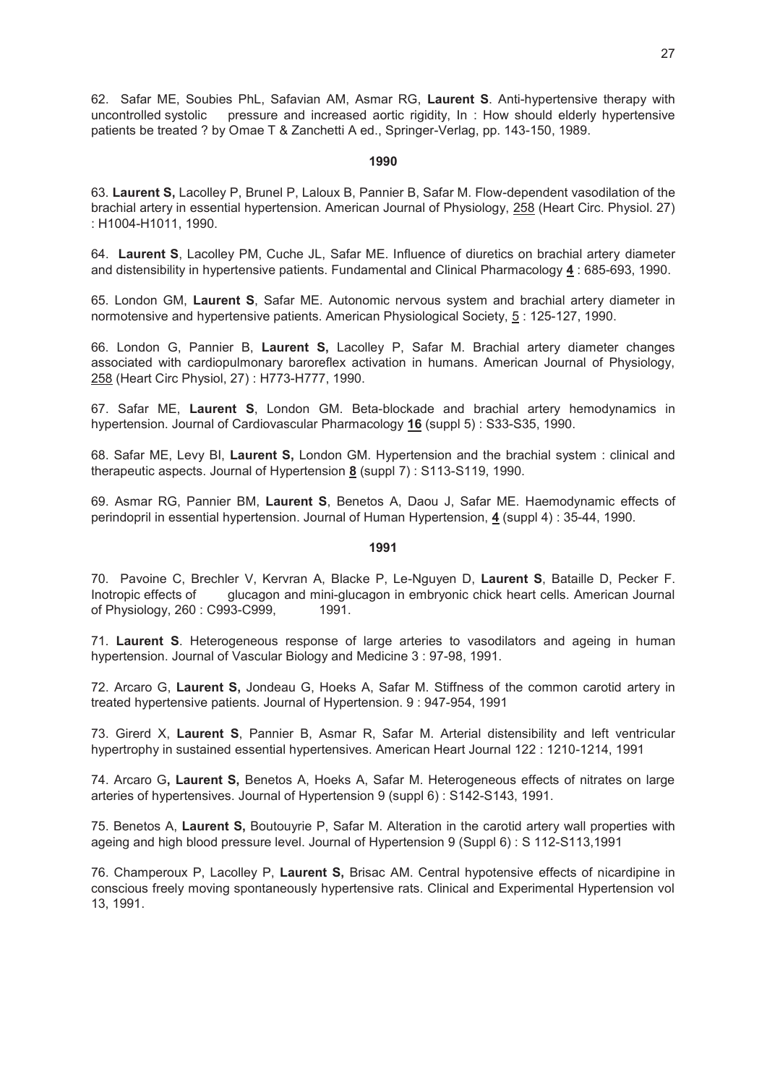62. Safar ME, Soubies PhL, Safavian AM, Asmar RG, **Laurent S**. Anti-hypertensive therapy with uncontrolled systolic pressure and increased aortic rigidity, In : How should elderly hypertensive patients be treated ? by Omae T & Zanchetti A ed., Springer-Verlag, pp. 143-150, 1989.

#### **1990**

63. **Laurent S,** Lacolley P, Brunel P, Laloux B, Pannier B, Safar M. Flow-dependent vasodilation of the brachial artery in essential hypertension. American Journal of Physiology, 258 (Heart Circ. Physiol. 27) : H1004-H1011, 1990.

64. **Laurent S**, Lacolley PM, Cuche JL, Safar ME. Influence of diuretics on brachial artery diameter and distensibility in hypertensive patients. Fundamental and Clinical Pharmacology **4** : 685-693, 1990.

65. London GM, **Laurent S**, Safar ME. Autonomic nervous system and brachial artery diameter in normotensive and hypertensive patients. American Physiological Society, 5: 125-127, 1990.

66. London G, Pannier B, **Laurent S,** Lacolley P, Safar M. Brachial artery diameter changes associated with cardiopulmonary baroreflex activation in humans. American Journal of Physiology, 258 (Heart Circ Physiol, 27) : H773-H777, 1990.

67. Safar ME, **Laurent S**, London GM. Beta-blockade and brachial artery hemodynamics in hypertension. Journal of Cardiovascular Pharmacology **16** (suppl 5) : S33-S35, 1990.

68. Safar ME, Levy BI, **Laurent S,** London GM. Hypertension and the brachial system : clinical and therapeutic aspects. Journal of Hypertension **8** (suppl 7) : S113-S119, 1990.

69. Asmar RG, Pannier BM, **Laurent S**, Benetos A, Daou J, Safar ME. Haemodynamic effects of perindopril in essential hypertension. Journal of Human Hypertension, **4** (suppl 4) : 35-44, 1990.

## **1991**

70. Pavoine C, Brechler V, Kervran A, Blacke P, Le-Nguyen D, **Laurent S**, Bataille D, Pecker F. Inotropic effects of glucagon and mini-glucagon in embryonic chick heart cells. American Journal of Physiology, 260 : C993-C999, 1991.

71. **Laurent S**. Heterogeneous response of large arteries to vasodilators and ageing in human hypertension. Journal of Vascular Biology and Medicine 3 : 97-98, 1991.

72. Arcaro G, **Laurent S,** Jondeau G, Hoeks A, Safar M. Stiffness of the common carotid artery in treated hypertensive patients. Journal of Hypertension. 9 : 947-954, 1991

73. Girerd X, **Laurent S**, Pannier B, Asmar R, Safar M. Arterial distensibility and left ventricular hypertrophy in sustained essential hypertensives. American Heart Journal 122 : 1210-1214, 1991

74. Arcaro G**, Laurent S,** Benetos A, Hoeks A, Safar M. Heterogeneous effects of nitrates on large arteries of hypertensives. Journal of Hypertension 9 (suppl 6) : S142-S143, 1991.

75. Benetos A, **Laurent S,** Boutouyrie P, Safar M. Alteration in the carotid artery wall properties with ageing and high blood pressure level. Journal of Hypertension 9 (Suppl 6) : S 112-S113,1991

76. Champeroux P, Lacolley P, **Laurent S,** Brisac AM. Central hypotensive effects of nicardipine in conscious freely moving spontaneously hypertensive rats. Clinical and Experimental Hypertension vol 13, 1991.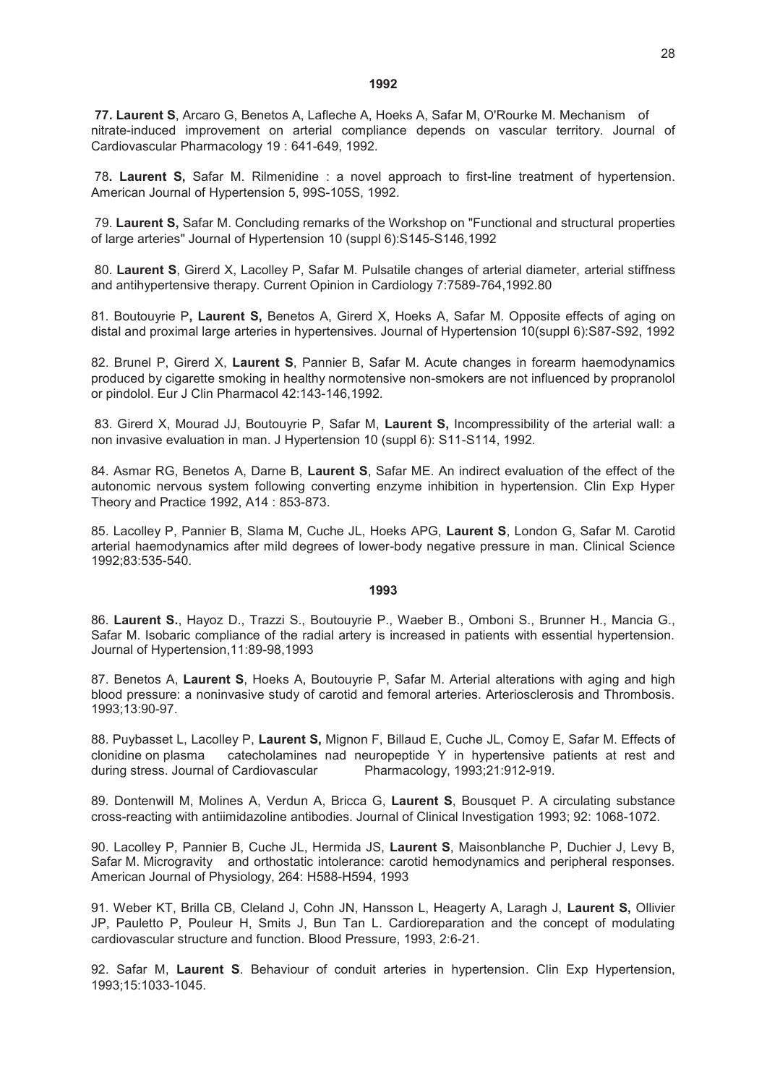**77. Laurent S**, Arcaro G, Benetos A, Lafleche A, Hoeks A, Safar M, O'Rourke M. Mechanism of nitrate-induced improvement on arterial compliance depends on vascular territory. Journal of Cardiovascular Pharmacology 19 : 641-649, 1992.

 78**. Laurent S,** Safar M. Rilmenidine : a novel approach to first-line treatment of hypertension. American Journal of Hypertension 5, 99S-105S, 1992.

 79. **Laurent S,** Safar M. Concluding remarks of the Workshop on "Functional and structural properties of large arteries" Journal of Hypertension 10 (suppl 6):S145-S146,1992

 80. **Laurent S**, Girerd X, Lacolley P, Safar M. Pulsatile changes of arterial diameter, arterial stiffness and antihypertensive therapy. Current Opinion in Cardiology 7:7589-764,1992.80

81. Boutouyrie P**, Laurent S,** Benetos A, Girerd X, Hoeks A, Safar M. Opposite effects of aging on distal and proximal large arteries in hypertensives. Journal of Hypertension 10(suppl 6):S87-S92, 1992

82. Brunel P, Girerd X, **Laurent S**, Pannier B, Safar M. Acute changes in forearm haemodynamics produced by cigarette smoking in healthy normotensive non-smokers are not influenced by propranolol or pindolol. Eur J Clin Pharmacol 42:143-146,1992.

 83. Girerd X, Mourad JJ, Boutouyrie P, Safar M, **Laurent S,** Incompressibility of the arterial wall: a non invasive evaluation in man. J Hypertension 10 (suppl 6): S11-S114, 1992.

84. Asmar RG, Benetos A, Darne B, **Laurent S**, Safar ME. An indirect evaluation of the effect of the autonomic nervous system following converting enzyme inhibition in hypertension. Clin Exp Hyper Theory and Practice 1992, A14 : 853-873.

85. Lacolley P, Pannier B, Slama M, Cuche JL, Hoeks APG, **Laurent S**, London G, Safar M. Carotid arterial haemodynamics after mild degrees of lower-body negative pressure in man. Clinical Science 1992;83:535-540.

#### **1993**

86. **Laurent S.**, Hayoz D., Trazzi S., Boutouyrie P., Waeber B., Omboni S., Brunner H., Mancia G., Safar M. Isobaric compliance of the radial artery is increased in patients with essential hypertension. Journal of Hypertension,11:89-98,1993

87. Benetos A, **Laurent S**, Hoeks A, Boutouyrie P, Safar M. Arterial alterations with aging and high blood pressure: a noninvasive study of carotid and femoral arteries. Arteriosclerosis and Thrombosis. 1993;13:90-97.

88. Puybasset L, Lacolley P, **Laurent S,** Mignon F, Billaud E, Cuche JL, Comoy E, Safar M. Effects of clonidine on plasma catecholamines nad neuropeptide Y in hypertensive patients at rest and during stress. Journal of Cardiovascular Pharmacology, 1993;21:912-919.

89. Dontenwill M, Molines A, Verdun A, Bricca G, **Laurent S**, Bousquet P. A circulating substance cross-reacting with antiimidazoline antibodies. Journal of Clinical Investigation 1993; 92: 1068-1072.

90. Lacolley P, Pannier B, Cuche JL, Hermida JS, **Laurent S**, Maisonblanche P, Duchier J, Levy B, Safar M. Microgravity and orthostatic intolerance: carotid hemodynamics and peripheral responses. American Journal of Physiology, 264: H588-H594, 1993

91. Weber KT, Brilla CB, Cleland J, Cohn JN, Hansson L, Heagerty A, Laragh J, **Laurent S,** Ollivier JP, Pauletto P, Pouleur H, Smits J, Bun Tan L. Cardioreparation and the concept of modulating cardiovascular structure and function. Blood Pressure, 1993, 2:6-21.

92. Safar M, **Laurent S**. Behaviour of conduit arteries in hypertension. Clin Exp Hypertension, 1993;15:1033-1045.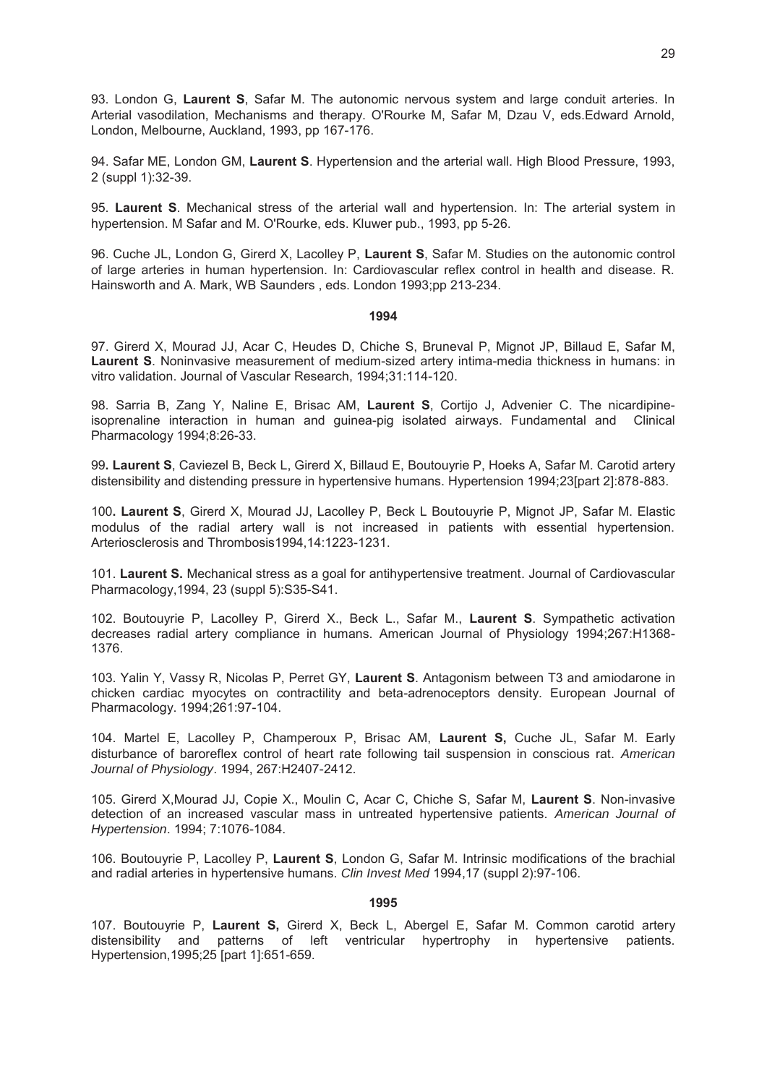93. London G, **Laurent S**, Safar M. The autonomic nervous system and large conduit arteries. In Arterial vasodilation, Mechanisms and therapy. O'Rourke M, Safar M, Dzau V, eds.Edward Arnold, London, Melbourne, Auckland, 1993, pp 167-176.

94. Safar ME, London GM, **Laurent S**. Hypertension and the arterial wall. High Blood Pressure, 1993, 2 (suppl 1):32-39.

95. **Laurent S**. Mechanical stress of the arterial wall and hypertension. In: The arterial system in hypertension. M Safar and M. O'Rourke, eds. Kluwer pub., 1993, pp 5-26.

96. Cuche JL, London G, Girerd X, Lacolley P, **Laurent S**, Safar M. Studies on the autonomic control of large arteries in human hypertension. In: Cardiovascular reflex control in health and disease. R. Hainsworth and A. Mark, WB Saunders , eds. London 1993;pp 213-234.

#### **1994**

97. Girerd X, Mourad JJ, Acar C, Heudes D, Chiche S, Bruneval P, Mignot JP, Billaud E, Safar M, **Laurent S**. Noninvasive measurement of medium-sized artery intima-media thickness in humans: in vitro validation. Journal of Vascular Research, 1994;31:114-120.

98. Sarria B, Zang Y, Naline E, Brisac AM, **Laurent S**, Cortijo J, Advenier C. The nicardipineisoprenaline interaction in human and guinea-pig isolated airways. Fundamental and Clinical Pharmacology 1994;8:26-33.

99**. Laurent S**, Caviezel B, Beck L, Girerd X, Billaud E, Boutouyrie P, Hoeks A, Safar M. Carotid artery distensibility and distending pressure in hypertensive humans. Hypertension 1994;23[part 2]:878-883.

100**. Laurent S**, Girerd X, Mourad JJ, Lacolley P, Beck L Boutouyrie P, Mignot JP, Safar M. Elastic modulus of the radial artery wall is not increased in patients with essential hypertension. Arteriosclerosis and Thrombosis1994,14:1223-1231.

101. **Laurent S.** Mechanical stress as a goal for antihypertensive treatment. Journal of Cardiovascular Pharmacology,1994, 23 (suppl 5):S35-S41.

102. Boutouyrie P, Lacolley P, Girerd X., Beck L., Safar M., **Laurent S**. Sympathetic activation decreases radial artery compliance in humans. American Journal of Physiology 1994;267:H1368- 1376.

103. Yalin Y, Vassy R, Nicolas P, Perret GY, **Laurent S**. Antagonism between T3 and amiodarone in chicken cardiac myocytes on contractility and beta-adrenoceptors density. European Journal of Pharmacology. 1994;261:97-104.

104. Martel E, Lacolley P, Champeroux P, Brisac AM, **Laurent S,** Cuche JL, Safar M. Early disturbance of baroreflex control of heart rate following tail suspension in conscious rat. *American Journal of Physiology*. 1994, 267:H2407-2412.

105. Girerd X,Mourad JJ, Copie X., Moulin C, Acar C, Chiche S, Safar M, **Laurent S**. Non-invasive detection of an increased vascular mass in untreated hypertensive patients. *American Journal of Hypertension*. 1994; 7:1076-1084.

106. Boutouyrie P, Lacolley P, **Laurent S**, London G, Safar M. Intrinsic modifications of the brachial and radial arteries in hypertensive humans. *Clin Invest Med* 1994,17 (suppl 2):97-106.

#### **1995**

107. Boutouyrie P, **Laurent S,** Girerd X, Beck L, Abergel E, Safar M. Common carotid artery distensibility and patterns of left ventricular hypertrophy in hypertensive patients. Hypertension,1995;25 [part 1]:651-659.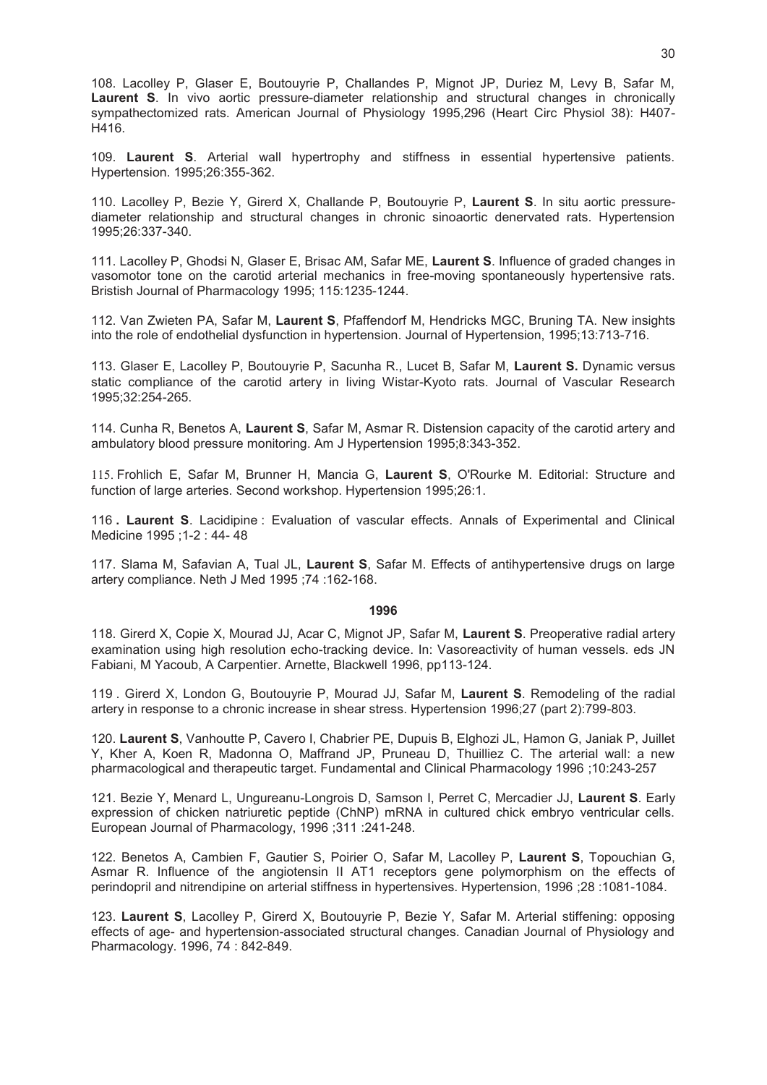108. Lacolley P, Glaser E, Boutouyrie P, Challandes P, Mignot JP, Duriez M, Levy B, Safar M, **Laurent S**. In vivo aortic pressure-diameter relationship and structural changes in chronically sympathectomized rats. American Journal of Physiology 1995,296 (Heart Circ Physiol 38): H407- H416.

109. **Laurent S**. Arterial wall hypertrophy and stiffness in essential hypertensive patients. Hypertension. 1995;26:355-362.

110. Lacolley P, Bezie Y, Girerd X, Challande P, Boutouyrie P, **Laurent S**. In situ aortic pressurediameter relationship and structural changes in chronic sinoaortic denervated rats. Hypertension 1995;26:337-340.

111. Lacolley P, Ghodsi N, Glaser E, Brisac AM, Safar ME, **Laurent S**. Influence of graded changes in vasomotor tone on the carotid arterial mechanics in free-moving spontaneously hypertensive rats. Bristish Journal of Pharmacology 1995; 115:1235-1244.

112. Van Zwieten PA, Safar M, **Laurent S**, Pfaffendorf M, Hendricks MGC, Bruning TA. New insights into the role of endothelial dysfunction in hypertension. Journal of Hypertension, 1995;13:713-716.

113. Glaser E, Lacolley P, Boutouyrie P, Sacunha R., Lucet B, Safar M, **Laurent S.** Dynamic versus static compliance of the carotid artery in living Wistar-Kyoto rats. Journal of Vascular Research 1995;32:254-265.

114. Cunha R, Benetos A, **Laurent S**, Safar M, Asmar R. Distension capacity of the carotid artery and ambulatory blood pressure monitoring. Am J Hypertension 1995;8:343-352.

115. Frohlich E, Safar M, Brunner H, Mancia G, **Laurent S**, O'Rourke M. Editorial: Structure and function of large arteries. Second workshop. Hypertension 1995;26:1.

116 **. Laurent S**. Lacidipine : Evaluation of vascular effects. Annals of Experimental and Clinical Medicine 1995 ;1-2 : 44- 48

117. Slama M, Safavian A, Tual JL, **Laurent S**, Safar M. Effects of antihypertensive drugs on large artery compliance. Neth J Med 1995 ;74 :162-168.

#### **1996**

118. Girerd X, Copie X, Mourad JJ, Acar C, Mignot JP, Safar M, **Laurent S**. Preoperative radial artery examination using high resolution echo-tracking device. In: Vasoreactivity of human vessels. eds JN Fabiani, M Yacoub, A Carpentier. Arnette, Blackwell 1996, pp113-124.

119 . Girerd X, London G, Boutouyrie P, Mourad JJ, Safar M, **Laurent S**. Remodeling of the radial artery in response to a chronic increase in shear stress. Hypertension 1996;27 (part 2):799-803.

120. **Laurent S**, Vanhoutte P, Cavero I, Chabrier PE, Dupuis B, Elghozi JL, Hamon G, Janiak P, Juillet Y, Kher A, Koen R, Madonna O, Maffrand JP, Pruneau D, Thuilliez C. The arterial wall: a new pharmacological and therapeutic target. Fundamental and Clinical Pharmacology 1996 ;10:243-257

121. Bezie Y, Menard L, Ungureanu-Longrois D, Samson I, Perret C, Mercadier JJ, **Laurent S**. Early expression of chicken natriuretic peptide (ChNP) mRNA in cultured chick embryo ventricular cells. European Journal of Pharmacology, 1996 ;311 :241-248.

122. Benetos A, Cambien F, Gautier S, Poirier O, Safar M, Lacolley P, **Laurent S**, Topouchian G, Asmar R. Influence of the angiotensin II AT1 receptors gene polymorphism on the effects of perindopril and nitrendipine on arterial stiffness in hypertensives. Hypertension, 1996 ;28 :1081-1084.

123. **Laurent S**, Lacolley P, Girerd X, Boutouyrie P, Bezie Y, Safar M. Arterial stiffening: opposing effects of age- and hypertension-associated structural changes. Canadian Journal of Physiology and Pharmacology. 1996, 74 : 842-849.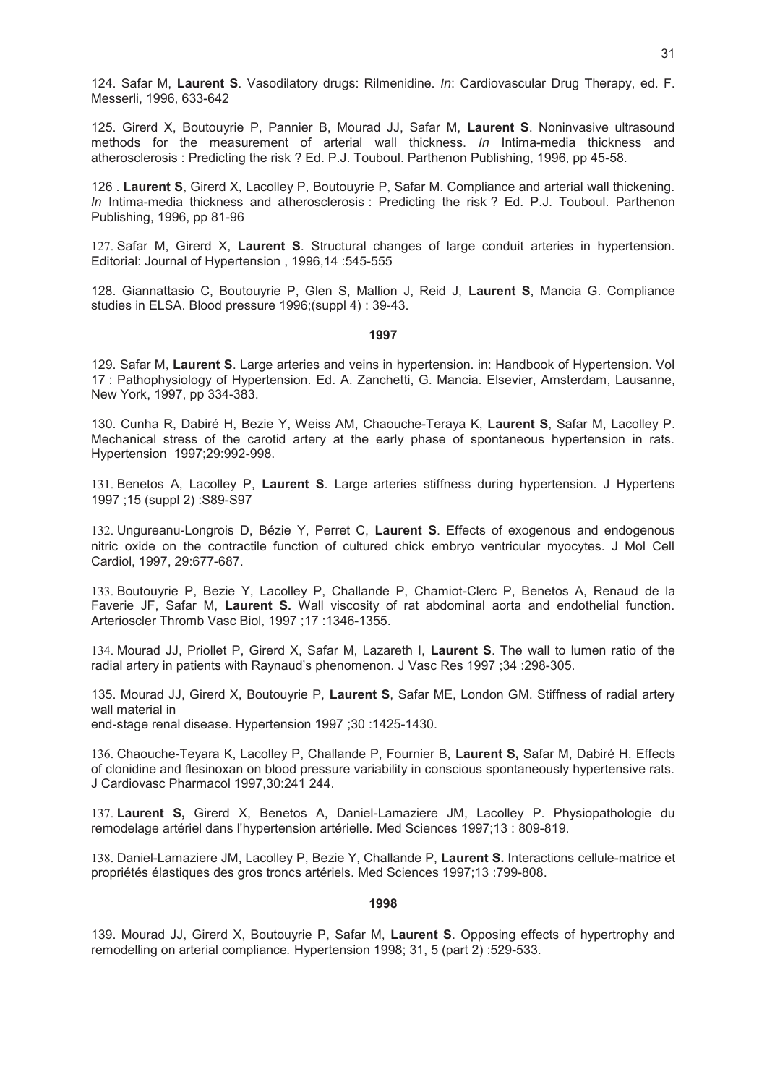124. Safar M, **Laurent S**. Vasodilatory drugs: Rilmenidine. *In*: Cardiovascular Drug Therapy, ed. F. Messerli, 1996, 633-642

125. Girerd X, Boutouyrie P, Pannier B, Mourad JJ, Safar M, **Laurent S**. Noninvasive ultrasound methods for the measurement of arterial wall thickness. *In* Intima-media thickness and atherosclerosis : Predicting the risk ? Ed. P.J. Touboul. Parthenon Publishing, 1996, pp 45-58.

126 . **Laurent S**, Girerd X, Lacolley P, Boutouyrie P, Safar M. Compliance and arterial wall thickening. *In* Intima-media thickness and atherosclerosis : Predicting the risk ? Ed. P.J. Touboul. Parthenon Publishing, 1996, pp 81-96

127. Safar M, Girerd X, **Laurent S**. Structural changes of large conduit arteries in hypertension. Editorial: Journal of Hypertension , 1996,14 :545-555

128. Giannattasio C, Boutouyrie P, Glen S, Mallion J, Reid J, **Laurent S**, Mancia G. Compliance studies in ELSA. Blood pressure 1996;(suppl 4) : 39-43.

#### **1997**

129. Safar M, **Laurent S**. Large arteries and veins in hypertension. in: Handbook of Hypertension. Vol 17 : Pathophysiology of Hypertension. Ed. A. Zanchetti, G. Mancia. Elsevier, Amsterdam, Lausanne, New York, 1997, pp 334-383.

130. Cunha R, Dabiré H, Bezie Y, Weiss AM, Chaouche-Teraya K, **Laurent S**, Safar M, Lacolley P. Mechanical stress of the carotid artery at the early phase of spontaneous hypertension in rats. Hypertension 1997;29:992-998.

131. Benetos A, Lacolley P, **Laurent S**. Large arteries stiffness during hypertension. J Hypertens 1997 ;15 (suppl 2) :S89-S97

132. Ungureanu-Longrois D, Bézie Y, Perret C, **Laurent S**. Effects of exogenous and endogenous nitric oxide on the contractile function of cultured chick embryo ventricular myocytes. J Mol Cell Cardiol, 1997, 29:677-687.

133. Boutouyrie P, Bezie Y, Lacolley P, Challande P, Chamiot-Clerc P, Benetos A, Renaud de la Faverie JF, Safar M, **Laurent S.** Wall viscosity of rat abdominal aorta and endothelial function. Arterioscler Thromb Vasc Biol, 1997 ;17 :1346-1355.

134. Mourad JJ, Priollet P, Girerd X, Safar M, Lazareth I, **Laurent S**. The wall to lumen ratio of the radial artery in patients with Raynaud's phenomenon. J Vasc Res 1997 ;34 :298-305.

135. Mourad JJ, Girerd X, Boutouyrie P, **Laurent S**, Safar ME, London GM. Stiffness of radial artery wall material in

end-stage renal disease. Hypertension 1997 ;30 :1425-1430.

136. Chaouche-Teyara K, Lacolley P, Challande P, Fournier B, **Laurent S,** Safar M, Dabiré H. Effects of clonidine and flesinoxan on blood pressure variability in conscious spontaneously hypertensive rats. J Cardiovasc Pharmacol 1997,30:241 244.

137. **Laurent S,** Girerd X, Benetos A, Daniel-Lamaziere JM, Lacolley P. Physiopathologie du remodelage artériel dans l'hypertension artérielle. Med Sciences 1997;13 : 809-819.

138. Daniel-Lamaziere JM, Lacolley P, Bezie Y, Challande P, **Laurent S.** Interactions cellule-matrice et propriétés élastiques des gros troncs artériels. Med Sciences 1997;13 :799-808.

#### **1998**

139. Mourad JJ, Girerd X, Boutouyrie P, Safar M, **Laurent S**. Opposing effects of hypertrophy and remodelling on arterial compliance*.* Hypertension 1998; 31, 5 (part 2) :529-533.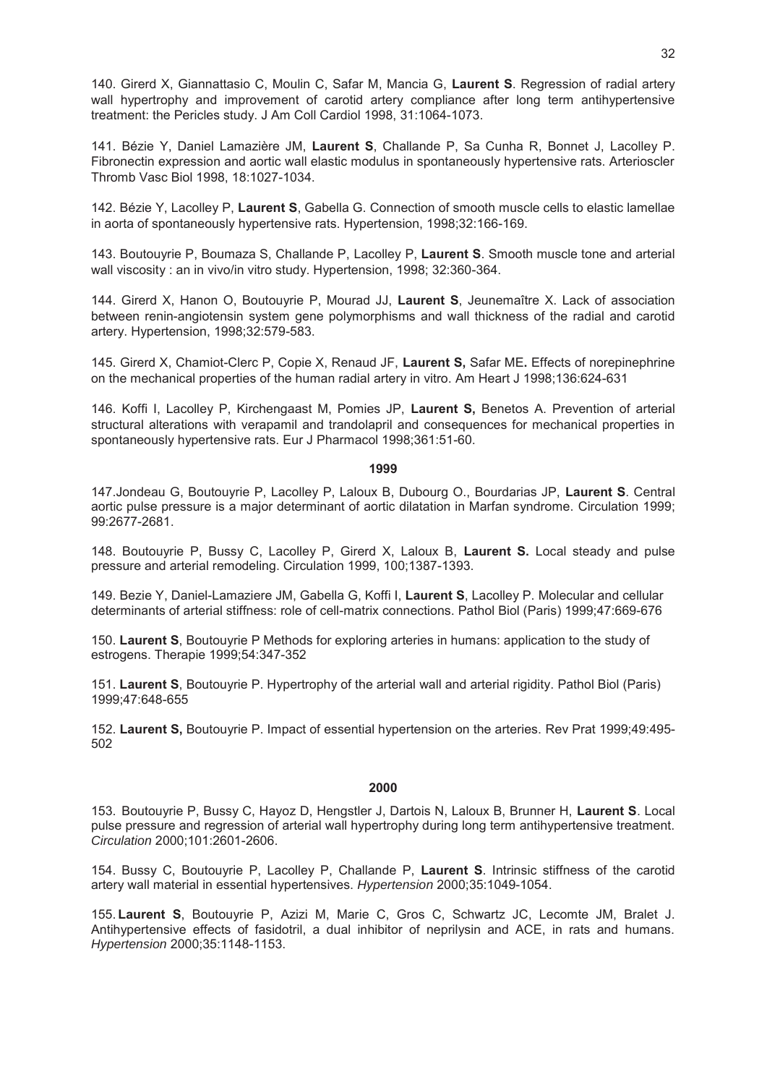140. Girerd X, Giannattasio C, Moulin C, Safar M, Mancia G, **Laurent S**. Regression of radial artery wall hypertrophy and improvement of carotid artery compliance after long term antihypertensive treatment: the Pericles study. J Am Coll Cardiol 1998, 31:1064-1073.

141. Bézie Y, Daniel Lamazière JM, **Laurent S**, Challande P, Sa Cunha R, Bonnet J, Lacolley P. Fibronectin expression and aortic wall elastic modulus in spontaneously hypertensive rats. Arterioscler Thromb Vasc Biol 1998, 18:1027-1034.

142. Bézie Y, Lacolley P, **Laurent S**, Gabella G. Connection of smooth muscle cells to elastic lamellae in aorta of spontaneously hypertensive rats. Hypertension, 1998;32:166-169.

143. Boutouyrie P, Boumaza S, Challande P, Lacolley P, **Laurent S**. Smooth muscle tone and arterial wall viscosity : an in vivo/in vitro study. Hypertension, 1998; 32:360-364.

144. Girerd X, Hanon O, Boutouyrie P, Mourad JJ, **Laurent S**, Jeunemaître X. Lack of association between renin-angiotensin system gene polymorphisms and wall thickness of the radial and carotid artery. Hypertension, 1998;32:579-583.

145. Girerd X, Chamiot-Clerc P, Copie X, Renaud JF, **Laurent S,** Safar ME**.** Effects of norepinephrine on the mechanical properties of the human radial artery in vitro. Am Heart J 1998;136:624-631

146. Koffi I, Lacolley P, Kirchengaast M, Pomies JP, **Laurent S,** Benetos A. Prevention of arterial structural alterations with verapamil and trandolapril and consequences for mechanical properties in spontaneously hypertensive rats. Eur J Pharmacol 1998;361:51-60.

#### **1999**

147.Jondeau G, Boutouyrie P, Lacolley P, Laloux B, Dubourg O., Bourdarias JP, **Laurent S**. Central aortic pulse pressure is a major determinant of aortic dilatation in Marfan syndrome. Circulation 1999; 99:2677-2681.

148. Boutouyrie P, Bussy C, Lacolley P, Girerd X, Laloux B, **Laurent S.** Local steady and pulse pressure and arterial remodeling. Circulation 1999, 100;1387-1393.

149. Bezie Y, Daniel-Lamaziere JM, Gabella G, Koffi I, **Laurent S**, Lacolley P. Molecular and cellular determinants of arterial stiffness: role of cell-matrix connections. Pathol Biol (Paris) 1999;47:669-676

150. **Laurent S**, Boutouyrie P Methods for exploring arteries in humans: application to the study of estrogens. Therapie 1999;54:347-352

151. **Laurent S**, Boutouyrie P. Hypertrophy of the arterial wall and arterial rigidity. Pathol Biol (Paris) 1999;47:648-655

152. **Laurent S,** Boutouyrie P. Impact of essential hypertension on the arteries. Rev Prat 1999;49:495- 502

#### **2000**

153. Boutouyrie P, Bussy C, Hayoz D, Hengstler J, Dartois N, Laloux B, Brunner H, **Laurent S**. Local pulse pressure and regression of arterial wall hypertrophy during long term antihypertensive treatment. *Circulation* 2000;101:2601-2606.

154. Bussy C, Boutouyrie P, Lacolley P, Challande P, **Laurent S**. Intrinsic stiffness of the carotid artery wall material in essential hypertensives. *Hypertension* 2000;35:1049-1054.

155. **Laurent S**, Boutouyrie P, Azizi M, Marie C, Gros C, Schwartz JC, Lecomte JM, Bralet J. Antihypertensive effects of fasidotril, a dual inhibitor of neprilysin and ACE, in rats and humans. *Hypertension* 2000;35:1148-1153.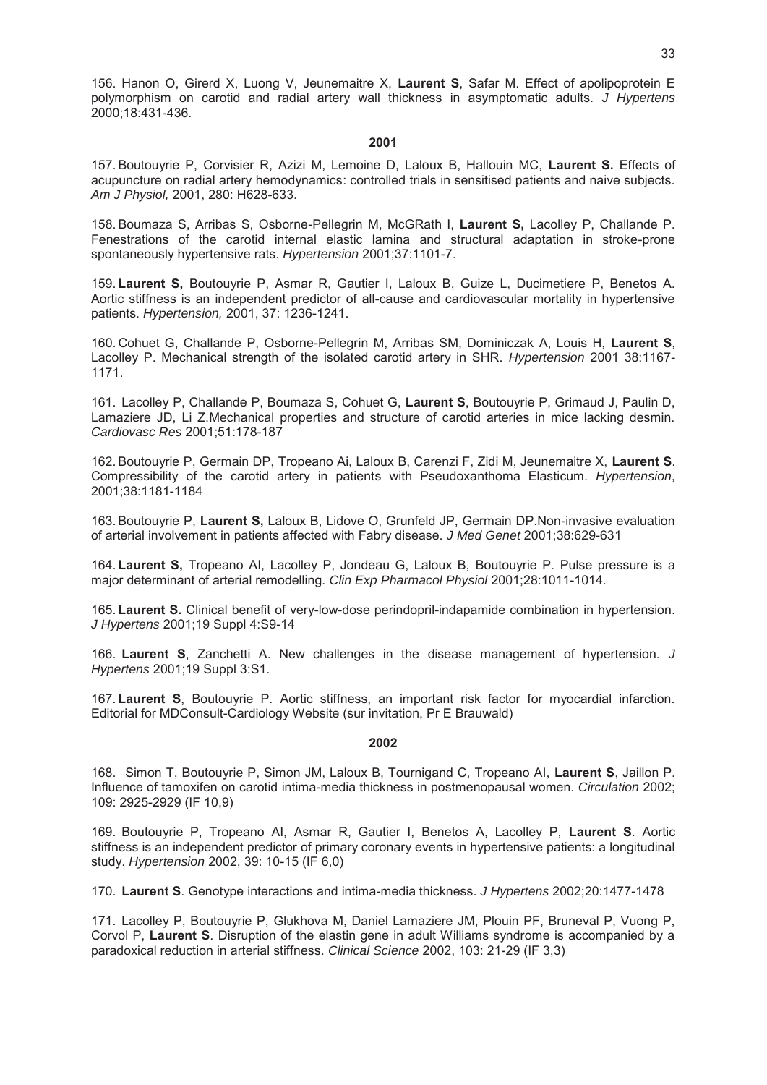156. Hanon O, Girerd X, Luong V, Jeunemaitre X, **Laurent S**, Safar M. Effect of apolipoprotein E polymorphism on carotid and radial artery wall thickness in asymptomatic adults. *J Hypertens* 2000;18:431-436.

#### **2001**

157. Boutouyrie P, Corvisier R, Azizi M, Lemoine D, Laloux B, Hallouin MC, **Laurent S.** Effects of acupuncture on radial artery hemodynamics: controlled trials in sensitised patients and naive subjects. *Am J Physiol,* 2001, 280: H628-633.

158. Boumaza S, Arribas S, Osborne-Pellegrin M, McGRath I, **Laurent S,** Lacolley P, Challande P. Fenestrations of the carotid internal elastic lamina and structural adaptation in stroke-prone spontaneously hypertensive rats. *Hypertension* 2001;37:1101-7.

159. **Laurent S,** Boutouyrie P, Asmar R, Gautier I, Laloux B, Guize L, Ducimetiere P, Benetos A. Aortic stiffness is an independent predictor of all-cause and cardiovascular mortality in hypertensive patients. *Hypertension,* 2001, 37: 1236-1241.

160. Cohuet G, Challande P, Osborne-Pellegrin M, Arribas SM, Dominiczak A, Louis H, **Laurent S**, Lacolley P. Mechanical strength of the isolated carotid artery in SHR. *Hypertension* 2001 38:1167- 1171.

161. Lacolley P, Challande P, Boumaza S, Cohuet G, **Laurent S**, Boutouyrie P, Grimaud J, Paulin D, Lamaziere JD, Li Z.Mechanical properties and structure of carotid arteries in mice lacking desmin. *Cardiovasc Res* 2001;51:178-187

162. Boutouyrie P, Germain DP, Tropeano Ai, Laloux B, Carenzi F, Zidi M, Jeunemaitre X, **Laurent S**. Compressibility of the carotid artery in patients with Pseudoxanthoma Elasticum. *Hypertension*, 2001;38:1181-1184

163. Boutouyrie P, **Laurent S,** Laloux B, Lidove O, Grunfeld JP, Germain DP.Non-invasive evaluation of arterial involvement in patients affected with Fabry disease. *J Med Genet* 2001;38:629-631

164. **Laurent S,** Tropeano AI, Lacolley P, Jondeau G, Laloux B, Boutouyrie P. Pulse pressure is a major determinant of arterial remodelling. *Clin Exp Pharmacol Physiol* 2001;28:1011-1014.

165. **Laurent S.** Clinical benefit of very-low-dose perindopril-indapamide combination in hypertension. *J Hypertens* 2001;19 Suppl 4:S9-14

166. **Laurent S**, Zanchetti A. New challenges in the disease management of hypertension. *J Hypertens* 2001;19 Suppl 3:S1.

167. **Laurent S**, Boutouyrie P. Aortic stiffness, an important risk factor for myocardial infarction. Editorial for MDConsult-Cardiology Website (sur invitation, Pr E Brauwald)

#### **2002**

168. Simon T, Boutouyrie P, Simon JM, Laloux B, Tournigand C, Tropeano AI, **Laurent S**, Jaillon P. Influence of tamoxifen on carotid intima-media thickness in postmenopausal women. *Circulation* 2002; 109: 2925-2929 (IF 10,9)

169. Boutouyrie P, Tropeano AI, Asmar R, Gautier I, Benetos A, Lacolley P, **Laurent S**. Aortic stiffness is an independent predictor of primary coronary events in hypertensive patients: a longitudinal study. *Hypertension* 2002, 39: 10-15 (IF 6,0)

170. **Laurent S**. Genotype interactions and intima-media thickness. *J Hypertens* 2002;20:1477-1478

171. Lacolley P, Boutouyrie P, Glukhova M, Daniel Lamaziere JM, Plouin PF, Bruneval P, Vuong P, Corvol P, **Laurent S**. Disruption of the elastin gene in adult Williams syndrome is accompanied by a paradoxical reduction in arterial stiffness. *Clinical Science* 2002, 103: 21-29 (IF 3,3)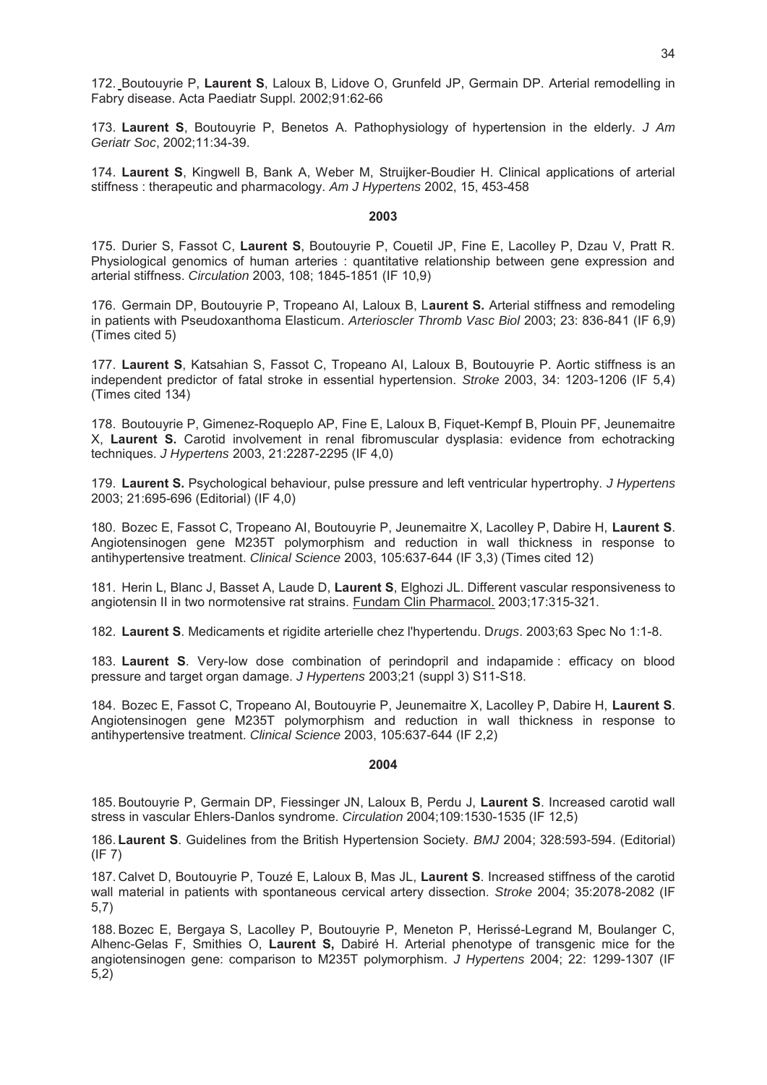172. Boutouyrie P, **Laurent S**, Laloux B, Lidove O, Grunfeld JP, Germain DP. Arterial remodelling in Fabry disease. Acta Paediatr Suppl. 2002;91:62-66

173. **Laurent S**, Boutouyrie P, Benetos A. Pathophysiology of hypertension in the elderly*. J Am Geriatr Soc*, 2002;11:34-39.

174. **Laurent S**, Kingwell B, Bank A, Weber M, Struijker-Boudier H. Clinical applications of arterial stiffness : therapeutic and pharmacology. *Am J Hypertens* 2002, 15, 453-458

### **2003**

175. Durier S, Fassot C, **Laurent S**, Boutouyrie P, Couetil JP, Fine E, Lacolley P, Dzau V, Pratt R. Physiological genomics of human arteries : quantitative relationship between gene expression and arterial stiffness. *Circulation* 2003, 108; 1845-1851 (IF 10,9)

176. Germain DP, Boutouyrie P, Tropeano AI, Laloux B, L**aurent S.** Arterial stiffness and remodeling in patients with Pseudoxanthoma Elasticum. *Arterioscler Thromb Vasc Biol* 2003; 23: 836-841 (IF 6,9) (Times cited 5)

177. **Laurent S**, Katsahian S, Fassot C, Tropeano AI, Laloux B, Boutouyrie P. Aortic stiffness is an independent predictor of fatal stroke in essential hypertension. *Stroke* 2003, 34: 1203-1206 (IF 5,4) (Times cited 134)

178. Boutouyrie P, Gimenez-Roqueplo AP, Fine E, Laloux B, Fiquet-Kempf B, Plouin PF, Jeunemaitre X, **Laurent S.** Carotid involvement in renal fibromuscular dysplasia: evidence from echotracking techniques. *J Hypertens* 2003, 21:2287-2295 (IF 4,0)

179. **Laurent S.** Psychological behaviour, pulse pressure and left ventricular hypertrophy. *J Hypertens*  2003; 21:695-696 (Editorial) (IF 4,0)

180. Bozec E, Fassot C, Tropeano AI, Boutouyrie P, Jeunemaitre X, Lacolley P, Dabire H, **Laurent S**. Angiotensinogen gene M235T polymorphism and reduction in wall thickness in response to antihypertensive treatment. *Clinical Science* 2003, 105:637-644 (IF 3,3) (Times cited 12)

181. Herin L, Blanc J, Basset A, Laude D, **Laurent S**, Elghozi JL. Different vascular responsiveness to angiotensin II in two normotensive rat strains. Fundam Clin Pharmacol. 2003;17:315-321.

182. **Laurent S**. Medicaments et rigidite arterielle chez l'hypertendu. D*rugs*. 2003;63 Spec No 1:1-8.

183. **Laurent S**. Very-low dose combination of perindopril and indapamide : efficacy on blood pressure and target organ damage. *J Hypertens* 2003;21 (suppl 3) S11-S18.

184. Bozec E, Fassot C, Tropeano AI, Boutouyrie P, Jeunemaitre X, Lacolley P, Dabire H, **Laurent S**. Angiotensinogen gene M235T polymorphism and reduction in wall thickness in response to antihypertensive treatment. *Clinical Science* 2003, 105:637-644 (IF 2,2)

#### **2004**

185. Boutouyrie P, Germain DP, Fiessinger JN, Laloux B, Perdu J, **Laurent S**. Increased carotid wall stress in vascular Ehlers-Danlos syndrome. *Circulation* 2004;109:1530-1535 (IF 12,5)

186. **Laurent S**. Guidelines from the British Hypertension Society. *BMJ* 2004; 328:593-594. (Editorial)  $(IF 7)$ 

187. Calvet D, Boutouyrie P, Touzé E, Laloux B, Mas JL, **Laurent S**. Increased stiffness of the carotid wall material in patients with spontaneous cervical artery dissection. *Stroke* 2004; 35:2078-2082 (IF 5,7)

188. Bozec E, Bergaya S, Lacolley P, Boutouyrie P, Meneton P, Herissé-Legrand M, Boulanger C, Alhenc-Gelas F, Smithies O, **Laurent S,** Dabiré H. Arterial phenotype of transgenic mice for the angiotensinogen gene: comparison to M235T polymorphism. *J Hypertens* 2004; 22: 1299-1307 (IF 5,2)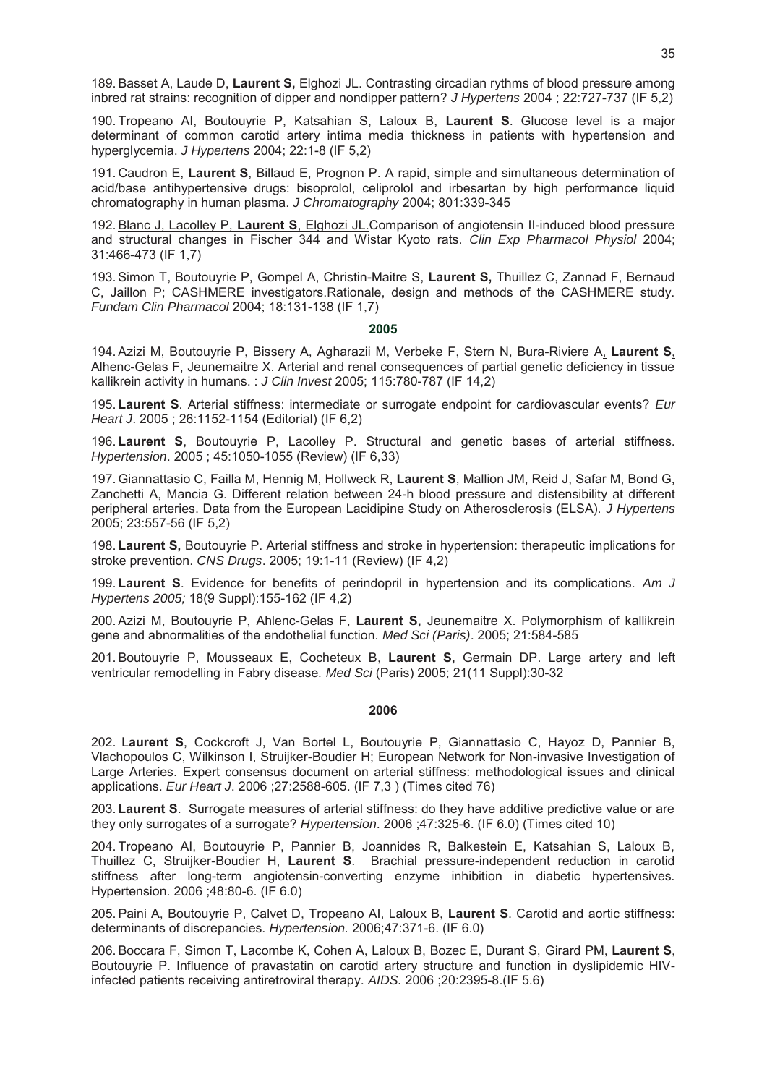189. Basset A, Laude D, **Laurent S,** Elghozi JL. Contrasting circadian rythms of blood pressure among inbred rat strains: recognition of dipper and nondipper pattern? *J Hypertens* 2004 ; 22:727-737 (IF 5,2)

190. Tropeano AI, Boutouyrie P, Katsahian S, Laloux B, **Laurent S**. Glucose level is a major determinant of common carotid artery intima media thickness in patients with hypertension and hyperglycemia. *J Hypertens* 2004; 22:1-8 (IF 5,2)

191. Caudron E, **Laurent S**, Billaud E, Prognon P. A rapid, simple and simultaneous determination of acid/base antihypertensive drugs: bisoprolol, celiprolol and irbesartan by high performance liquid chromatography in human plasma. *J Chromatography* 2004; 801:339-345

192. Blanc J, Lacolley P, **Laurent S**, Elghozi JL.Comparison of angiotensin II-induced blood pressure and structural changes in Fischer 344 and Wistar Kyoto rats. *Clin Exp Pharmacol Physiol* 2004; 31:466-473 (IF 1,7)

193. Simon T, Boutouyrie P, Gompel A, Christin-Maitre S, **Laurent S,** Thuillez C, Zannad F, Bernaud C, Jaillon P; CASHMERE investigators.Rationale, design and methods of the CASHMERE study. *Fundam Clin Pharmacol* 2004; 18:131-138 (IF 1,7)

#### **2005**

194. Azizi M, Boutouyrie P, Bissery A, Agharazii M, Verbeke F, Stern N, Bura-Riviere A, **Laurent S**, Alhenc-Gelas F, Jeunemaitre X. Arterial and renal consequences of partial genetic deficiency in tissue kallikrein activity in humans. : *J Clin Invest* 2005; 115:780-787 (IF 14,2)

195. **Laurent S**. Arterial stiffness: intermediate or surrogate endpoint for cardiovascular events? *Eur Heart J*. 2005 ; 26:1152-1154 (Editorial) (IF 6,2)

196. **Laurent S**, Boutouyrie P, Lacolley P. Structural and genetic bases of arterial stiffness. *Hypertension*. 2005 ; 45:1050-1055 (Review) (IF 6,33)

197. Giannattasio C, Failla M, Hennig M, Hollweck R, **Laurent S**, Mallion JM, Reid J, Safar M, Bond G, Zanchetti A, Mancia G. Different relation between 24-h blood pressure and distensibility at different peripheral arteries. Data from the European Lacidipine Study on Atherosclerosis (ELSA). *J Hypertens* 2005; 23:557-56 (IF 5,2)

198. **Laurent S,** Boutouyrie P. Arterial stiffness and stroke in hypertension: therapeutic implications for stroke prevention. *CNS Drugs*. 2005; 19:1-11 (Review) (IF 4,2)

199. **Laurent S**. Evidence for benefits of perindopril in hypertension and its complications. *Am J Hypertens 2005;* 18(9 Suppl):155-162 (IF 4,2)

200. Azizi M, Boutouyrie P, Ahlenc-Gelas F, **Laurent S,** Jeunemaitre X. Polymorphism of kallikrein gene and abnormalities of the endothelial function. *Med Sci (Paris)*. 2005; 21:584-585

201. Boutouyrie P, Mousseaux E, Cocheteux B, **Laurent S,** Germain DP. Large artery and left ventricular remodelling in Fabry disease*. Med Sci* (Paris) 2005; 21(11 Suppl):30-32

#### **2006**

202. L**aurent S**, Cockcroft J, Van Bortel L, Boutouyrie P, Giannattasio C, Hayoz D, Pannier B, Vlachopoulos C, Wilkinson I, Struijker-Boudier H; European Network for Non-invasive Investigation of Large Arteries. Expert consensus document on arterial stiffness: methodological issues and clinical applications. *Eur Heart J*. 2006 ;27:2588-605. (IF 7,3 ) (Times cited 76)

203. **Laurent S**. Surrogate measures of arterial stiffness: do they have additive predictive value or are they only surrogates of a surrogate? *Hypertension*. 2006 ;47:325-6. (IF 6.0) (Times cited 10)

204. Tropeano AI, Boutouyrie P, Pannier B, Joannides R, Balkestein E, Katsahian S, Laloux B, Thuillez C, Struijker-Boudier H, **Laurent S**. Brachial pressure-independent reduction in carotid stiffness after long-term angiotensin-converting enzyme inhibition in diabetic hypertensives*.*  Hypertension. 2006 ;48:80-6. (IF 6.0)

205. Paini A, Boutouyrie P, Calvet D, Tropeano AI, Laloux B, **Laurent S**. Carotid and aortic stiffness: determinants of discrepancies. *Hypertension.* 2006;47:371-6. (IF 6.0)

206. Boccara F, Simon T, Lacombe K, Cohen A, Laloux B, Bozec E, Durant S, Girard PM, **Laurent S**, Boutouyrie P. Influence of pravastatin on carotid artery structure and function in dyslipidemic HIVinfected patients receiving antiretroviral therapy. *AIDS.* 2006 ;20:2395-8.(IF 5.6)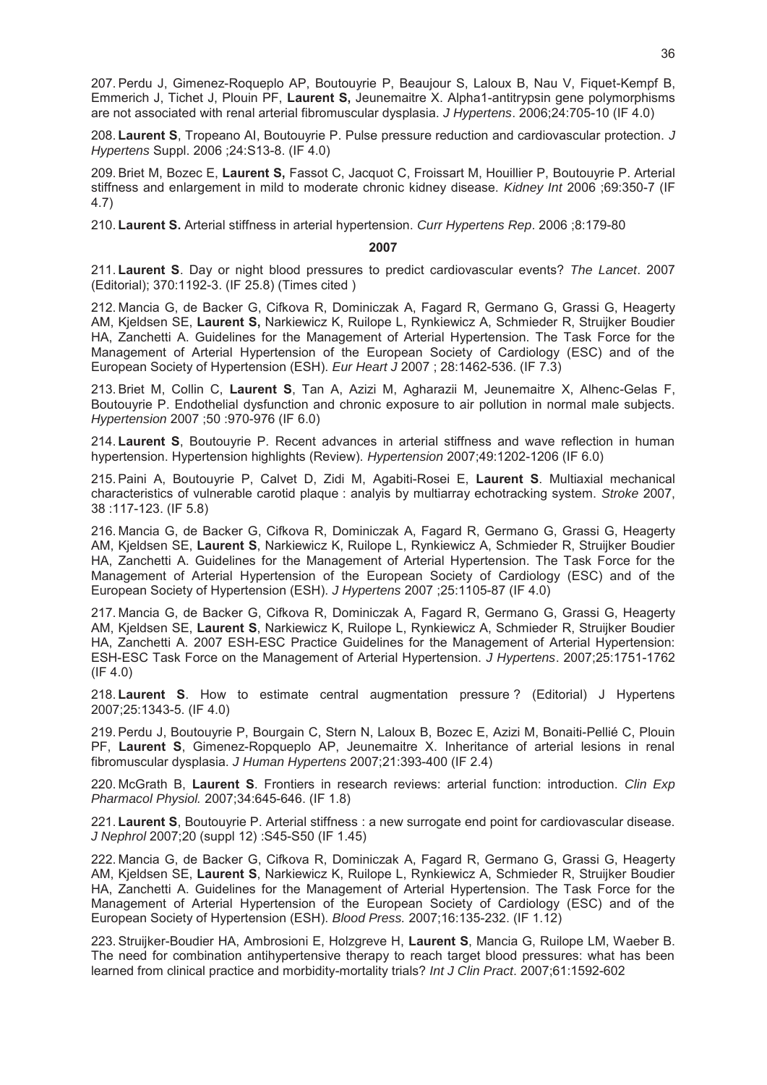207. Perdu J, Gimenez-Roqueplo AP, Boutouyrie P, Beaujour S, Laloux B, Nau V, Fiquet-Kempf B, Emmerich J, Tichet J, Plouin PF, **Laurent S,** Jeunemaitre X. Alpha1-antitrypsin gene polymorphisms are not associated with renal arterial fibromuscular dysplasia. *J Hypertens*. 2006;24:705-10 (IF 4.0)

208. **Laurent S**, Tropeano AI, Boutouyrie P. Pulse pressure reduction and cardiovascular protection. *J Hypertens* Suppl. 2006 ;24:S13-8. (IF 4.0)

209. Briet M, Bozec E, **Laurent S,** Fassot C, Jacquot C, Froissart M, Houillier P, Boutouyrie P. Arterial stiffness and enlargement in mild to moderate chronic kidney disease. *Kidney Int* 2006 ;69:350-7 (IF 4.7)

210. **Laurent S.** Arterial stiffness in arterial hypertension. *Curr Hypertens Rep*. 2006 ;8:179-80

### **2007**

211. **Laurent S**. Day or night blood pressures to predict cardiovascular events? *The Lancet*. 2007 (Editorial); 370:1192-3. (IF 25.8) (Times cited )

212. Mancia G, de Backer G, Cifkova R, Dominiczak A, Fagard R, Germano G, Grassi G, Heagerty AM, Kjeldsen SE, **Laurent S,** Narkiewicz K, Ruilope L, Rynkiewicz A, Schmieder R, Struijker Boudier HA, Zanchetti A. Guidelines for the Management of Arterial Hypertension. The Task Force for the Management of Arterial Hypertension of the European Society of Cardiology (ESC) and of the European Society of Hypertension (ESH). *Eur Heart J* 2007 ; 28:1462-536. (IF 7.3)

213. Briet M, Collin C, **Laurent S**, Tan A, Azizi M, Agharazii M, Jeunemaitre X, Alhenc-Gelas F, Boutouyrie P. Endothelial dysfunction and chronic exposure to air pollution in normal male subjects. *Hypertension* 2007 ;50 :970-976 (IF 6.0)

214. **Laurent S**, Boutouyrie P. Recent advances in arterial stiffness and wave reflection in human hypertension. Hypertension highlights (Review). *Hypertension* 2007;49:1202-1206 (IF 6.0)

215. Paini A, Boutouyrie P, Calvet D, Zidi M, Agabiti-Rosei E, **Laurent S**. Multiaxial mechanical characteristics of vulnerable carotid plaque : analyis by multiarray echotracking system. *Stroke* 2007, 38 :117-123. (IF 5.8)

216. Mancia G, de Backer G, Cifkova R, Dominiczak A, Fagard R, Germano G, Grassi G, Heagerty AM, Kjeldsen SE, **Laurent S**, Narkiewicz K, Ruilope L, Rynkiewicz A, Schmieder R, Struijker Boudier HA, Zanchetti A. Guidelines for the Management of Arterial Hypertension. The Task Force for the Management of Arterial Hypertension of the European Society of Cardiology (ESC) and of the European Society of Hypertension (ESH). *J Hypertens* 2007 ;25:1105-87 (IF 4.0)

217. Mancia G, de Backer G, Cifkova R, Dominiczak A, Fagard R, Germano G, Grassi G, Heagerty AM, Kjeldsen SE, **Laurent S**, Narkiewicz K, Ruilope L, Rynkiewicz A, Schmieder R, Struijker Boudier HA, Zanchetti A. 2007 ESH-ESC Practice Guidelines for the Management of Arterial Hypertension: ESH-ESC Task Force on the Management of Arterial Hypertension. *J Hypertens*. 2007;25:1751-1762 (IF 4.0)

218. **Laurent S**. How to estimate central augmentation pressure ? (Editorial) J Hypertens 2007;25:1343-5. (IF 4.0)

219. Perdu J, Boutouyrie P, Bourgain C, Stern N, Laloux B, Bozec E, Azizi M, Bonaiti-Pellié C, Plouin PF, **Laurent S**, Gimenez-Ropqueplo AP, Jeunemaitre X. Inheritance of arterial lesions in renal fibromuscular dysplasia. *J Human Hypertens* 2007;21:393-400 (IF 2.4)

220. McGrath B, **Laurent S**. Frontiers in research reviews: arterial function: introduction. *Clin Exp Pharmacol Physiol.* 2007;34:645-646. (IF 1.8)

221. **Laurent S**, Boutouyrie P. Arterial stiffness : a new surrogate end point for cardiovascular disease. *J Nephrol* 2007;20 (suppl 12) :S45-S50 (IF 1.45)

222. Mancia G, de Backer G, Cifkova R, Dominiczak A, Fagard R, Germano G, Grassi G, Heagerty AM, Kjeldsen SE, **Laurent S**, Narkiewicz K, Ruilope L, Rynkiewicz A, Schmieder R, Struijker Boudier HA, Zanchetti A. Guidelines for the Management of Arterial Hypertension. The Task Force for the Management of Arterial Hypertension of the European Society of Cardiology (ESC) and of the European Society of Hypertension (ESH). *Blood Press.* 2007;16:135-232. (IF 1.12)

223. Struijker-Boudier HA, Ambrosioni E, Holzgreve H, **Laurent S**, Mancia G, Ruilope LM, Waeber B. The need for combination antihypertensive therapy to reach target blood pressures: what has been learned from clinical practice and morbidity-mortality trials? *Int J Clin Pract*. 2007;61:1592-602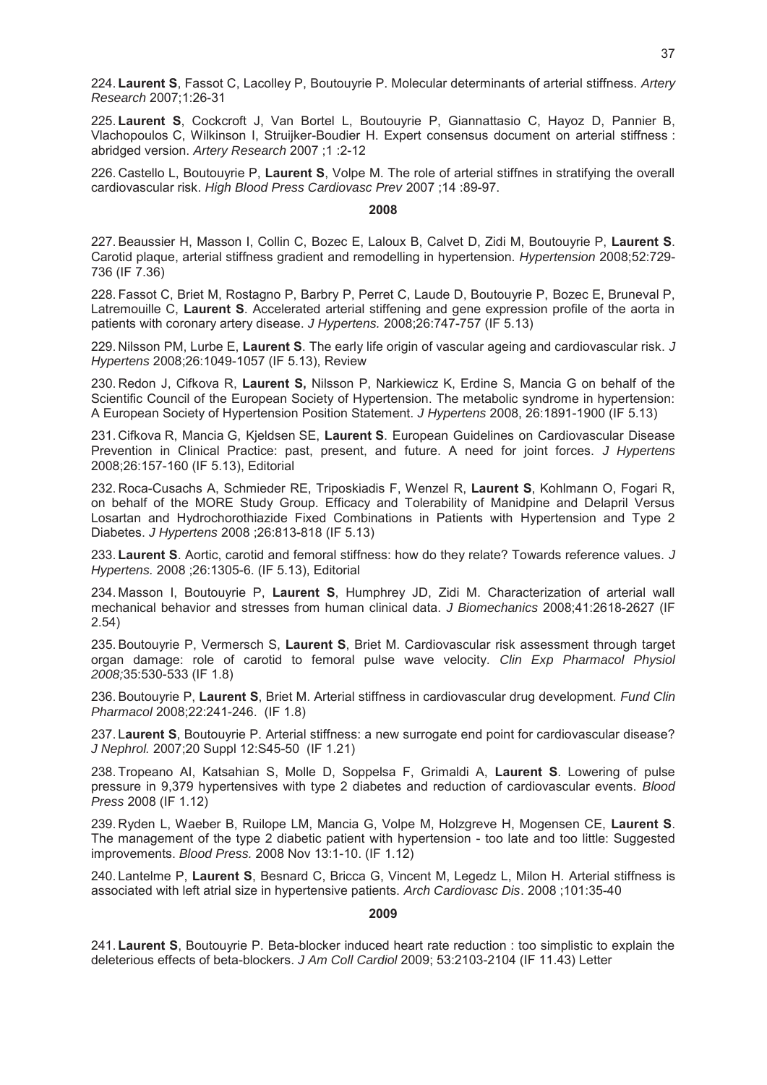224. **Laurent S**, Fassot C, Lacolley P, Boutouyrie P. Molecular determinants of arterial stiffness. *Artery Research* 2007;1:26-31

225. **Laurent S**, Cockcroft J, Van Bortel L, Boutouyrie P, Giannattasio C, Hayoz D, Pannier B, Vlachopoulos C, Wilkinson I, Struijker-Boudier H. Expert consensus document on arterial stiffness : abridged version. *Artery Research* 2007 ;1 :2-12

226. Castello L, Boutouyrie P, **Laurent S**, Volpe M. The role of arterial stiffnes in stratifying the overall cardiovascular risk. *High Blood Press Cardiovasc Prev* 2007 ;14 :89-97.

### **2008**

227. Beaussier H, Masson I, Collin C, Bozec E, Laloux B, Calvet D, Zidi M, Boutouyrie P, **Laurent S**. Carotid plaque, arterial stiffness gradient and remodelling in hypertension. *Hypertension* 2008;52:729- 736 (IF 7.36)

228. Fassot C, Briet M, Rostagno P, Barbry P, Perret C, Laude D, Boutouyrie P, Bozec E, Bruneval P, Latremouille C, **Laurent S**. Accelerated arterial stiffening and gene expression profile of the aorta in patients with coronary artery disease. *J Hypertens.* 2008;26:747-757 (IF 5.13)

229. Nilsson PM, Lurbe E, **Laurent S**. The early life origin of vascular ageing and cardiovascular risk. *J Hypertens* 2008;26:1049-1057 (IF 5.13), Review

230. Redon J, Cifkova R, **Laurent S,** Nilsson P, Narkiewicz K, Erdine S, Mancia G on behalf of the Scientific Council of the European Society of Hypertension. The metabolic syndrome in hypertension: A European Society of Hypertension Position Statement. *J Hypertens* 2008, 26:1891-1900 (IF 5.13)

231. Cifkova R, Mancia G, Kjeldsen SE, **Laurent S**. European Guidelines on Cardiovascular Disease Prevention in Clinical Practice: past, present, and future. A need for joint forces. *J Hypertens*  2008;26:157-160 (IF 5.13), Editorial

232. Roca-Cusachs A, Schmieder RE, Triposkiadis F, Wenzel R, **Laurent S**, Kohlmann O, Fogari R, on behalf of the MORE Study Group. Efficacy and Tolerability of Manidpine and Delapril Versus Losartan and Hydrochorothiazide Fixed Combinations in Patients with Hypertension and Type 2 Diabetes. *J Hypertens* 2008 ;26:813-818 (IF 5.13)

233. **Laurent S**. Aortic, carotid and femoral stiffness: how do they relate? Towards reference values. *J Hypertens.* 2008 ;26:1305-6. (IF 5.13), Editorial

234. Masson I, Boutouyrie P, **Laurent S**, Humphrey JD, Zidi M. Characterization of arterial wall mechanical behavior and stresses from human clinical data. *J Biomechanics* 2008;41:2618-2627 (IF 2.54)

235. Boutouyrie P, Vermersch S, **Laurent S**, Briet M. Cardiovascular risk assessment through target organ damage: role of carotid to femoral pulse wave velocity. *Clin Exp Pharmacol Physiol 2008;*35:530-533 (IF 1.8)

236. Boutouyrie P, **Laurent S**, Briet M. Arterial stiffness in cardiovascular drug development. *Fund Clin Pharmacol* 2008;22:241-246. (IF 1.8)

237. L**aurent S**, Boutouyrie P. Arterial stiffness: a new surrogate end point for cardiovascular disease? *J Nephrol.* 2007;20 Suppl 12:S45-50 (IF 1.21)

238. Tropeano AI, Katsahian S, Molle D, Soppelsa F, Grimaldi A, **Laurent S**. Lowering of pulse pressure in 9,379 hypertensives with type 2 diabetes and reduction of cardiovascular events. *Blood Press* 2008 (IF 1.12)

239. Ryden L, Waeber B, Ruilope LM, Mancia G, Volpe M, Holzgreve H, Mogensen CE, **Laurent S**. The management of the type 2 diabetic patient with hypertension - too late and too little: Suggested improvements. *Blood Press.* 2008 Nov 13:1-10. (IF 1.12)

240. Lantelme P, **Laurent S**, Besnard C, Bricca G, Vincent M, Legedz L, Milon H. Arterial stiffness is associated with left atrial size in hypertensive patients. *Arch Cardiovasc Dis*. 2008 ;101:35-40

#### **2009**

241. **Laurent S**, Boutouyrie P. Beta-blocker induced heart rate reduction : too simplistic to explain the deleterious effects of beta-blockers. *J Am Coll Cardiol* 2009; 53:2103-2104 (IF 11.43) Letter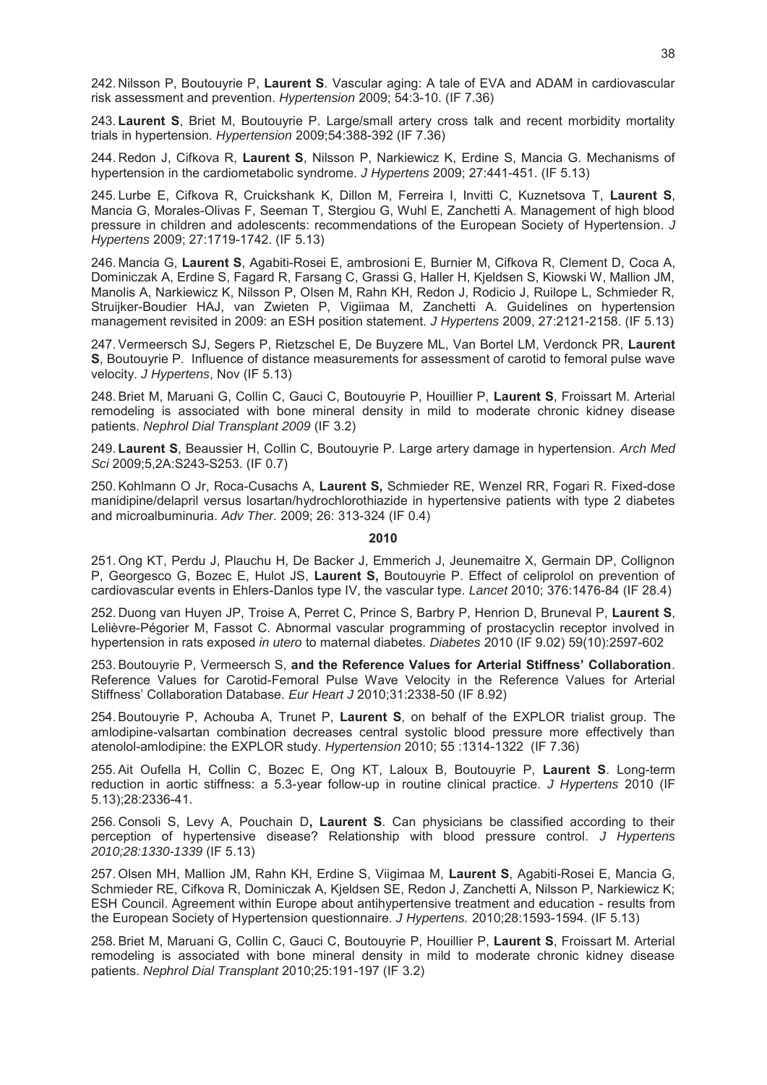242. Nilsson P, Boutouyrie P, **Laurent S**. Vascular aging: A tale of EVA and ADAM in cardiovascular risk assessment and prevention. *Hypertension* 2009; 54:3-10. (IF 7.36)

243. **Laurent S**, Briet M, Boutouyrie P. Large/small artery cross talk and recent morbidity mortality trials in hypertension. *Hypertension* 2009;54:388-392 (IF 7.36)

244. Redon J, Cifkova R, **Laurent S**, Nilsson P, Narkiewicz K, Erdine S, Mancia G. Mechanisms of hypertension in the cardiometabolic syndrome. *J Hypertens* 2009; 27:441-451. (IF 5.13)

245. Lurbe E, Cifkova R, Cruickshank K, Dillon M, Ferreira I, Invitti C, Kuznetsova T, **Laurent S**, Mancia G, Morales-Olivas F, Seeman T, Stergiou G, Wuhl E, Zanchetti A. Management of high blood pressure in children and adolescents: recommendations of the European Society of Hypertension. *J Hypertens* 2009; 27:1719-1742. (IF 5.13)

246. Mancia G, **Laurent S**, Agabiti-Rosei E, ambrosioni E, Burnier M, Cifkova R, Clement D, Coca A, Dominiczak A, Erdine S, Fagard R, Farsang C, Grassi G, Haller H, Kjeldsen S, Kiowski W, Mallion JM, Manolis A, Narkiewicz K, Nilsson P, Olsen M, Rahn KH, Redon J, Rodicio J, Ruilope L, Schmieder R, Struijker-Boudier HAJ, van Zwieten P, Vigiimaa M, Zanchetti A. Guidelines on hypertension management revisited in 2009: an ESH position statement. *J Hypertens* 2009, 27:2121-2158. (IF 5.13)

247. Vermeersch SJ, Segers P, Rietzschel E, De Buyzere ML, Van Bortel LM, Verdonck PR, **Laurent S**, Boutouyrie P. Influence of distance measurements for assessment of carotid to femoral pulse wave velocity. *J Hypertens*, Nov (IF 5.13)

248. Briet M, Maruani G, Collin C, Gauci C, Boutouyrie P, Houillier P, **Laurent S**, Froissart M. Arterial remodeling is associated with bone mineral density in mild to moderate chronic kidney disease patients. *Nephrol Dial Transplant 2009* (IF 3.2)

249. **Laurent S**, Beaussier H, Collin C, Boutouyrie P. Large artery damage in hypertension. *Arch Med Sci* 2009;5,2A:S243-S253. (IF 0.7)

250. Kohlmann O Jr, Roca-Cusachs A, **Laurent S,** Schmieder RE, Wenzel RR, Fogari R. Fixed-dose manidipine/delapril versus losartan/hydrochlorothiazide in hypertensive patients with type 2 diabetes and microalbuminuria. *Adv Ther.* 2009; 26: 313-324 (IF 0.4)

#### **2010**

251. Ong KT, Perdu J, Plauchu H, De Backer J, Emmerich J, Jeunemaitre X, Germain DP, Collignon P, Georgesco G, Bozec E, Hulot JS, **Laurent S,** Boutouyrie P. Effect of celiprolol on prevention of cardiovascular events in Ehlers-Danlos type IV, the vascular type. *Lancet* 2010; 376:1476-84 (IF 28.4)

252. Duong van Huyen JP, Troise A, Perret C, Prince S, Barbry P, Henrion D, Bruneval P, **Laurent S**, Lelièvre-Pégorier M, Fassot C. Abnormal vascular programming of prostacyclin receptor involved in hypertension in rats exposed *in utero* to maternal diabetes. *Diabetes* 2010 (IF 9.02) 59(10):2597-602

253. Boutouyrie P, Vermeersch S, **and the Reference Values for Arterial Stiffness' Collaboration**. Reference Values for Carotid-Femoral Pulse Wave Velocity in the Reference Values for Arterial Stiffness' Collaboration Database. *Eur Heart J* 2010;31:2338-50 (IF 8.92)

254. Boutouyrie P, Achouba A, Trunet P, **Laurent S**, on behalf of the EXPLOR trialist group. The amlodipine-valsartan combination decreases central systolic blood pressure more effectively than atenolol-amlodipine: the EXPLOR study. *Hypertension* 2010; 55 :1314-1322 (IF 7.36)

255. Ait Oufella H, Collin C, Bozec E, Ong KT, Laloux B, Boutouyrie P, **Laurent S**. Long-term reduction in aortic stiffness: a 5.3-year follow-up in routine clinical practice. *J Hypertens* 2010 (IF 5.13);28:2336-41.

256. Consoli S, Levy A, Pouchain D**, Laurent S**. Can physicians be classified according to their perception of hypertensive disease? Relationship with blood pressure control. *J Hypertens 2010;28:1330-1339* (IF 5.13)

257. Olsen MH, Mallion JM, Rahn KH, Erdine S, Viigimaa M, **Laurent S**, Agabiti-Rosei E, Mancia G, Schmieder RE, Cifkova R, Dominiczak A, Kjeldsen SE, Redon J, Zanchetti A, Nilsson P, Narkiewicz K; ESH Council. Agreement within Europe about antihypertensive treatment and education - results from the European Society of Hypertension questionnaire. *J Hypertens.* 2010;28:1593-1594. (IF 5.13)

258. Briet M, Maruani G, Collin C, Gauci C, Boutouyrie P, Houillier P, **Laurent S**, Froissart M. Arterial remodeling is associated with bone mineral density in mild to moderate chronic kidney disease patients. *Nephrol Dial Transplant* 2010;25:191-197 (IF 3.2)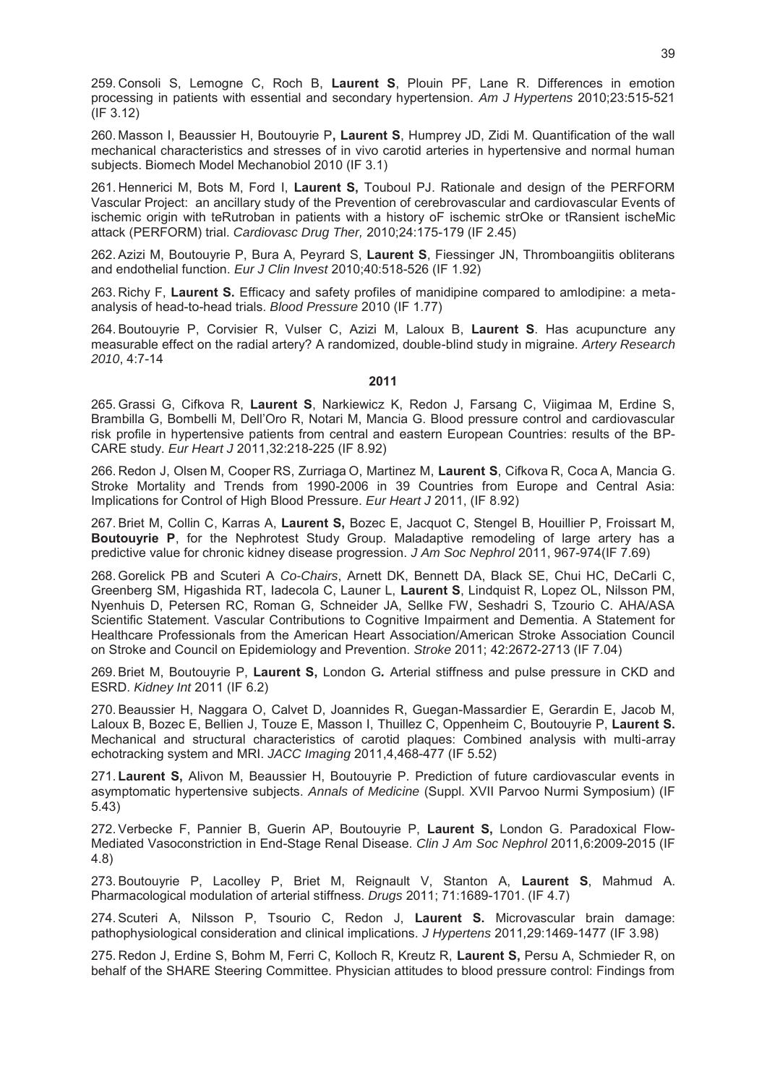259. Consoli S, Lemogne C, Roch B, **Laurent S**, Plouin PF, Lane R. Differences in emotion processing in patients with essential and secondary hypertension. *Am J Hypertens* 2010;23:515-521 (IF 3.12)

260. Masson I, Beaussier H, Boutouyrie P**, Laurent S**, Humprey JD, Zidi M. Quantification of the wall mechanical characteristics and stresses of in vivo carotid arteries in hypertensive and normal human subjects. Biomech Model Mechanobiol 2010 (IF 3.1)

261. Hennerici M, Bots M, Ford I, **Laurent S,** Touboul PJ. Rationale and design of the PERFORM Vascular Project: an ancillary study of the Prevention of cerebrovascular and cardiovascular Events of ischemic origin with teRutroban in patients with a history oF ischemic strOke or tRansient ischeMic attack (PERFORM) trial. *Cardiovasc Drug Ther,* 2010;24:175-179 (IF 2.45)

262. Azizi M, Boutouyrie P, Bura A, Peyrard S, **Laurent S**, Fiessinger JN, Thromboangiitis obliterans and endothelial function. *Eur J Clin Invest* 2010;40:518-526 (IF 1.92)

263. Richy F, **Laurent S.** Efficacy and safety profiles of manidipine compared to amlodipine: a metaanalysis of head-to-head trials. *Blood Pressure* 2010 (IF 1.77)

264. Boutouyrie P, Corvisier R, Vulser C, Azizi M, Laloux B, **Laurent S**. Has acupuncture any measurable effect on the radial artery? A randomized, double-blind study in migraine. *Artery Research 2010*, 4:7-14

#### **2011**

265. Grassi G, Cifkova R, **Laurent S**, Narkiewicz K, Redon J, Farsang C, Viigimaa M, Erdine S, Brambilla G, Bombelli M, Dell'Oro R, Notari M, Mancia G. Blood pressure control and cardiovascular risk profile in hypertensive patients from central and eastern European Countries: results of the BP-CARE study. *Eur Heart J* 2011,32:218-225 (IF 8.92)

266. Redon J, Olsen M, Cooper RS, Zurriaga O, Martinez M, **Laurent S**, Cifkova R, Coca A, Mancia G. Stroke Mortality and Trends from 1990-2006 in 39 Countries from Europe and Central Asia: Implications for Control of High Blood Pressure. *Eur Heart J* 2011, (IF 8.92)

267. Briet M, Collin C, Karras A, **Laurent S,** Bozec E, Jacquot C, Stengel B, Houillier P, Froissart M, **Boutouyrie P**, for the Nephrotest Study Group. Maladaptive remodeling of large artery has a predictive value for chronic kidney disease progression. *J Am Soc Nephrol* 2011, 967-974(IF 7.69)

268. Gorelick PB and Scuteri A *Co-Chairs*, Arnett DK, Bennett DA, Black SE, Chui HC, DeCarli C, Greenberg SM, Higashida RT, Iadecola C, Launer L, **Laurent S**, Lindquist R, Lopez OL, Nilsson PM, Nyenhuis D, Petersen RC, Roman G, Schneider JA, Sellke FW, Seshadri S, Tzourio C. AHA/ASA Scientific Statement. Vascular Contributions to Cognitive Impairment and Dementia. A Statement for Healthcare Professionals from the American Heart Association/American Stroke Association Council on Stroke and Council on Epidemiology and Prevention. *Stroke* 2011; 42:2672-2713 (IF 7.04)

269. Briet M, Boutouyrie P, **Laurent S,** London G*.* Arterial stiffness and pulse pressure in CKD and ESRD. *Kidney Int* 2011 (IF 6.2)

270. Beaussier H, Naggara O, Calvet D, Joannides R, Guegan-Massardier E, Gerardin E, Jacob M, Laloux B, Bozec E, Bellien J, Touze E, Masson I, Thuillez C, Oppenheim C, Boutouyrie P, **Laurent S.** Mechanical and structural characteristics of carotid plaques: Combined analysis with multi-array echotracking system and MRI. *JACC Imaging* 2011,4,468-477 (IF 5.52)

271. **Laurent S,** Alivon M, Beaussier H, Boutouyrie P. Prediction of future cardiovascular events in asymptomatic hypertensive subjects. *Annals of Medicine* (Suppl. XVII Parvoo Nurmi Symposium) (IF 5.43)

272. Verbecke F, Pannier B, Guerin AP, Boutouyrie P, **Laurent S,** London G. Paradoxical Flow-Mediated Vasoconstriction in End-Stage Renal Disease. *Clin J Am Soc Nephrol* 2011,6:2009-2015 (IF 4.8)

273. Boutouyrie P, Lacolley P, Briet M, Reignault V, Stanton A, **Laurent S**, Mahmud A. Pharmacological modulation of arterial stiffness. *Drugs* 2011; 71:1689-1701. (IF 4.7)

274. Scuteri A, Nilsson P, Tsourio C, Redon J, **Laurent S.** Microvascular brain damage: pathophysiological consideration and clinical implications. *J Hypertens* 2011*,*29:1469-1477 (IF 3.98)

275. Redon J, Erdine S, Bohm M, Ferri C, Kolloch R, Kreutz R, **Laurent S,** Persu A, Schmieder R, on behalf of the SHARE Steering Committee. Physician attitudes to blood pressure control: Findings from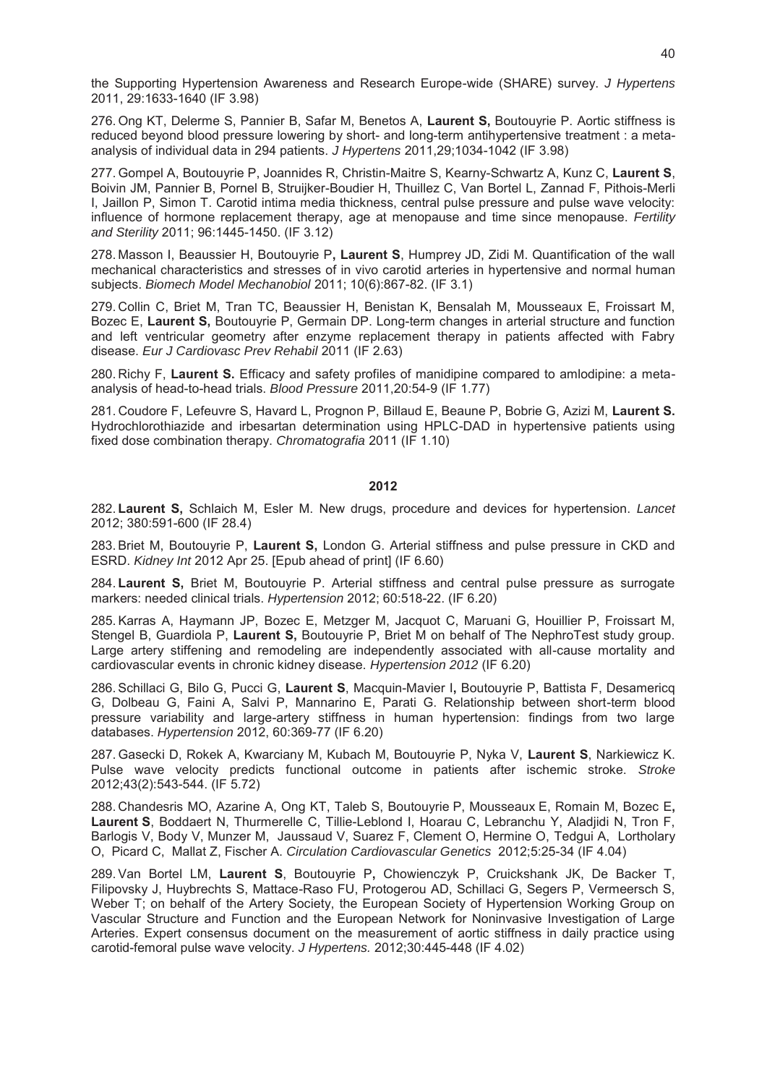the Supporting Hypertension Awareness and Research Europe-wide (SHARE) survey. *J Hypertens* 2011, 29:1633-1640 (IF 3.98)

276. Ong KT, Delerme S, Pannier B, Safar M, Benetos A, **Laurent S,** Boutouyrie P. Aortic stiffness is reduced beyond blood pressure lowering by short- and long-term antihypertensive treatment : a metaanalysis of individual data in 294 patients. *J Hypertens* 2011,29;1034-1042 (IF 3.98)

277. Gompel A, Boutouyrie P, Joannides R, Christin-Maitre S, Kearny-Schwartz A, Kunz C, **Laurent S**, Boivin JM, Pannier B, Pornel B, Struijker-Boudier H, Thuillez C, Van Bortel L, Zannad F, Pithois-Merli I, Jaillon P, Simon T. Carotid intima media thickness, central pulse pressure and pulse wave velocity: influence of hormone replacement therapy, age at menopause and time since menopause. *Fertility and Sterility* 2011; 96:1445-1450. (IF 3.12)

278. Masson I, Beaussier H, Boutouyrie P**, Laurent S**, Humprey JD, Zidi M. Quantification of the wall mechanical characteristics and stresses of in vivo carotid arteries in hypertensive and normal human subjects. *Biomech Model Mechanobiol* 2011; 10(6):867-82. (IF 3.1)

279. Collin C, Briet M, Tran TC, Beaussier H, Benistan K, Bensalah M, Mousseaux E, Froissart M, Bozec E, **Laurent S,** Boutouyrie P, Germain DP. Long-term changes in arterial structure and function and left ventricular geometry after enzyme replacement therapy in patients affected with Fabry disease. *Eur J Cardiovasc Prev Rehabil* 2011 (IF 2.63)

280. Richy F, **Laurent S.** Efficacy and safety profiles of manidipine compared to amlodipine: a metaanalysis of head-to-head trials. *Blood Pressure* 2011,20:54-9 (IF 1.77)

281. Coudore F, Lefeuvre S, Havard L, Prognon P, Billaud E, Beaune P, Bobrie G, Azizi M, **Laurent S.** Hydrochlorothiazide and irbesartan determination using HPLC-DAD in hypertensive patients using fixed dose combination therapy. *Chromatografia* 2011 (IF 1.10)

# **2012**

282. **Laurent S,** Schlaich M, Esler M. New drugs, procedure and devices for hypertension. *Lancet* 2012; 380:591-600 (IF 28.4)

283. Briet M, Boutouyrie P, **Laurent S,** London G. Arterial stiffness and pulse pressure in CKD and ESRD. *Kidney Int* 2012 Apr 25. [Epub ahead of print] (IF 6.60)

284. **Laurent S,** Briet M, Boutouyrie P. Arterial stiffness and central pulse pressure as surrogate markers: needed clinical trials. *Hypertension* 2012; 60:518-22. (IF 6.20)

285. Karras A, Haymann JP, Bozec E, Metzger M, Jacquot C, Maruani G, Houillier P, Froissart M, Stengel B, Guardiola P, **Laurent S,** Boutouyrie P, Briet M on behalf of The NephroTest study group. Large artery stiffening and remodeling are independently associated with all-cause mortality and cardiovascular events in chronic kidney disease. *Hypertension 2012* (IF 6.20)

286. Schillaci G, Bilo G, Pucci G, **Laurent S**, Macquin-Mavier I**,** Boutouyrie P, Battista F, Desamericq G, Dolbeau G, Faini A, Salvi P, Mannarino E, Parati G. Relationship between short-term blood pressure variability and large-artery stiffness in human hypertension: findings from two large databases. *Hypertension* 2012, 60:369-77 (IF 6.20)

287. Gasecki D, Rokek A, Kwarciany M, Kubach M, Boutouyrie P, Nyka V, **Laurent S**, Narkiewicz K. Pulse wave velocity predicts functional outcome in patients after ischemic stroke. *Stroke* 2012;43(2):543-544. (IF 5.72)

288. Chandesris MO, Azarine A, Ong KT, Taleb S, Boutouyrie P, Mousseaux E, Romain M, Bozec E**, Laurent S**, Boddaert N, Thurmerelle C, Tillie-Leblond I, Hoarau C, Lebranchu Y, Aladjidi N, Tron F, Barlogis V, Body V, Munzer M, Jaussaud V, Suarez F, Clement O, Hermine O, Tedgui A, Lortholary O, Picard C, Mallat Z, Fischer A. *Circulation Cardiovascular Genetics* 2012;5:25-34 (IF 4.04)

289. Van Bortel LM, **Laurent S**, Boutouyrie P**,** Chowienczyk P, Cruickshank JK, De Backer T, Filipovsky J, Huybrechts S, Mattace-Raso FU, Protogerou AD, Schillaci G, Segers P, Vermeersch S, Weber T; on behalf of the Artery Society, the European Society of Hypertension Working Group on Vascular Structure and Function and the European Network for Noninvasive Investigation of Large Arteries. Expert consensus document on the measurement of aortic stiffness in daily practice using carotid-femoral pulse wave velocity. *J Hypertens.* 2012;30:445-448 (IF 4.02)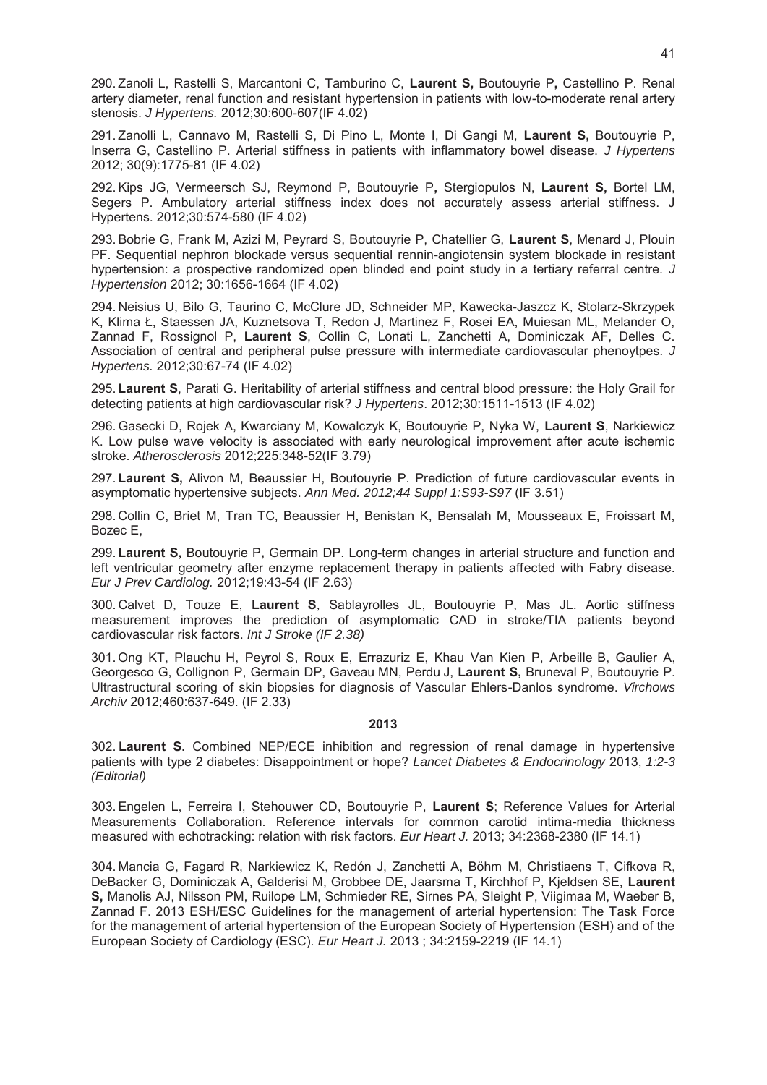290. Zanoli L, Rastelli S, Marcantoni C, Tamburino C, **Laurent S,** Boutouyrie P**,** Castellino P. Renal artery diameter, renal function and resistant hypertension in patients with low-to-moderate renal artery stenosis. *J Hypertens.* 2012;30:600-607(IF 4.02)

291. Zanolli L, Cannavo M, Rastelli S, Di Pino L, Monte I, Di Gangi M, **Laurent S,** Boutouyrie P, Inserra G, Castellino P. Arterial stiffness in patients with inflammatory bowel disease. *J Hypertens*  2012; 30(9):1775-81 (IF 4.02)

292. Kips JG, Vermeersch SJ, Reymond P, Boutouyrie P**,** Stergiopulos N, **Laurent S,** Bortel LM, Segers P. Ambulatory arterial stiffness index does not accurately assess arterial stiffness. J Hypertens. 2012;30:574-580 (IF 4.02)

293. Bobrie G, Frank M, Azizi M, Peyrard S, Boutouyrie P, Chatellier G, **Laurent S**, Menard J, Plouin PF. Sequential nephron blockade versus sequential rennin-angiotensin system blockade in resistant hypertension: a prospective randomized open blinded end point study in a tertiary referral centre. *J Hypertension* 2012; 30:1656-1664 (IF 4.02)

294. Neisius U, Bilo G, Taurino C, McClure JD, Schneider MP, Kawecka-Jaszcz K, Stolarz-Skrzypek K, Klima Ł, Staessen JA, Kuznetsova T, Redon J, Martinez F, Rosei EA, Muiesan ML, Melander O, Zannad F, Rossignol P, **Laurent S**, Collin C, Lonati L, Zanchetti A, Dominiczak AF, Delles C. Association of central and peripheral pulse pressure with intermediate cardiovascular phenoytpes. *J Hypertens.* 2012;30:67-74 (IF 4.02)

295. **Laurent S**, Parati G. Heritability of arterial stiffness and central blood pressure: the Holy Grail for detecting patients at high cardiovascular risk? *J Hypertens*. 2012;30:1511-1513 (IF 4.02)

296. Gasecki D, Rojek A, Kwarciany M, Kowalczyk K, Boutouyrie P, Nyka W, **Laurent S**, Narkiewicz K. Low pulse wave velocity is associated with early neurological improvement after acute ischemic stroke. *Atherosclerosis* 2012;225:348-52(IF 3.79)

297. **Laurent S,** Alivon M, Beaussier H, Boutouyrie P. Prediction of future cardiovascular events in asymptomatic hypertensive subjects. *Ann Med. 2012;44 Suppl 1:S93-S97* (IF 3.51)

298. Collin C, Briet M, Tran TC, Beaussier H, Benistan K, Bensalah M, Mousseaux E, Froissart M, Bozec E,

299. **Laurent S,** Boutouyrie P**,** Germain DP. Long-term changes in arterial structure and function and left ventricular geometry after enzyme replacement therapy in patients affected with Fabry disease. *Eur J Prev Cardiolog.* 2012;19:43-54 (IF 2.63)

300. Calvet D, Touze E, **Laurent S**, Sablayrolles JL, Boutouyrie P, Mas JL. Aortic stiffness measurement improves the prediction of asymptomatic CAD in stroke/TIA patients beyond cardiovascular risk factors. *Int J Stroke (IF 2.38)*

301. Ong KT, Plauchu H, Peyrol S, Roux E, Errazuriz E, Khau Van Kien P, Arbeille B, Gaulier A, Georgesco G, Collignon P, Germain DP, Gaveau MN, Perdu J, **Laurent S,** Bruneval P, Boutouyrie P. Ultrastructural scoring of skin biopsies for diagnosis of Vascular Ehlers-Danlos syndrome. *Virchows Archiv* 2012;460:637-649. (IF 2.33)

#### **2013**

302. **Laurent S.** Combined NEP/ECE inhibition and regression of renal damage in hypertensive patients with type 2 diabetes: Disappointment or hope? *Lancet Diabetes & Endocrinology* 2013, *1:2-3 (Editorial)*

303. Engelen L, Ferreira I, Stehouwer CD, Boutouyrie P, **Laurent S**; Reference Values for Arterial Measurements Collaboration. Reference intervals for common carotid intima-media thickness measured with echotracking: relation with risk factors. *Eur Heart J.* 2013; 34:2368-2380 (IF 14.1)

304. Mancia G, Fagard R, Narkiewicz K, Redón J, Zanchetti A, Böhm M, Christiaens T, Cifkova R, DeBacker G, Dominiczak A, Galderisi M, Grobbee DE, Jaarsma T, Kirchhof P, Kjeldsen SE, **Laurent S,** Manolis AJ, Nilsson PM, Ruilope LM, Schmieder RE, Sirnes PA, Sleight P, Viigimaa M, Waeber B, Zannad F. 2013 ESH/ESC Guidelines for the management of arterial hypertension: The Task Force for the management of arterial hypertension of the European Society of Hypertension (ESH) and of the European Society of Cardiology (ESC). *Eur Heart J.* 2013 ; 34:2159-2219 (IF 14.1)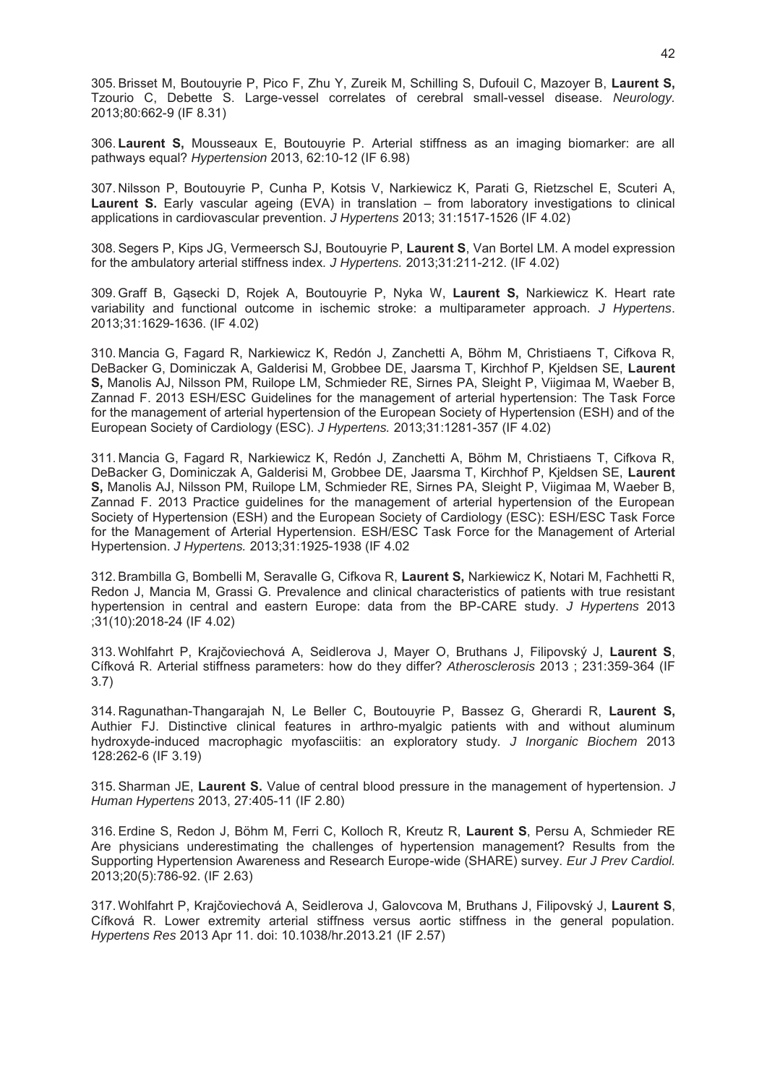305. Brisset M, Boutouyrie P, Pico F, Zhu Y, Zureik M, Schilling S, Dufouil C, Mazoyer B, **Laurent S,** Tzourio C, Debette S. Large-vessel correlates of cerebral small-vessel disease. *Neurology.* 2013;80:662-9 (IF 8.31)

306. **Laurent S,** Mousseaux E, Boutouyrie P. Arterial stiffness as an imaging biomarker: are all pathways equal? *Hypertension* 2013, 62:10-12 (IF 6.98)

307. Nilsson P, Boutouyrie P, Cunha P, Kotsis V, Narkiewicz K, Parati G, Rietzschel E, Scuteri A, Laurent S. Early vascular ageing (EVA) in translation – from laboratory investigations to clinical applications in cardiovascular prevention. *J Hypertens* 2013; 31:1517-1526 (IF 4.02)

308. Segers P, Kips JG, Vermeersch SJ, Boutouyrie P, **Laurent S**, Van Bortel LM. A model expression for the ambulatory arterial stiffness index*. J Hypertens.* 2013;31:211-212. (IF 4.02)

309. Graff B, Gąsecki D, Rojek A, Boutouyrie P, Nyka W, **Laurent S,** Narkiewicz K. Heart rate variability and functional outcome in ischemic stroke: a multiparameter approach. *J Hypertens*. 2013;31:1629-1636. (IF 4.02)

310. Mancia G, Fagard R, Narkiewicz K, Redón J, Zanchetti A, Böhm M, Christiaens T, Cifkova R, DeBacker G, Dominiczak A, Galderisi M, Grobbee DE, Jaarsma T, Kirchhof P, Kjeldsen SE, **Laurent S,** Manolis AJ, Nilsson PM, Ruilope LM, Schmieder RE, Sirnes PA, Sleight P, Viigimaa M, Waeber B, Zannad F. 2013 ESH/ESC Guidelines for the management of arterial hypertension: The Task Force for the management of arterial hypertension of the European Society of Hypertension (ESH) and of the European Society of Cardiology (ESC). *J Hypertens.* 2013;31:1281-357 (IF 4.02)

311. Mancia G, Fagard R, Narkiewicz K, Redón J, Zanchetti A, Böhm M, Christiaens T, Cifkova R, DeBacker G, Dominiczak A, Galderisi M, Grobbee DE, Jaarsma T, Kirchhof P, Kjeldsen SE, **Laurent S,** Manolis AJ, Nilsson PM, Ruilope LM, Schmieder RE, Sirnes PA, Sleight P, Viigimaa M, Waeber B, Zannad F. 2013 Practice guidelines for the management of arterial hypertension of the European Society of Hypertension (ESH) and the European Society of Cardiology (ESC): ESH/ESC Task Force for the Management of Arterial Hypertension. ESH/ESC Task Force for the Management of Arterial Hypertension. *J Hypertens.* 2013;31:1925-1938 (IF 4.02

312. Brambilla G, Bombelli M, Seravalle G, Cifkova R, **Laurent S,** Narkiewicz K, Notari M, Fachhetti R, Redon J, Mancia M, Grassi G. Prevalence and clinical characteristics of patients with true resistant hypertension in central and eastern Europe: data from the BP-CARE study. *J Hypertens* 2013 ;31(10):2018-24 (IF 4.02)

313. Wohlfahrt P, Krajčoviechová A, Seidlerova J, Mayer O, Bruthans J, Filipovský J, **Laurent S**, Cífková R. Arterial stiffness parameters: how do they differ? *Atherosclerosis* 2013 ; 231:359-364 (IF 3.7)

314. Ragunathan-Thangarajah N, Le Beller C, Boutouyrie P, Bassez G, Gherardi R, **Laurent S,** Authier FJ. Distinctive clinical features in arthro-myalgic patients with and without aluminum hydroxyde-induced macrophagic myofasciitis: an exploratory study. *J Inorganic Biochem* 2013 128:262-6 (IF 3.19)

315. Sharman JE, **Laurent S.** Value of central blood pressure in the management of hypertension. *J Human Hypertens* 2013, 27:405-11 (IF 2.80)

316. Erdine S, Redon J, Böhm M, Ferri C, Kolloch R, Kreutz R, **Laurent S**, Persu A, Schmieder RE Are physicians underestimating the challenges of hypertension management? Results from the Supporting Hypertension Awareness and Research Europe-wide (SHARE) survey. *Eur J Prev Cardiol.*  2013;20(5):786-92. (IF 2.63)

317. Wohlfahrt P, Krajčoviechová A, Seidlerova J, Galovcova M, Bruthans J, Filipovský J, **Laurent S**, Cífková R. Lower extremity arterial stiffness versus aortic stiffness in the general population. *Hypertens Res* 2013 Apr 11. doi: 10.1038/hr.2013.21 (IF 2.57)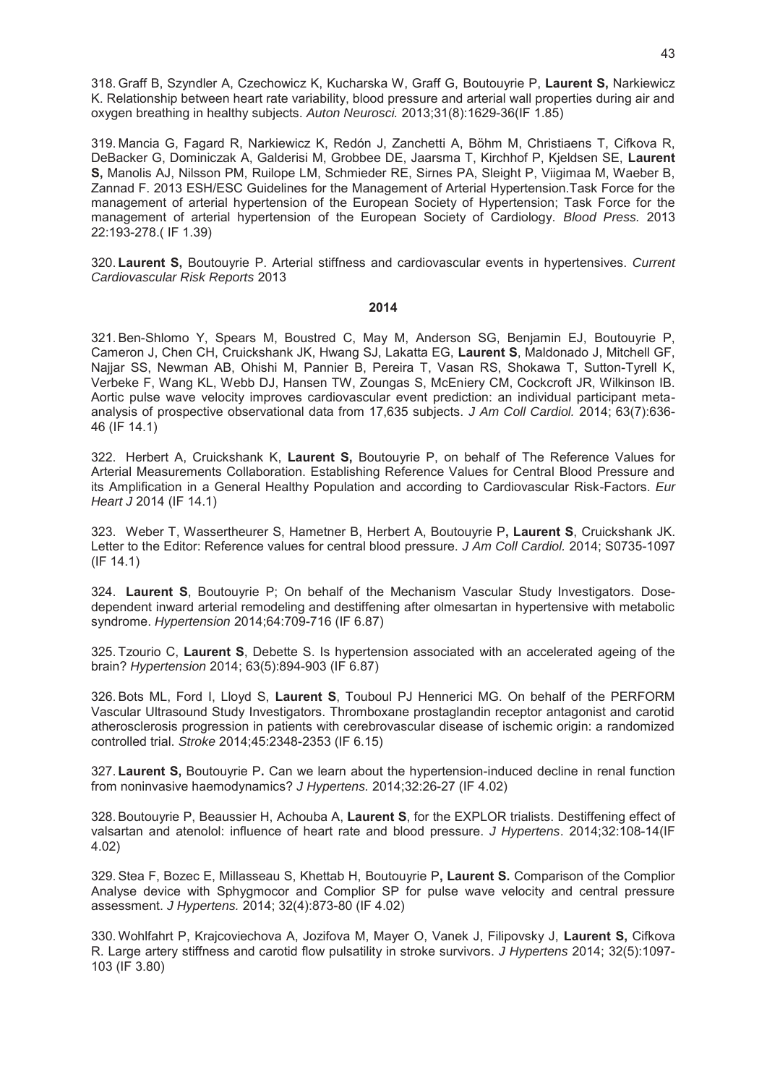318. Graff B, Szyndler A, Czechowicz K, Kucharska W, Graff G, Boutouyrie P, **Laurent S,** Narkiewicz K. Relationship between heart rate variability, blood pressure and arterial wall properties during air and oxygen breathing in healthy subjects. *Auton Neurosci.* 2013;31(8):1629-36(IF 1.85)

319. Mancia G, Fagard R, Narkiewicz K, Redón J, Zanchetti A, Böhm M, Christiaens T, Cifkova R, DeBacker G, Dominiczak A, Galderisi M, Grobbee DE, Jaarsma T, Kirchhof P, Kjeldsen SE, **Laurent S,** Manolis AJ, Nilsson PM, Ruilope LM, Schmieder RE, Sirnes PA, Sleight P, Viigimaa M, Waeber B, Zannad F. 2013 ESH/ESC Guidelines for the Management of Arterial Hypertension.Task Force for the management of arterial hypertension of the European Society of Hypertension; Task Force for the management of arterial hypertension of the European Society of Cardiology. *Blood Press.* 2013 22:193-278.( IF 1.39)

320. **Laurent S,** Boutouyrie P. Arterial stiffness and cardiovascular events in hypertensives. *Current Cardiovascular Risk Reports* 2013

#### **2014**

321. Ben-Shlomo Y, Spears M, Boustred C, May M, Anderson SG, Benjamin EJ, Boutouyrie P, Cameron J, Chen CH, Cruickshank JK, Hwang SJ, Lakatta EG, **Laurent S**, Maldonado J, Mitchell GF, Najjar SS, Newman AB, Ohishi M, Pannier B, Pereira T, Vasan RS, Shokawa T, Sutton-Tyrell K, Verbeke F, Wang KL, Webb DJ, Hansen TW, Zoungas S, McEniery CM, Cockcroft JR, Wilkinson IB. Aortic pulse wave velocity improves cardiovascular event prediction: an individual participant metaanalysis of prospective observational data from 17,635 subjects. *J Am Coll Cardiol.* 2014; 63(7):636- 46 (IF 14.1)

322. Herbert A, Cruickshank K, **Laurent S,** Boutouyrie P, on behalf of The Reference Values for Arterial Measurements Collaboration. Establishing Reference Values for Central Blood Pressure and its Amplification in a General Healthy Population and according to Cardiovascular Risk-Factors. *Eur Heart J* 2014 (IF 14.1)

323. Weber T, Wassertheurer S, Hametner B, Herbert A, Boutouyrie P**, Laurent S**, Cruickshank JK. Letter to the Editor: Reference values for central blood pressure. *J Am Coll Cardiol.* 2014; S0735-1097 (IF 14.1)

324. **Laurent S**, Boutouyrie P; On behalf of the Mechanism Vascular Study Investigators. Dosedependent inward arterial remodeling and destiffening after olmesartan in hypertensive with metabolic syndrome. *Hypertension* 2014;64:709-716 (IF 6.87)

325. Tzourio C, **Laurent S**, Debette S. Is hypertension associated with an accelerated ageing of the brain? *Hypertension* 2014; 63(5):894-903 (IF 6.87)

326. Bots ML, Ford I, Lloyd S, **Laurent S**, Touboul PJ Hennerici MG. On behalf of the PERFORM Vascular Ultrasound Study Investigators. Thromboxane prostaglandin receptor antagonist and carotid atherosclerosis progression in patients with cerebrovascular disease of ischemic origin: a randomized controlled trial. *Stroke* 2014;45:2348-2353 (IF 6.15)

327. **Laurent S,** Boutouyrie P**.** Can we learn about the hypertension-induced decline in renal function from noninvasive haemodynamics? *J Hypertens.* 2014;32:26-27 (IF 4.02)

328. Boutouyrie P, Beaussier H, Achouba A, **Laurent S**, for the EXPLOR trialists. Destiffening effect of valsartan and atenolol: influence of heart rate and blood pressure. *J Hypertens*. 2014;32:108-14(IF 4.02)

329. Stea F, Bozec E, Millasseau S, Khettab H, Boutouyrie P**, Laurent S.** Comparison of the Complior Analyse device with Sphygmocor and Complior SP for pulse wave velocity and central pressure assessment. *J Hypertens.* 2014; 32(4):873-80 (IF 4.02)

330. Wohlfahrt P, Krajcoviechova A, Jozifova M, Mayer O, Vanek J, Filipovsky J, **Laurent S,** Cifkova R. Large artery stiffness and carotid flow pulsatility in stroke survivors. *J Hypertens* 2014; 32(5):1097- 103 (IF 3.80)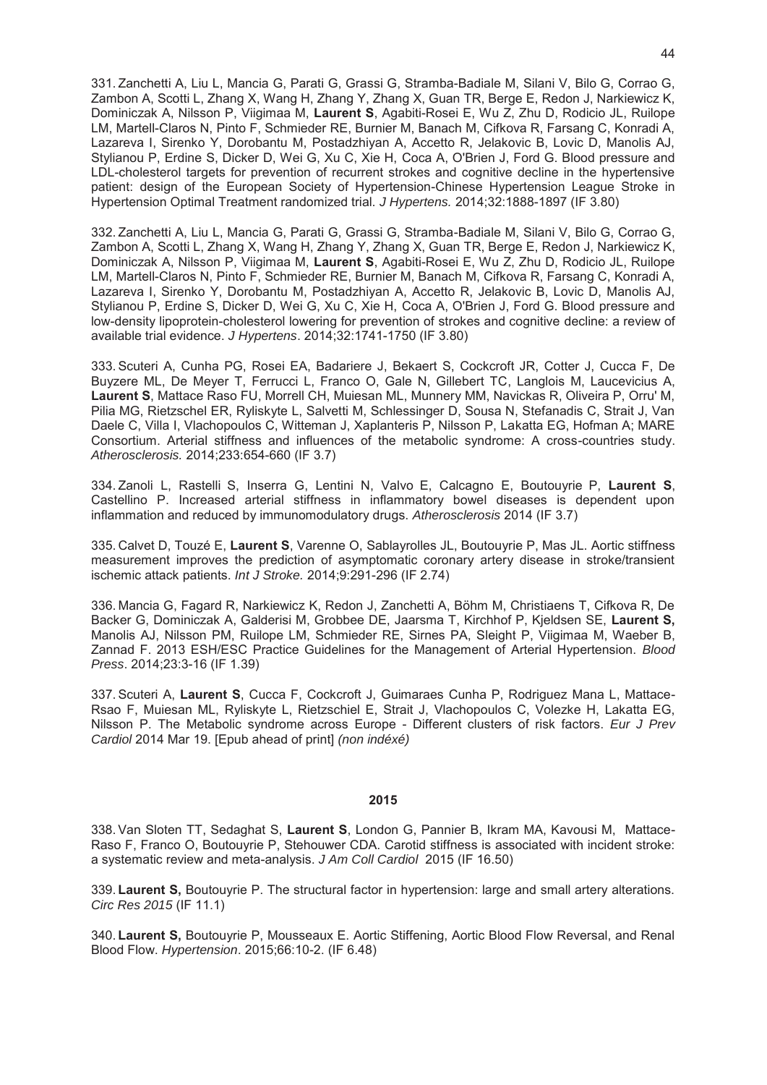331. Zanchetti A, Liu L, Mancia G, Parati G, Grassi G, Stramba-Badiale M, Silani V, Bilo G, Corrao G, Zambon A, Scotti L, Zhang X, Wang H, Zhang Y, Zhang X, Guan TR, Berge E, Redon J, Narkiewicz K, Dominiczak A, Nilsson P, Viigimaa M, **Laurent S**, Agabiti-Rosei E, Wu Z, Zhu D, Rodicio JL, Ruilope LM, Martell-Claros N, Pinto F, Schmieder RE, Burnier M, Banach M, Cifkova R, Farsang C, Konradi A, Lazareva I, Sirenko Y, Dorobantu M, Postadzhiyan A, Accetto R, Jelakovic B, Lovic D, Manolis AJ, Stylianou P, Erdine S, Dicker D, Wei G, Xu C, Xie H, Coca A, O'Brien J, Ford G. Blood pressure and LDL-cholesterol targets for prevention of recurrent strokes and cognitive decline in the hypertensive patient: design of the European Society of Hypertension-Chinese Hypertension League Stroke in Hypertension Optimal Treatment randomized trial. *J Hypertens.* 2014;32:1888-1897 (IF 3.80)

332. Zanchetti A, Liu L, Mancia G, Parati G, Grassi G, Stramba-Badiale M, Silani V, Bilo G, Corrao G, Zambon A, Scotti L, Zhang X, Wang H, Zhang Y, Zhang X, Guan TR, Berge E, Redon J, Narkiewicz K, Dominiczak A, Nilsson P, Viigimaa M, **Laurent S**, Agabiti-Rosei E, Wu Z, Zhu D, Rodicio JL, Ruilope LM, Martell-Claros N, Pinto F, Schmieder RE, Burnier M, Banach M, Cifkova R, Farsang C, Konradi A, Lazareva I, Sirenko Y, Dorobantu M, Postadzhiyan A, Accetto R, Jelakovic B, Lovic D, Manolis AJ, Stylianou P, Erdine S, Dicker D, Wei G, Xu C, Xie H, Coca A, O'Brien J, Ford G. Blood pressure and low-density lipoprotein-cholesterol lowering for prevention of strokes and cognitive decline: a review of available trial evidence. *J Hypertens*. 2014;32:1741-1750 (IF 3.80)

333. Scuteri A, Cunha PG, Rosei EA, Badariere J, Bekaert S, Cockcroft JR, Cotter J, Cucca F, De Buyzere ML, De Meyer T, Ferrucci L, Franco O, Gale N, Gillebert TC, Langlois M, Laucevicius A, **Laurent S**, Mattace Raso FU, Morrell CH, Muiesan ML, Munnery MM, Navickas R, Oliveira P, Orru' M, Pilia MG, Rietzschel ER, Ryliskyte L, Salvetti M, Schlessinger D, Sousa N, Stefanadis C, Strait J, Van Daele C, Villa I, Vlachopoulos C, Witteman J, Xaplanteris P, Nilsson P, Lakatta EG, Hofman A; MARE Consortium. Arterial stiffness and influences of the metabolic syndrome: A cross-countries study. *Atherosclerosis.* 2014;233:654-660 (IF 3.7)

334. Zanoli L, Rastelli S, Inserra G, Lentini N, Valvo E, Calcagno E, Boutouyrie P, **Laurent S**, Castellino P. Increased arterial stiffness in inflammatory bowel diseases is dependent upon inflammation and reduced by immunomodulatory drugs. *Atherosclerosis* 2014 (IF 3.7)

335. Calvet D, Touzé E, **Laurent S**, Varenne O, Sablayrolles JL, Boutouyrie P, Mas JL. Aortic stiffness measurement improves the prediction of asymptomatic coronary artery disease in stroke/transient ischemic attack patients. *Int J Stroke.* 2014;9:291-296 (IF 2.74)

336. Mancia G, Fagard R, Narkiewicz K, Redon J, Zanchetti A, Böhm M, Christiaens T, Cifkova R, De Backer G, Dominiczak A, Galderisi M, Grobbee DE, Jaarsma T, Kirchhof P, Kjeldsen SE, **Laurent S,** Manolis AJ, Nilsson PM, Ruilope LM, Schmieder RE, Sirnes PA, Sleight P, Viigimaa M, Waeber B, Zannad F. 2013 ESH/ESC Practice Guidelines for the Management of Arterial Hypertension. *Blood Press*. 2014;23:3-16 (IF 1.39)

337. Scuteri A, **Laurent S**, Cucca F, Cockcroft J, Guimaraes Cunha P, Rodriguez Mana L, Mattace-Rsao F, Muiesan ML, Ryliskyte L, Rietzschiel E, Strait J, Vlachopoulos C, Volezke H, Lakatta EG, Nilsson P. The Metabolic syndrome across Europe - Different clusters of risk factors. *Eur J Prev Cardiol* 2014 Mar 19. [Epub ahead of print] *(non indéxé)*

#### **2015**

338. Van Sloten TT, Sedaghat S, **Laurent S**, London G, Pannier B, Ikram MA, Kavousi M, Mattace-Raso F, Franco O, Boutouyrie P, Stehouwer CDA. Carotid stiffness is associated with incident stroke: a systematic review and meta-analysis. *J Am Coll Cardiol* 2015 (IF 16.50)

339. **Laurent S,** Boutouyrie P. The structural factor in hypertension: large and small artery alterations. *Circ Res 2015* (IF 11.1)

340. **Laurent S,** Boutouyrie P, Mousseaux E. Aortic Stiffening, Aortic Blood Flow Reversal, and Renal Blood Flow. *Hypertension*. 2015;66:10-2. (IF 6.48)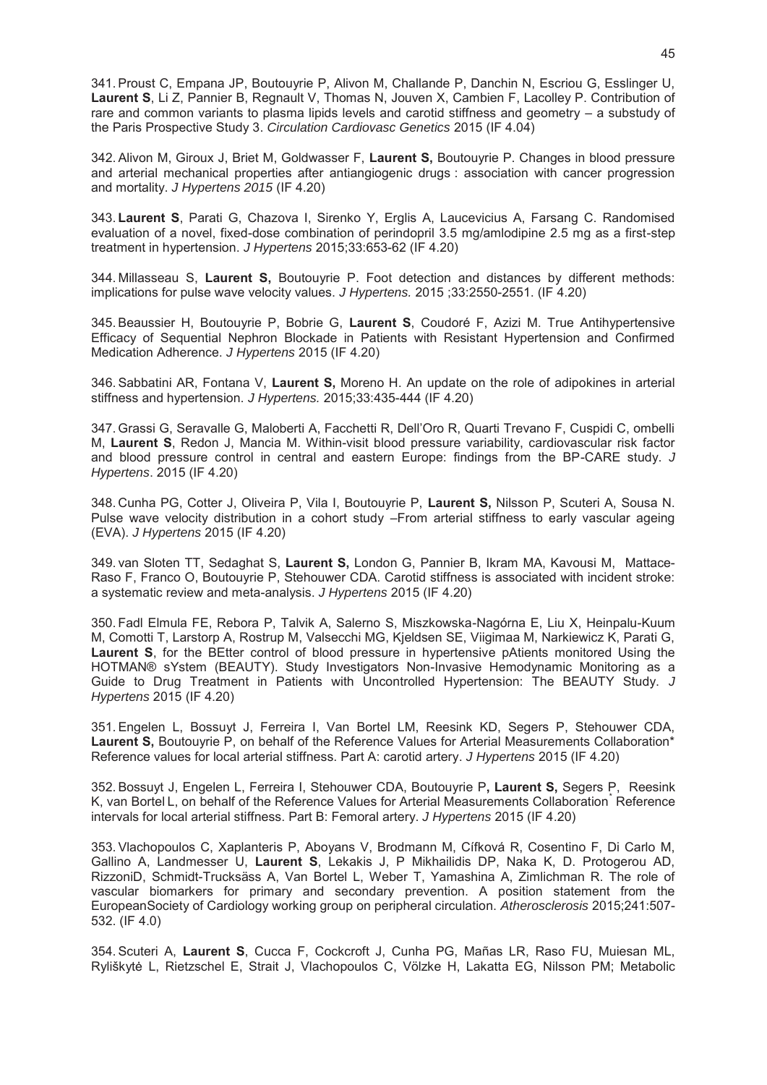341. Proust C, Empana JP, Boutouyrie P, Alivon M, Challande P, Danchin N, Escriou G, Esslinger U, **Laurent S**, Li Z, Pannier B, Regnault V, Thomas N, Jouven X, Cambien F, Lacolley P. Contribution of rare and common variants to plasma lipids levels and carotid stiffness and geometry – a substudy of the Paris Prospective Study 3. *Circulation Cardiovasc Genetics* 2015 (IF 4.04)

342. Alivon M, Giroux J, Briet M, Goldwasser F, **Laurent S,** Boutouyrie P. Changes in blood pressure and arterial mechanical properties after antiangiogenic drugs : association with cancer progression and mortality. *J Hypertens 2015* (IF 4.20)

343. **Laurent S**, Parati G, Chazova I, Sirenko Y, Erglis A, Laucevicius A, Farsang C. Randomised evaluation of a novel, fixed-dose combination of perindopril 3.5 mg/amlodipine 2.5 mg as a first-step treatment in hypertension. *J Hypertens* 2015;33:653-62 (IF 4.20)

344. Millasseau S, **Laurent S,** Boutouyrie P. Foot detection and distances by different methods: implications for pulse wave velocity values. *J Hypertens.* 2015 ;33:2550-2551. (IF 4.20)

345. Beaussier H, Boutouyrie P, Bobrie G, **Laurent S**, Coudoré F, Azizi M. True Antihypertensive Efficacy of Sequential Nephron Blockade in Patients with Resistant Hypertension and Confirmed Medication Adherence. *J Hypertens* 2015 (IF 4.20)

346. Sabbatini AR, Fontana V, **Laurent S,** Moreno H. An update on the role of adipokines in arterial stiffness and hypertension. *J Hypertens.* 2015;33:435-444 (IF 4.20)

347. Grassi G, Seravalle G, Maloberti A, Facchetti R, Dell'Oro R, Quarti Trevano F, Cuspidi C, ombelli M, **Laurent S**, Redon J, Mancia M. Within-visit blood pressure variability, cardiovascular risk factor and blood pressure control in central and eastern Europe: findings from the BP-CARE study. *J Hypertens*. 2015 (IF 4.20)

348. Cunha PG, Cotter J, Oliveira P, Vila I, Boutouyrie P, **Laurent S,** Nilsson P, Scuteri A, Sousa N. Pulse wave velocity distribution in a cohort study –From arterial stiffness to early vascular ageing (EVA). *J Hypertens* 2015 (IF 4.20)

349. van Sloten TT, Sedaghat S, **Laurent S,** London G, Pannier B, Ikram MA, Kavousi M, Mattace-Raso F, Franco O, Boutouyrie P, Stehouwer CDA. Carotid stiffness is associated with incident stroke: a systematic review and meta-analysis. *J Hypertens* 2015 (IF 4.20)

350. Fadl Elmula FE, Rebora P, Talvik A, Salerno S, Miszkowska-Nagórna E, Liu X, Heinpalu-Kuum M, Comotti T, Larstorp A, Rostrup M, Valsecchi MG, Kjeldsen SE, Viigimaa M, Narkiewicz K, Parati G, **Laurent S**, for the BEtter control of blood pressure in hypertensive pAtients monitored Using the HOTMAN® sYstem (BEAUTY). Study Investigators Non-Invasive Hemodynamic Monitoring as a Guide to Drug Treatment in Patients with Uncontrolled Hypertension: The BEAUTY Study. *J Hypertens* 2015 (IF 4.20)

351. Engelen L, Bossuyt J, Ferreira I, Van Bortel LM, Reesink KD, Segers P, Stehouwer CDA, Laurent S, Boutouyrie P, on behalf of the Reference Values for Arterial Measurements Collaboration<sup>\*</sup> Reference values for local arterial stiffness. Part A: carotid artery. *J Hypertens* 2015 (IF 4.20)

352. Bossuyt J, Engelen L, Ferreira I, Stehouwer CDA, Boutouyrie P**, Laurent S,** Segers P, Reesink K, van Bortel L, on behalf of the Reference Values for Arterial Measurements Collaboration\* Reference intervals for local arterial stiffness. Part B: Femoral artery. *J Hypertens* 2015 (IF 4.20)

353. Vlachopoulos C, Xaplanteris P, Aboyans V, Brodmann M, Cífková R, Cosentino F, Di Carlo M, Gallino A, Landmesser U, **Laurent S**, Lekakis J, P Mikhailidis DP, Naka K, D. Protogerou AD, RizzoniD, Schmidt-Trucksäss A, Van Bortel L, Weber T, Yamashina A, Zimlichman R. The role of vascular biomarkers for primary and secondary prevention. A position statement from the EuropeanSociety of Cardiology working group on peripheral circulation. *Atherosclerosis* 2015;241:507- 532. (IF 4.0)

354. Scuteri A, **Laurent S**, Cucca F, Cockcroft J, Cunha PG, Mañas LR, Raso FU, Muiesan ML, Ryliškytė L, Rietzschel E, Strait J, Vlachopoulos C, Völzke H, Lakatta EG, Nilsson PM; Metabolic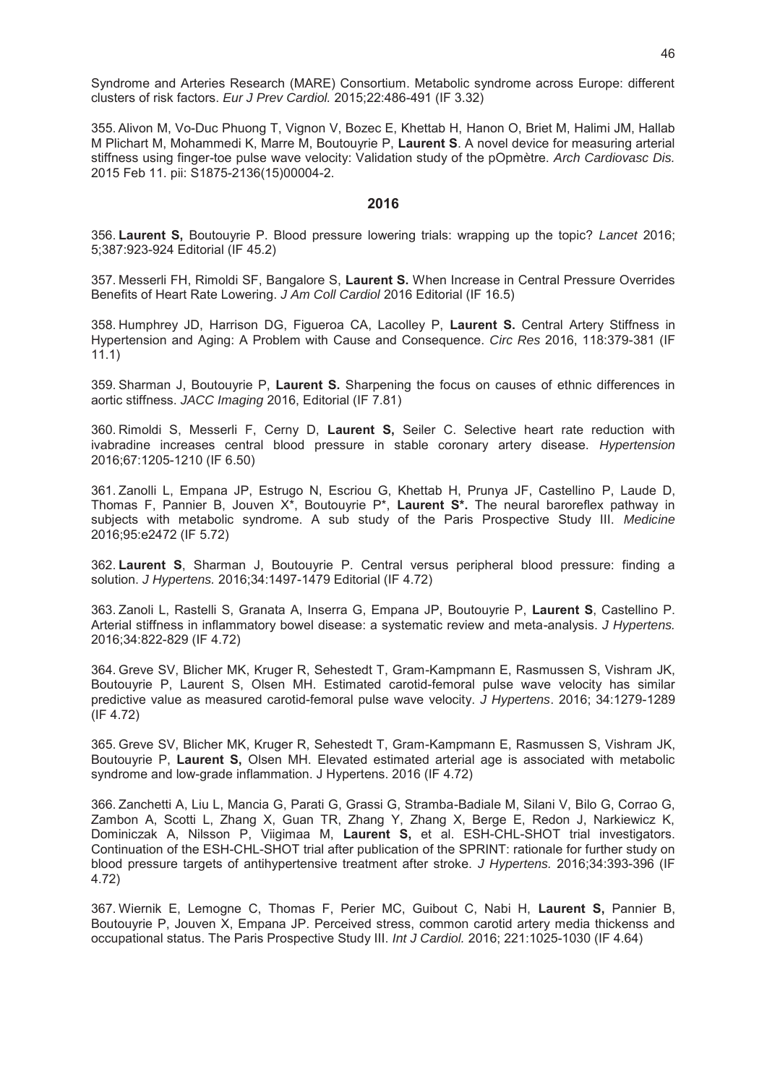Syndrome and Arteries Research (MARE) Consortium. Metabolic syndrome across Europe: different clusters of risk factors. *Eur J Prev Cardiol.* 2015;22:486-491 (IF 3.32)

355. Alivon M, Vo-Duc Phuong T, Vignon V, Bozec E, Khettab H, Hanon O, Briet M, Halimi JM, Hallab M Plichart M, Mohammedi K, Marre M, Boutouyrie P, **Laurent S**. A novel device for measuring arterial stiffness using finger-toe pulse wave velocity: Validation study of the pOpmètre. *Arch Cardiovasc Dis.* 2015 Feb 11. pii: S1875-2136(15)00004-2.

## **2016**

356. **Laurent S,** Boutouyrie P. Blood pressure lowering trials: wrapping up the topic? *Lancet* 2016; 5;387:923-924 Editorial (IF 45.2)

357. Messerli FH, Rimoldi SF, Bangalore S, **Laurent S.** When Increase in Central Pressure Overrides Benefits of Heart Rate Lowering. *J Am Coll Cardiol* 2016 Editorial (IF 16.5)

358. Humphrey JD, Harrison DG, Figueroa CA, Lacolley P, **Laurent S.** Central Artery Stiffness in Hypertension and Aging: A Problem with Cause and Consequence. *Circ Res* 2016, 118:379-381 (IF 11.1)

359. Sharman J, Boutouyrie P, **Laurent S.** Sharpening the focus on causes of ethnic differences in aortic stiffness. *JACC Imaging* 2016, Editorial (IF 7.81)

360. Rimoldi S, Messerli F, Cerny D, **Laurent S,** Seiler C. Selective heart rate reduction with ivabradine increases central blood pressure in stable coronary artery disease. *Hypertension* 2016;67:1205-1210 (IF 6.50)

361. Zanolli L, Empana JP, Estrugo N, Escriou G, Khettab H, Prunya JF, Castellino P, Laude D, Thomas F, Pannier B, Jouven X\*, Boutouyrie P\*, **Laurent S\*.** The neural baroreflex pathway in subjects with metabolic syndrome. A sub study of the Paris Prospective Study III. *Medicine* 2016;95:e2472 (IF 5.72)

362. **Laurent S**, Sharman J, Boutouyrie P. Central versus peripheral blood pressure: finding a solution. *J Hypertens.* 2016;34:1497-1479 Editorial (IF 4.72)

363. Zanoli L, Rastelli S, Granata A, Inserra G, Empana JP, Boutouyrie P, **Laurent S**, Castellino P. Arterial stiffness in inflammatory bowel disease: a systematic review and meta-analysis. *J Hypertens.* 2016;34:822-829 (IF 4.72)

364. Greve SV, Blicher MK, Kruger R, Sehestedt T, Gram-Kampmann E, Rasmussen S, Vishram JK, Boutouyrie P, Laurent S, Olsen MH. Estimated carotid-femoral pulse wave velocity has similar predictive value as measured carotid-femoral pulse wave velocity. *J Hypertens*. 2016; 34:1279-1289 (IF 4.72)

365. Greve SV, Blicher MK, Kruger R, Sehestedt T, Gram-Kampmann E, Rasmussen S, Vishram JK, Boutouyrie P, **Laurent S,** Olsen MH. Elevated estimated arterial age is associated with metabolic syndrome and low-grade inflammation. J Hypertens. 2016 (IF 4.72)

366. Zanchetti A, Liu L, Mancia G, Parati G, Grassi G, Stramba-Badiale M, Silani V, Bilo G, Corrao G, Zambon A, Scotti L, Zhang X, Guan TR, Zhang Y, Zhang X, Berge E, Redon J, Narkiewicz K, Dominiczak A, Nilsson P, Viigimaa M, **Laurent S,** et al. ESH-CHL-SHOT trial investigators. Continuation of the ESH-CHL-SHOT trial after publication of the SPRINT: rationale for further study on blood pressure targets of antihypertensive treatment after stroke. *J Hypertens.* 2016;34:393-396 (IF 4.72)

367. Wiernik E, Lemogne C, Thomas F, Perier MC, Guibout C, Nabi H, **Laurent S,** Pannier B, Boutouyrie P, Jouven X, Empana JP. Perceived stress, common carotid artery media thickenss and occupational status. The Paris Prospective Study III. *Int J Cardiol.* 2016; 221:1025-1030 (IF 4.64)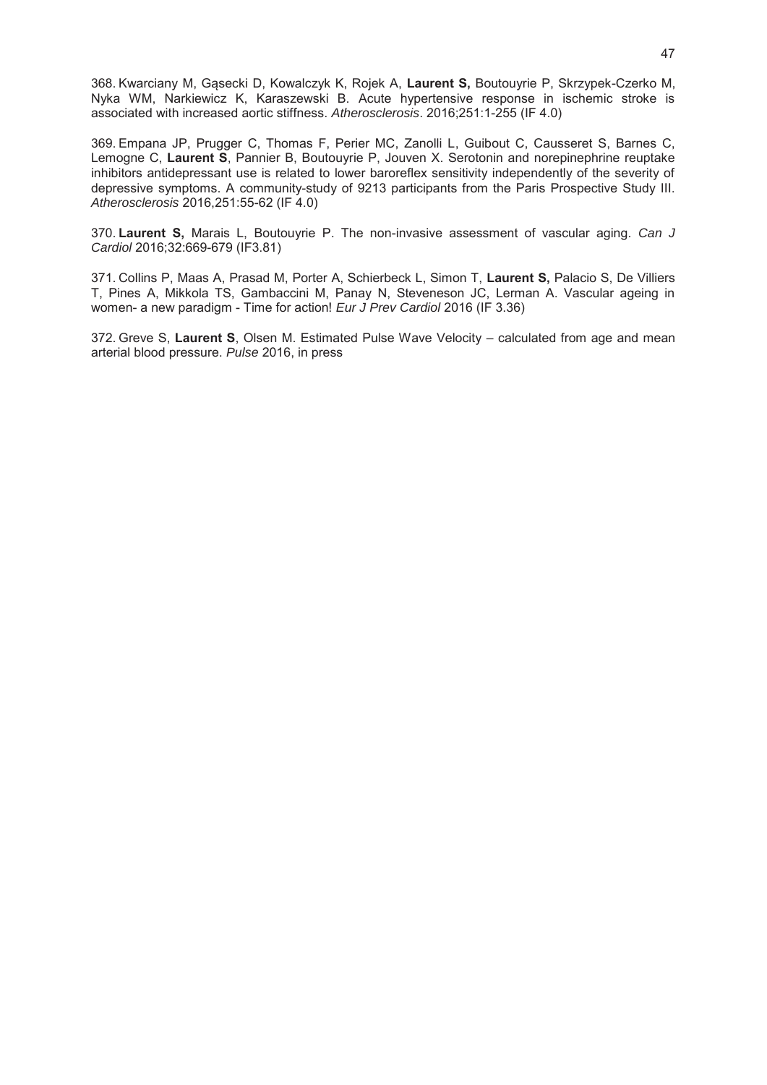368. Kwarciany M, Gąsecki D, Kowalczyk K, Rojek A, **Laurent S,** Boutouyrie P, Skrzypek-Czerko M, Nyka WM, Narkiewicz K, Karaszewski B. Acute hypertensive response in ischemic stroke is associated with increased aortic stiffness. *Atherosclerosis*. 2016;251:1-255 (IF 4.0)

369. Empana JP, Prugger C, Thomas F, Perier MC, Zanolli L, Guibout C, Causseret S, Barnes C, Lemogne C, **Laurent S**, Pannier B, Boutouyrie P, Jouven X. Serotonin and norepinephrine reuptake inhibitors antidepressant use is related to lower baroreflex sensitivity independently of the severity of depressive symptoms. A community-study of 9213 participants from the Paris Prospective Study III. *Atherosclerosis* 2016,251:55-62 (IF 4.0)

370. **Laurent S,** Marais L, Boutouyrie P. The non-invasive assessment of vascular aging. *Can J Cardiol* 2016;32:669-679 (IF3.81)

371. Collins P, Maas A, Prasad M, Porter A, Schierbeck L, Simon T, **Laurent S,** Palacio S, De Villiers T, Pines A, Mikkola TS, Gambaccini M, Panay N, Steveneson JC, Lerman A. Vascular ageing in women- a new paradigm - Time for action! *Eur J Prev Cardiol* 2016 (IF 3.36)

372. Greve S, **Laurent S**, Olsen M. Estimated Pulse Wave Velocity – calculated from age and mean arterial blood pressure. *Pulse* 2016, in press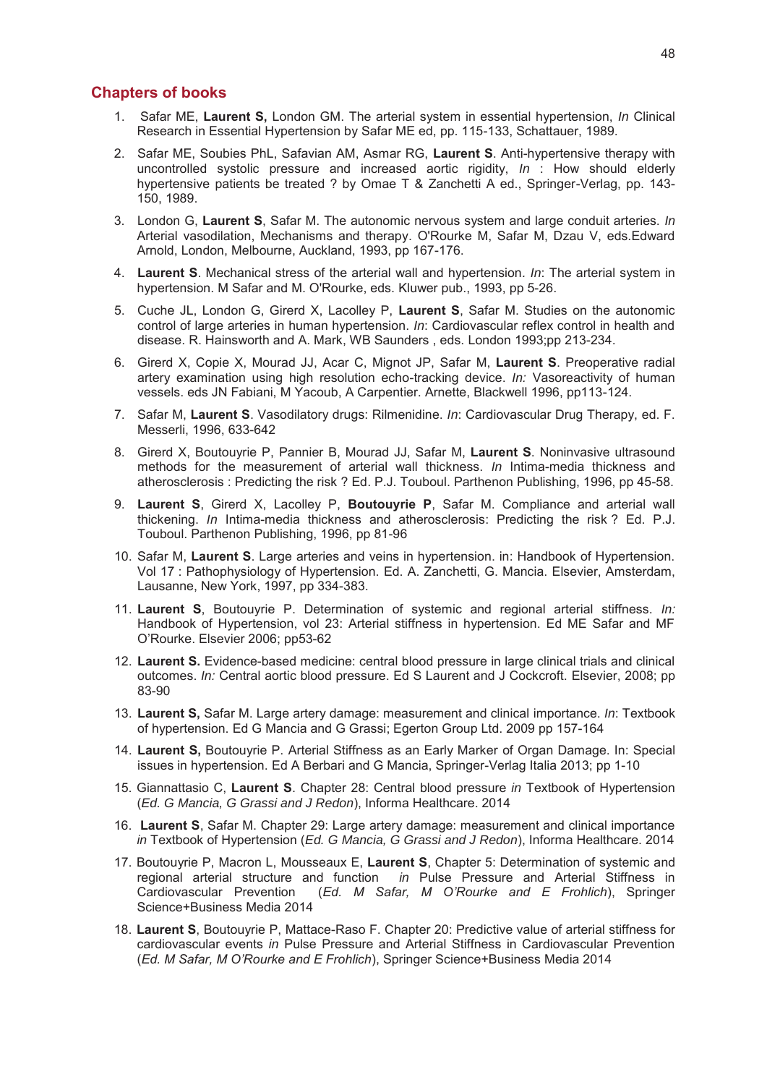# **Chapters of books**

- 1. Safar ME, **Laurent S,** London GM. The arterial system in essential hypertension, *In* Clinical Research in Essential Hypertension by Safar ME ed, pp. 115-133, Schattauer, 1989.
- 2. Safar ME, Soubies PhL, Safavian AM, Asmar RG, **Laurent S**. Anti-hypertensive therapy with uncontrolled systolic pressure and increased aortic rigidity, *In* : How should elderly hypertensive patients be treated ? by Omae T & Zanchetti A ed., Springer-Verlag, pp. 143- 150, 1989.
- 3. London G, **Laurent S**, Safar M. The autonomic nervous system and large conduit arteries. *In* Arterial vasodilation, Mechanisms and therapy. O'Rourke M, Safar M, Dzau V, eds.Edward Arnold, London, Melbourne, Auckland, 1993, pp 167-176.
- 4. **Laurent S**. Mechanical stress of the arterial wall and hypertension*. In*: The arterial system in hypertension. M Safar and M. O'Rourke, eds. Kluwer pub., 1993, pp 5-26.
- 5. Cuche JL, London G, Girerd X, Lacolley P, **Laurent S**, Safar M. Studies on the autonomic control of large arteries in human hypertension. *In*: Cardiovascular reflex control in health and disease. R. Hainsworth and A. Mark, WB Saunders , eds. London 1993;pp 213-234.
- 6. Girerd X, Copie X, Mourad JJ, Acar C, Mignot JP, Safar M, **Laurent S**. Preoperative radial artery examination using high resolution echo-tracking device. *In:* Vasoreactivity of human vessels. eds JN Fabiani, M Yacoub, A Carpentier. Arnette, Blackwell 1996, pp113-124.
- 7. Safar M, **Laurent S**. Vasodilatory drugs: Rilmenidine. *In*: Cardiovascular Drug Therapy, ed. F. Messerli, 1996, 633-642
- 8. Girerd X, Boutouyrie P, Pannier B, Mourad JJ, Safar M, **Laurent S**. Noninvasive ultrasound methods for the measurement of arterial wall thickness. *In* Intima-media thickness and atherosclerosis : Predicting the risk ? Ed. P.J. Touboul. Parthenon Publishing, 1996, pp 45-58.
- 9. **Laurent S**, Girerd X, Lacolley P, **Boutouyrie P**, Safar M. Compliance and arterial wall thickening. *In* Intima-media thickness and atherosclerosis: Predicting the risk ? Ed. P.J. Touboul. Parthenon Publishing, 1996, pp 81-96
- 10. Safar M, **Laurent S**. Large arteries and veins in hypertension. in: Handbook of Hypertension. Vol 17 : Pathophysiology of Hypertension. Ed. A. Zanchetti, G. Mancia. Elsevier, Amsterdam, Lausanne, New York, 1997, pp 334-383.
- 11. **Laurent S**, Boutouyrie P. Determination of systemic and regional arterial stiffness. *In:* Handbook of Hypertension, vol 23: Arterial stiffness in hypertension. Ed ME Safar and MF O'Rourke. Elsevier 2006; pp53-62
- 12. **Laurent S.** Evidence-based medicine: central blood pressure in large clinical trials and clinical outcomes. *In:* Central aortic blood pressure. Ed S Laurent and J Cockcroft. Elsevier, 2008; pp 83-90
- 13. **Laurent S,** Safar M. Large artery damage: measurement and clinical importance. *In*: Textbook of hypertension. Ed G Mancia and G Grassi; Egerton Group Ltd. 2009 pp 157-164
- 14. **Laurent S,** Boutouyrie P. Arterial Stiffness as an Early Marker of Organ Damage. In: Special issues in hypertension. Ed A Berbari and G Mancia, Springer-Verlag Italia 2013; pp 1-10
- 15. Giannattasio C, **Laurent S**. Chapter 28: Central blood pressure *in* Textbook of Hypertension (*Ed. G Mancia, G Grassi and J Redon*), Informa Healthcare. 2014
- 16. **Laurent S**, Safar M. Chapter 29: Large artery damage: measurement and clinical importance *in* Textbook of Hypertension (*Ed. G Mancia, G Grassi and J Redon*), Informa Healthcare. 2014
- 17. Boutouyrie P, Macron L, Mousseaux E, **Laurent S**, Chapter 5: Determination of systemic and regional arterial structure and function *in* Pulse Pressure and Arterial Stiffness in Cardiovascular Prevention (*Ed. M Safar, M O'Rourke and E Frohlich*), Springer Science+Business Media 2014
- 18. **Laurent S**, Boutouyrie P, Mattace-Raso F. Chapter 20: Predictive value of arterial stiffness for cardiovascular events *in* Pulse Pressure and Arterial Stiffness in Cardiovascular Prevention (*Ed. M Safar, M O'Rourke and E Frohlich*), Springer Science+Business Media 2014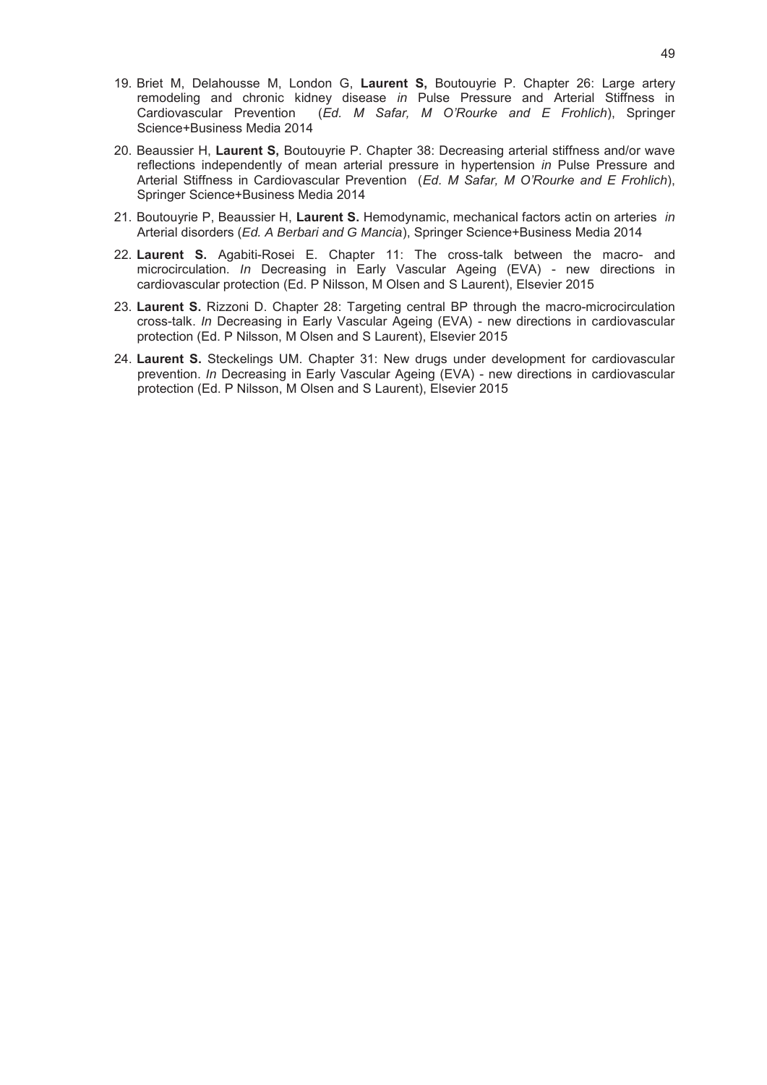- 19. Briet M, Delahousse M, London G, **Laurent S,** Boutouyrie P. Chapter 26: Large artery remodeling and chronic kidney disease *in* Pulse Pressure and Arterial Stiffness in Cardiovascular Prevention (*Ed. M Safar, M O'Rourke and E Frohlich*), Springer Science+Business Media 2014
- 20. Beaussier H, **Laurent S,** Boutouyrie P. Chapter 38: Decreasing arterial stiffness and/or wave reflections independently of mean arterial pressure in hypertension *in* Pulse Pressure and Arterial Stiffness in Cardiovascular Prevention (*Ed. M Safar, M O'Rourke and E Frohlich*), Springer Science+Business Media 2014
- 21. Boutouyrie P, Beaussier H, **Laurent S.** Hemodynamic, mechanical factors actin on arteries *in* Arterial disorders (*Ed. A Berbari and G Mancia*), Springer Science+Business Media 2014
- 22. **Laurent S.** Agabiti-Rosei E. Chapter 11: The cross-talk between the macro- and microcirculation. *In* Decreasing in Early Vascular Ageing (EVA) - new directions in cardiovascular protection (Ed. P Nilsson, M Olsen and S Laurent), Elsevier 2015
- 23. **Laurent S.** Rizzoni D. Chapter 28: Targeting central BP through the macro-microcirculation cross-talk. *In* Decreasing in Early Vascular Ageing (EVA) - new directions in cardiovascular protection (Ed. P Nilsson, M Olsen and S Laurent), Elsevier 2015
- 24. **Laurent S.** Steckelings UM. Chapter 31: New drugs under development for cardiovascular prevention. *In* Decreasing in Early Vascular Ageing (EVA) - new directions in cardiovascular protection (Ed. P Nilsson, M Olsen and S Laurent), Elsevier 2015